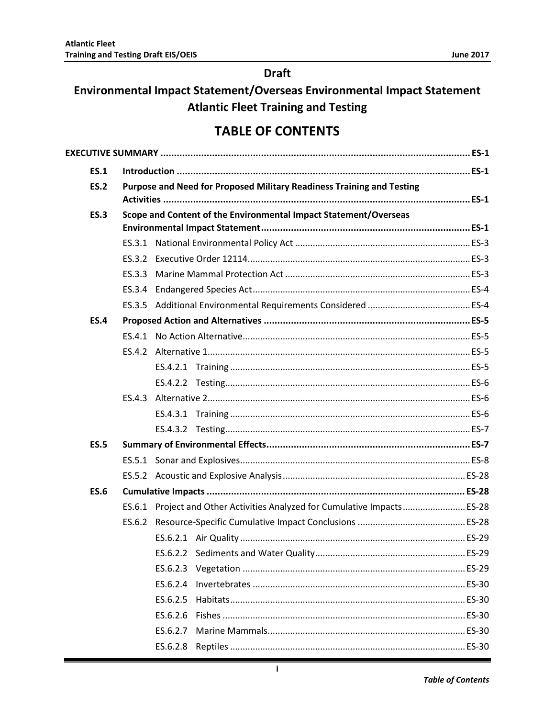### **Draft**

## Environmental Impact Statement/Overseas Environmental Impact Statement **Atlantic Fleet Training and Testing**

## **TABLE OF CONTENTS**

| <b>ES.1</b> |        |                                                                           |  |  |  |  |  |
|-------------|--------|---------------------------------------------------------------------------|--|--|--|--|--|
| <b>ES.2</b> |        | Purpose and Need for Proposed Military Readiness Training and Testing     |  |  |  |  |  |
|             |        |                                                                           |  |  |  |  |  |
| <b>ES.3</b> |        | Scope and Content of the Environmental Impact Statement/Overseas          |  |  |  |  |  |
|             |        |                                                                           |  |  |  |  |  |
|             |        |                                                                           |  |  |  |  |  |
|             |        |                                                                           |  |  |  |  |  |
|             | ES.3.3 |                                                                           |  |  |  |  |  |
|             |        |                                                                           |  |  |  |  |  |
|             |        |                                                                           |  |  |  |  |  |
| <b>ES.4</b> |        |                                                                           |  |  |  |  |  |
|             |        |                                                                           |  |  |  |  |  |
|             |        |                                                                           |  |  |  |  |  |
|             |        |                                                                           |  |  |  |  |  |
|             |        |                                                                           |  |  |  |  |  |
|             |        |                                                                           |  |  |  |  |  |
|             |        |                                                                           |  |  |  |  |  |
|             |        |                                                                           |  |  |  |  |  |
| <b>ES.5</b> |        |                                                                           |  |  |  |  |  |
|             |        |                                                                           |  |  |  |  |  |
|             |        |                                                                           |  |  |  |  |  |
| <b>ES.6</b> |        |                                                                           |  |  |  |  |  |
|             |        | ES.6.1 Project and Other Activities Analyzed for Cumulative Impacts ES-28 |  |  |  |  |  |
|             |        |                                                                           |  |  |  |  |  |
|             |        |                                                                           |  |  |  |  |  |
|             |        |                                                                           |  |  |  |  |  |
|             |        |                                                                           |  |  |  |  |  |
|             |        |                                                                           |  |  |  |  |  |
|             |        | ES.6.2.5                                                                  |  |  |  |  |  |
|             |        |                                                                           |  |  |  |  |  |
|             |        |                                                                           |  |  |  |  |  |
|             |        |                                                                           |  |  |  |  |  |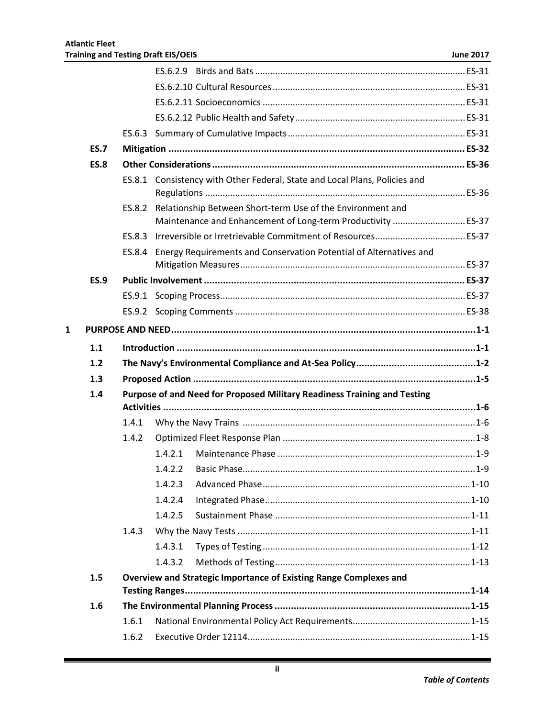|   | <b>ES.7</b> |                |         |                                                                            |  |
|---|-------------|----------------|---------|----------------------------------------------------------------------------|--|
|   | <b>ES.8</b> |                |         |                                                                            |  |
|   |             |                |         | ES.8.1 Consistency with Other Federal, State and Local Plans, Policies and |  |
|   |             |                |         | ES.8.2 Relationship Between Short-term Use of the Environment and          |  |
|   |             |                |         |                                                                            |  |
|   |             | ES.8.3         |         |                                                                            |  |
|   |             | ES.8.4         |         | Energy Requirements and Conservation Potential of Alternatives and         |  |
|   | <b>ES.9</b> |                |         |                                                                            |  |
|   |             |                |         |                                                                            |  |
|   |             |                |         |                                                                            |  |
| 1 |             |                |         |                                                                            |  |
|   | 1.1         |                |         |                                                                            |  |
|   | 1.2         |                |         |                                                                            |  |
|   | 1.3         |                |         |                                                                            |  |
|   | 1.4         |                |         | Purpose of and Need for Proposed Military Readiness Training and Testing   |  |
|   |             |                |         |                                                                            |  |
|   |             |                |         |                                                                            |  |
|   |             | 1.4.1          |         |                                                                            |  |
|   |             | 1.4.2          |         |                                                                            |  |
|   |             |                | 1.4.2.1 |                                                                            |  |
|   |             |                |         |                                                                            |  |
|   |             |                | 1.4.2.3 |                                                                            |  |
|   |             |                | 1.4.2.4 |                                                                            |  |
|   |             |                | 1.4.2.5 |                                                                            |  |
|   |             | 1.4.3          |         |                                                                            |  |
|   |             |                | 1.4.3.1 |                                                                            |  |
|   |             |                | 1.4.3.2 |                                                                            |  |
|   | 1.5         |                |         | Overview and Strategic Importance of Existing Range Complexes and          |  |
|   |             |                |         |                                                                            |  |
|   | 1.6         |                |         |                                                                            |  |
|   |             | 1.6.1<br>1.6.2 |         |                                                                            |  |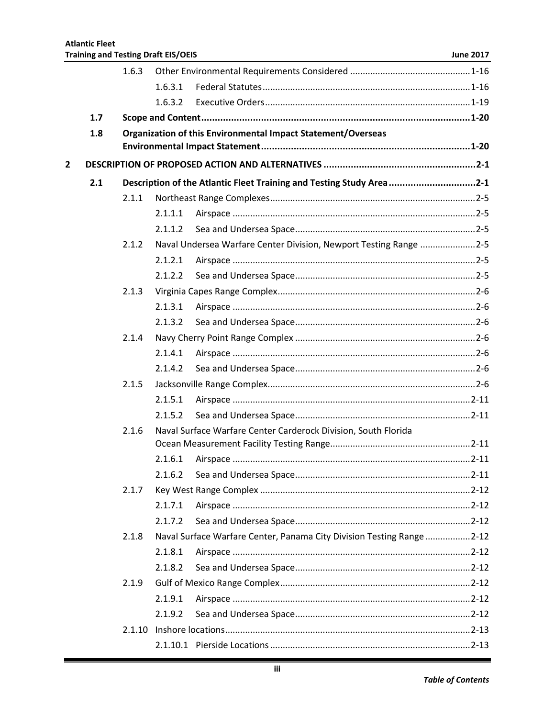|                |     | 1.6.3  |         |                                                                       |  |
|----------------|-----|--------|---------|-----------------------------------------------------------------------|--|
|                |     |        | 1.6.3.1 |                                                                       |  |
|                |     |        | 1.6.3.2 |                                                                       |  |
|                | 1.7 |        |         |                                                                       |  |
|                | 1.8 |        |         | Organization of this Environmental Impact Statement/Overseas          |  |
|                |     |        |         |                                                                       |  |
| $\overline{2}$ |     |        |         |                                                                       |  |
|                | 2.1 |        |         | Description of the Atlantic Fleet Training and Testing Study Area2-1  |  |
|                |     | 2.1.1  |         |                                                                       |  |
|                |     |        | 2.1.1.1 |                                                                       |  |
|                |     |        | 2.1.1.2 |                                                                       |  |
|                |     | 2.1.2  |         | Naval Undersea Warfare Center Division, Newport Testing Range 2-5     |  |
|                |     |        | 2.1.2.1 |                                                                       |  |
|                |     |        | 2.1.2.2 |                                                                       |  |
|                |     | 2.1.3  |         |                                                                       |  |
|                |     |        | 2.1.3.1 |                                                                       |  |
|                |     |        | 2.1.3.2 |                                                                       |  |
|                |     | 2.1.4  |         |                                                                       |  |
|                |     |        | 2.1.4.1 |                                                                       |  |
|                |     |        | 2.1.4.2 |                                                                       |  |
|                |     | 2.1.5  |         |                                                                       |  |
|                |     |        | 2.1.5.1 |                                                                       |  |
|                |     |        | 2.1.5.2 |                                                                       |  |
|                |     | 2.1.6  |         | Naval Surface Warfare Center Carderock Division, South Florida        |  |
|                |     |        |         |                                                                       |  |
|                |     |        | 2.1.6.1 |                                                                       |  |
|                |     |        | 2.1.6.2 |                                                                       |  |
|                |     | 2.1.7  |         |                                                                       |  |
|                |     |        | 2.1.7.1 |                                                                       |  |
|                |     |        | 2.1.7.2 |                                                                       |  |
|                |     | 2.1.8  |         | Naval Surface Warfare Center, Panama City Division Testing Range 2-12 |  |
|                |     |        | 2.1.8.1 |                                                                       |  |
|                |     |        | 2.1.8.2 |                                                                       |  |
|                |     | 2.1.9  |         |                                                                       |  |
|                |     |        | 2.1.9.1 |                                                                       |  |
|                |     |        | 2.1.9.2 |                                                                       |  |
|                |     | 2.1.10 |         |                                                                       |  |
|                |     |        |         |                                                                       |  |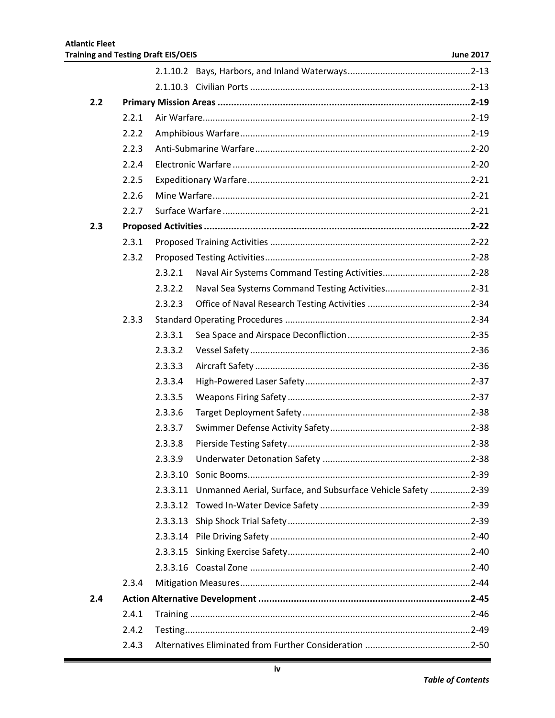| 2.2 |       |                                                                          |  |
|-----|-------|--------------------------------------------------------------------------|--|
|     | 2.2.1 |                                                                          |  |
|     | 2.2.2 |                                                                          |  |
|     | 2.2.3 |                                                                          |  |
|     | 2.2.4 |                                                                          |  |
|     | 2.2.5 |                                                                          |  |
|     | 2.2.6 |                                                                          |  |
|     | 2.2.7 |                                                                          |  |
| 2.3 |       |                                                                          |  |
|     | 2.3.1 |                                                                          |  |
|     | 2.3.2 |                                                                          |  |
|     |       | 2.3.2.1                                                                  |  |
|     |       | 2.3.2.2                                                                  |  |
|     |       | 2.3.2.3                                                                  |  |
|     | 2.3.3 |                                                                          |  |
|     |       | 2.3.3.1                                                                  |  |
|     |       | 2.3.3.2                                                                  |  |
|     |       | 2.3.3.3                                                                  |  |
|     |       | 2.3.3.4                                                                  |  |
|     |       | 2.3.3.5                                                                  |  |
|     |       | 2.3.3.6                                                                  |  |
|     |       | 2.3.3.7                                                                  |  |
|     |       | 2.3.3.8                                                                  |  |
|     |       | 2.3.3.9                                                                  |  |
|     |       |                                                                          |  |
|     |       | Unmanned Aerial, Surface, and Subsurface Vehicle Safety 2-39<br>2.3.3.11 |  |
|     |       | 2.3.3.12                                                                 |  |
|     |       | 2.3.3.13                                                                 |  |
|     |       |                                                                          |  |
|     |       |                                                                          |  |
|     |       |                                                                          |  |
|     | 2.3.4 |                                                                          |  |
| 2.4 |       |                                                                          |  |
|     | 2.4.1 |                                                                          |  |
|     | 2.4.2 |                                                                          |  |
|     | 2.4.3 |                                                                          |  |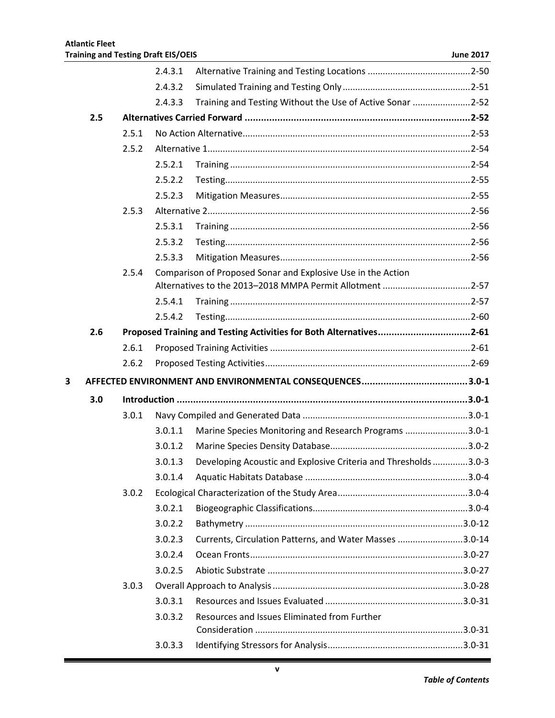|   |     |       | 2.4.3.1 |                                                                    |  |
|---|-----|-------|---------|--------------------------------------------------------------------|--|
|   |     |       | 2.4.3.2 |                                                                    |  |
|   |     |       | 2.4.3.3 | Training and Testing Without the Use of Active Sonar 2-52          |  |
|   | 2.5 |       |         |                                                                    |  |
|   |     | 2.5.1 |         |                                                                    |  |
|   |     | 2.5.2 |         |                                                                    |  |
|   |     |       | 2.5.2.1 |                                                                    |  |
|   |     |       | 2.5.2.2 |                                                                    |  |
|   |     |       | 2.5.2.3 |                                                                    |  |
|   |     | 2.5.3 |         |                                                                    |  |
|   |     |       | 2.5.3.1 |                                                                    |  |
|   |     |       | 2.5.3.2 |                                                                    |  |
|   |     |       | 2.5.3.3 |                                                                    |  |
|   |     | 2.5.4 |         | Comparison of Proposed Sonar and Explosive Use in the Action       |  |
|   |     |       |         | Alternatives to the 2013-2018 MMPA Permit Allotment 2-57           |  |
|   |     |       | 2.5.4.1 |                                                                    |  |
|   |     |       | 2.5.4.2 |                                                                    |  |
|   | 2.6 |       |         | Proposed Training and Testing Activities for Both Alternatives2-61 |  |
|   |     | 2.6.1 |         |                                                                    |  |
|   |     | 2.6.2 |         |                                                                    |  |
| 3 |     |       |         |                                                                    |  |
|   | 3.0 |       |         |                                                                    |  |
|   |     | 3.0.1 |         |                                                                    |  |
|   |     |       | 3.0.1.1 | Marine Species Monitoring and Research Programs 3.0-1              |  |
|   |     |       | 3.0.1.2 |                                                                    |  |
|   |     |       | 3.0.1.3 | Developing Acoustic and Explosive Criteria and Thresholds 3.0-3    |  |
|   |     |       | 3.0.1.4 |                                                                    |  |
|   |     | 3.0.2 |         |                                                                    |  |
|   |     |       | 3.0.2.1 |                                                                    |  |
|   |     |       | 3.0.2.2 |                                                                    |  |
|   |     |       | 3.0.2.3 | Currents, Circulation Patterns, and Water Masses 3.0-14            |  |
|   |     |       | 3.0.2.4 |                                                                    |  |
|   |     |       | 3.0.2.5 |                                                                    |  |
|   |     | 3.0.3 |         |                                                                    |  |
|   |     |       | 3.0.3.1 |                                                                    |  |
|   |     |       | 3.0.3.2 | Resources and Issues Eliminated from Further                       |  |
|   |     |       |         |                                                                    |  |
|   |     |       | 3.0.3.3 |                                                                    |  |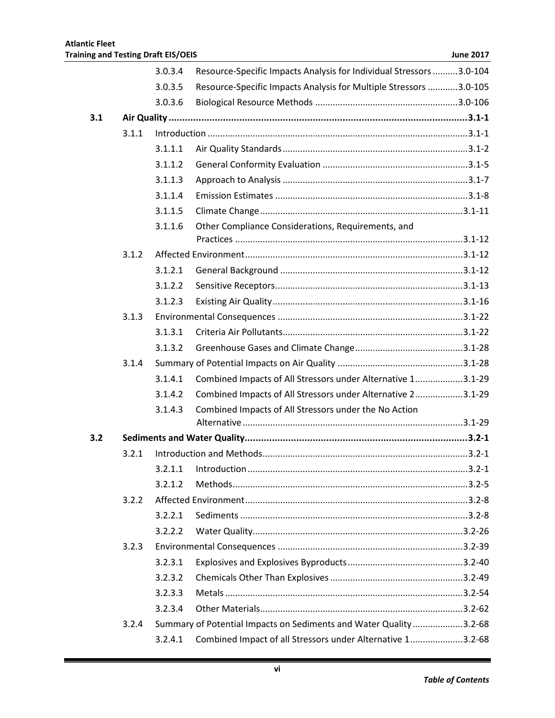|     |       | 3.0.3.4 | Resource-Specific Impacts Analysis for Individual Stressors 3.0-104 |  |
|-----|-------|---------|---------------------------------------------------------------------|--|
|     |       | 3.0.3.5 | Resource-Specific Impacts Analysis for Multiple Stressors 3.0-105   |  |
|     |       | 3.0.3.6 |                                                                     |  |
| 3.1 |       |         |                                                                     |  |
|     | 3.1.1 |         |                                                                     |  |
|     |       | 3.1.1.1 |                                                                     |  |
|     |       | 3.1.1.2 |                                                                     |  |
|     |       | 3.1.1.3 |                                                                     |  |
|     |       | 3.1.1.4 |                                                                     |  |
|     |       | 3.1.1.5 |                                                                     |  |
|     |       | 3.1.1.6 | Other Compliance Considerations, Requirements, and                  |  |
|     |       |         |                                                                     |  |
|     | 3.1.2 |         |                                                                     |  |
|     |       | 3.1.2.1 |                                                                     |  |
|     |       | 3.1.2.2 |                                                                     |  |
|     |       | 3.1.2.3 |                                                                     |  |
|     | 3.1.3 |         |                                                                     |  |
|     |       | 3.1.3.1 |                                                                     |  |
|     |       | 3.1.3.2 |                                                                     |  |
|     | 3.1.4 |         |                                                                     |  |
|     |       | 3.1.4.1 | Combined Impacts of All Stressors under Alternative 13.1-29         |  |
|     |       | 3.1.4.2 | Combined Impacts of All Stressors under Alternative 23.1-29         |  |
|     |       | 3.1.4.3 | Combined Impacts of All Stressors under the No Action               |  |
| 3.2 |       |         |                                                                     |  |
|     | 3.2.1 |         |                                                                     |  |
|     |       |         |                                                                     |  |
|     |       | 3.2.1.2 |                                                                     |  |
|     | 3.2.2 |         |                                                                     |  |
|     |       | 3.2.2.1 |                                                                     |  |
|     |       | 3.2.2.2 |                                                                     |  |
|     | 3.2.3 |         |                                                                     |  |
|     |       | 3.2.3.1 |                                                                     |  |
|     |       | 3.2.3.2 |                                                                     |  |
|     |       | 3.2.3.3 |                                                                     |  |
|     |       | 3.2.3.4 |                                                                     |  |
|     | 3.2.4 |         | Summary of Potential Impacts on Sediments and Water Quality 3.2-68  |  |
|     |       | 3.2.4.1 | Combined Impact of all Stressors under Alternative 13.2-68          |  |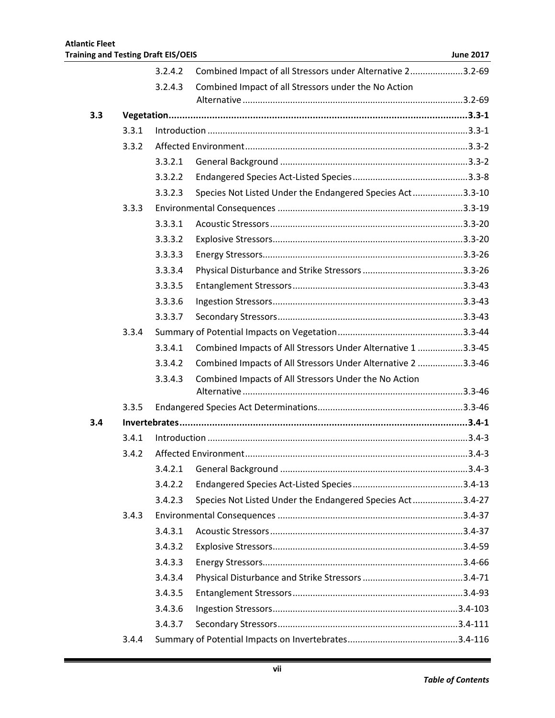|     |       | 3.2.4.2 | Combined Impact of all Stressors under Alternative 23.2-69   |  |
|-----|-------|---------|--------------------------------------------------------------|--|
|     |       | 3.2.4.3 | Combined Impact of all Stressors under the No Action         |  |
|     |       |         |                                                              |  |
| 3.3 |       |         |                                                              |  |
|     | 3.3.1 |         |                                                              |  |
|     | 3.3.2 |         |                                                              |  |
|     |       | 3.3.2.1 |                                                              |  |
|     |       | 3.3.2.2 |                                                              |  |
|     |       | 3.3.2.3 | Species Not Listed Under the Endangered Species Act3.3-10    |  |
|     | 3.3.3 |         |                                                              |  |
|     |       | 3.3.3.1 |                                                              |  |
|     |       | 3.3.3.2 |                                                              |  |
|     |       | 3.3.3.3 |                                                              |  |
|     |       | 3.3.3.4 |                                                              |  |
|     |       | 3.3.3.5 |                                                              |  |
|     |       | 3.3.3.6 |                                                              |  |
|     |       | 3.3.3.7 |                                                              |  |
|     | 3.3.4 |         |                                                              |  |
|     |       | 3.3.4.1 | Combined Impacts of All Stressors Under Alternative 1 3.3-45 |  |
|     |       | 3.3.4.2 | Combined Impacts of All Stressors Under Alternative 2 3.3-46 |  |
|     |       | 3.3.4.3 | Combined Impacts of All Stressors Under the No Action        |  |
|     | 3.3.5 |         |                                                              |  |
| 3.4 |       |         |                                                              |  |
|     | 3.4.1 |         |                                                              |  |
|     | 3.4.2 |         |                                                              |  |
|     |       | 3.4.2.1 |                                                              |  |
|     |       | 3.4.2.2 |                                                              |  |
|     |       | 3.4.2.3 | Species Not Listed Under the Endangered Species Act3.4-27    |  |
|     | 3.4.3 |         |                                                              |  |
|     |       | 3.4.3.1 |                                                              |  |
|     |       | 3.4.3.2 |                                                              |  |
|     |       | 3.4.3.3 |                                                              |  |
|     |       | 3.4.3.4 |                                                              |  |
|     |       | 3.4.3.5 |                                                              |  |
|     |       | 3.4.3.6 |                                                              |  |
|     |       | 3.4.3.7 |                                                              |  |
|     | 3.4.4 |         |                                                              |  |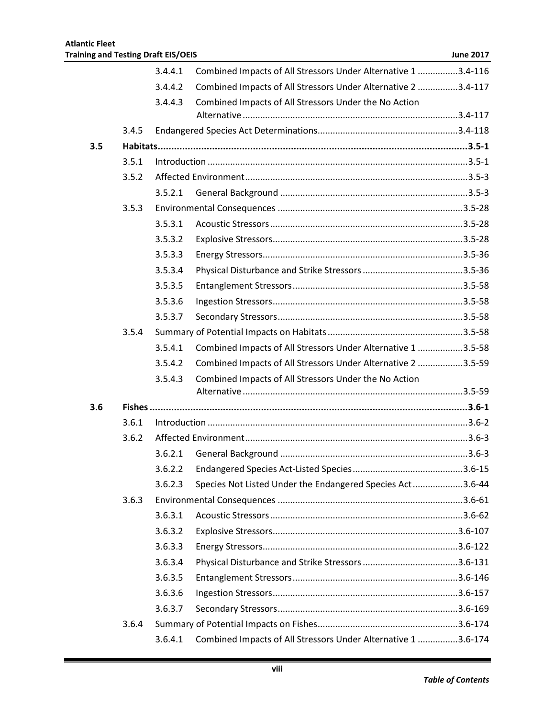|     |       | 3.4.4.1 | Combined Impacts of All Stressors Under Alternative 1 3.4-116 |  |
|-----|-------|---------|---------------------------------------------------------------|--|
|     |       | 3.4.4.2 | Combined Impacts of All Stressors Under Alternative 2 3.4-117 |  |
|     |       | 3.4.4.3 | Combined Impacts of All Stressors Under the No Action         |  |
|     |       |         |                                                               |  |
|     | 3.4.5 |         |                                                               |  |
| 3.5 |       |         |                                                               |  |
|     | 3.5.1 |         |                                                               |  |
|     | 3.5.2 |         |                                                               |  |
|     |       | 3.5.2.1 |                                                               |  |
|     | 3.5.3 |         |                                                               |  |
|     |       | 3.5.3.1 |                                                               |  |
|     |       | 3.5.3.2 |                                                               |  |
|     |       | 3.5.3.3 |                                                               |  |
|     |       | 3.5.3.4 |                                                               |  |
|     |       | 3.5.3.5 |                                                               |  |
|     |       | 3.5.3.6 |                                                               |  |
|     |       | 3.5.3.7 |                                                               |  |
|     | 3.5.4 |         |                                                               |  |
|     |       | 3.5.4.1 | Combined Impacts of All Stressors Under Alternative 1 3.5-58  |  |
|     |       | 3.5.4.2 | Combined Impacts of All Stressors Under Alternative 2 3.5-59  |  |
|     |       | 3.5.4.3 | Combined Impacts of All Stressors Under the No Action         |  |
|     |       |         |                                                               |  |
| 3.6 |       |         |                                                               |  |
|     | 3.6.1 |         |                                                               |  |
|     | 3.6.2 |         |                                                               |  |
|     |       | 3.6.2.1 |                                                               |  |
|     |       |         |                                                               |  |
|     |       | 3.6.2.3 | Species Not Listed Under the Endangered Species Act3.6-44     |  |
|     | 3.6.3 |         |                                                               |  |
|     |       | 3.6.3.1 |                                                               |  |
|     |       | 3.6.3.2 |                                                               |  |
|     |       | 3.6.3.3 |                                                               |  |
|     |       | 3.6.3.4 |                                                               |  |
|     |       | 3.6.3.5 |                                                               |  |
|     |       | 3.6.3.6 |                                                               |  |
|     |       | 3.6.3.7 |                                                               |  |
|     | 3.6.4 |         |                                                               |  |
|     |       | 3.6.4.1 | Combined Impacts of All Stressors Under Alternative 1 3.6-174 |  |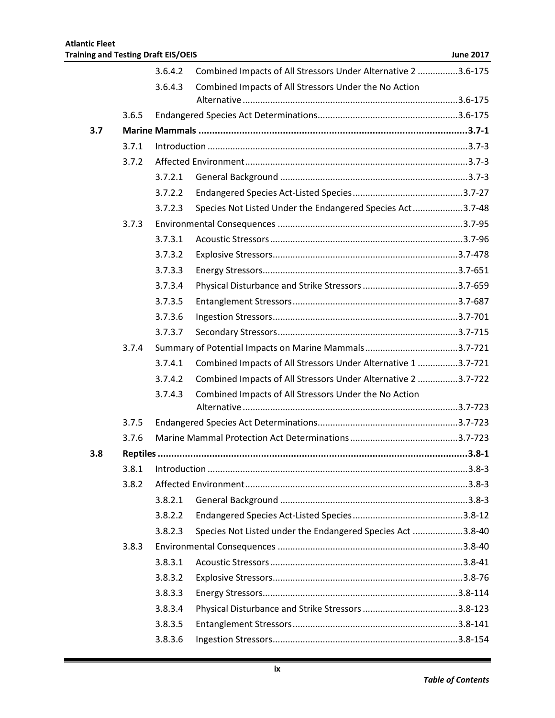|     |       | 3.6.4.2 | Combined Impacts of All Stressors Under Alternative 2 3.6-175 |  |
|-----|-------|---------|---------------------------------------------------------------|--|
|     |       | 3.6.4.3 | Combined Impacts of All Stressors Under the No Action         |  |
|     |       |         |                                                               |  |
|     | 3.6.5 |         |                                                               |  |
| 3.7 |       |         |                                                               |  |
|     | 3.7.1 |         |                                                               |  |
|     | 3.7.2 |         |                                                               |  |
|     |       | 3.7.2.1 |                                                               |  |
|     |       | 3.7.2.2 |                                                               |  |
|     |       | 3.7.2.3 | Species Not Listed Under the Endangered Species Act3.7-48     |  |
|     | 3.7.3 |         |                                                               |  |
|     |       | 3.7.3.1 |                                                               |  |
|     |       | 3.7.3.2 |                                                               |  |
|     |       | 3.7.3.3 |                                                               |  |
|     |       | 3.7.3.4 |                                                               |  |
|     |       | 3.7.3.5 |                                                               |  |
|     |       | 3.7.3.6 |                                                               |  |
|     |       | 3.7.3.7 |                                                               |  |
|     | 3.7.4 |         |                                                               |  |
|     |       | 3.7.4.1 | Combined Impacts of All Stressors Under Alternative 1 3.7-721 |  |
|     |       | 3.7.4.2 | Combined Impacts of All Stressors Under Alternative 2 3.7-722 |  |
|     |       | 3.7.4.3 | Combined Impacts of All Stressors Under the No Action         |  |
|     |       |         |                                                               |  |
|     | 3.7.5 |         |                                                               |  |
|     | 3.7.6 |         |                                                               |  |
| 3.8 |       |         |                                                               |  |
|     |       |         |                                                               |  |
|     | 3.8.2 |         |                                                               |  |
|     |       | 3.8.2.1 |                                                               |  |
|     |       | 3.8.2.2 |                                                               |  |
|     |       | 3.8.2.3 | Species Not Listed under the Endangered Species Act 3.8-40    |  |
|     | 3.8.3 |         |                                                               |  |
|     |       | 3.8.3.1 |                                                               |  |
|     |       | 3.8.3.2 |                                                               |  |
|     |       | 3.8.3.3 |                                                               |  |
|     |       | 3.8.3.4 |                                                               |  |
|     |       | 3.8.3.5 |                                                               |  |
|     |       | 3.8.3.6 |                                                               |  |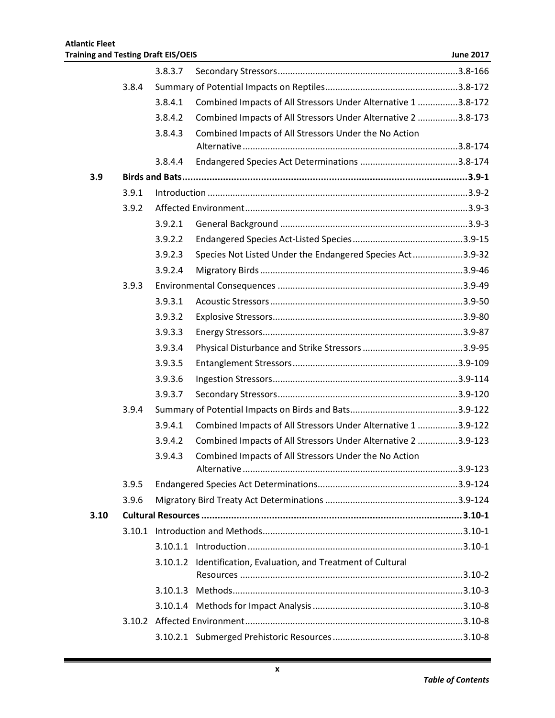|      |       | 3.8.3.7 |                                                                |  |
|------|-------|---------|----------------------------------------------------------------|--|
|      | 3.8.4 |         |                                                                |  |
|      |       | 3.8.4.1 | Combined Impacts of All Stressors Under Alternative 1 3.8-172  |  |
|      |       | 3.8.4.2 | Combined Impacts of All Stressors Under Alternative 2 3.8-173  |  |
|      |       | 3.8.4.3 | Combined Impacts of All Stressors Under the No Action          |  |
|      |       |         |                                                                |  |
|      |       | 3.8.4.4 |                                                                |  |
| 3.9  |       |         |                                                                |  |
|      | 3.9.1 |         |                                                                |  |
|      | 3.9.2 |         |                                                                |  |
|      |       | 3.9.2.1 |                                                                |  |
|      |       | 3.9.2.2 |                                                                |  |
|      |       | 3.9.2.3 | Species Not Listed Under the Endangered Species Act3.9-32      |  |
|      |       | 3.9.2.4 |                                                                |  |
|      | 3.9.3 |         |                                                                |  |
|      |       | 3.9.3.1 |                                                                |  |
|      |       | 3.9.3.2 |                                                                |  |
|      |       | 3.9.3.3 |                                                                |  |
|      |       | 3.9.3.4 |                                                                |  |
|      |       | 3.9.3.5 |                                                                |  |
|      |       | 3.9.3.6 |                                                                |  |
|      |       | 3.9.3.7 |                                                                |  |
|      | 3.9.4 |         |                                                                |  |
|      |       | 3.9.4.1 | Combined Impacts of All Stressors Under Alternative 1 3.9-122  |  |
|      |       | 3.9.4.2 | Combined Impacts of All Stressors Under Alternative 2 3.9-123  |  |
|      |       | 3.9.4.3 | Combined Impacts of All Stressors Under the No Action          |  |
|      |       |         |                                                                |  |
|      | 3.9.5 |         |                                                                |  |
|      | 3.9.6 |         |                                                                |  |
| 3.10 |       |         |                                                                |  |
|      |       |         |                                                                |  |
|      |       |         |                                                                |  |
|      |       |         | 3.10.1.2 Identification, Evaluation, and Treatment of Cultural |  |
|      |       |         |                                                                |  |
|      |       |         |                                                                |  |
|      |       |         |                                                                |  |
|      |       |         |                                                                |  |
|      |       |         |                                                                |  |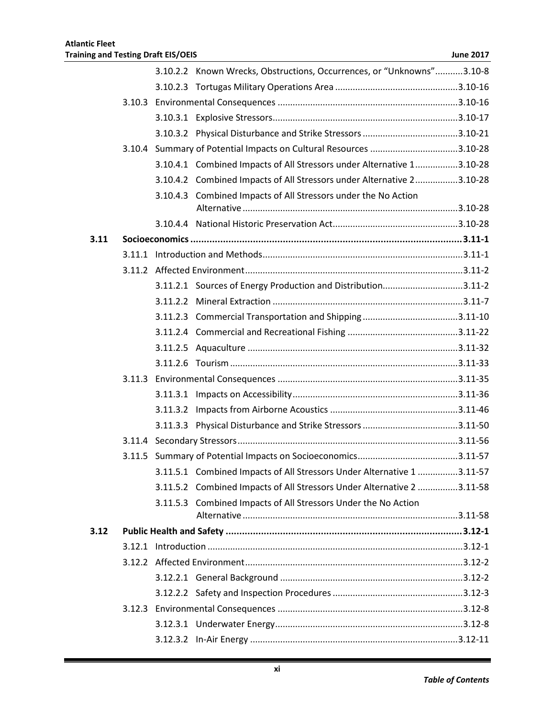|      |  | 3.10.2.2 Known Wrecks, Obstructions, Occurrences, or "Unknowns"3.10-8  |  |
|------|--|------------------------------------------------------------------------|--|
|      |  |                                                                        |  |
|      |  |                                                                        |  |
|      |  |                                                                        |  |
|      |  |                                                                        |  |
|      |  | 3.10.4 Summary of Potential Impacts on Cultural Resources 3.10-28      |  |
|      |  | 3.10.4.1 Combined Impacts of All Stressors under Alternative 13.10-28  |  |
|      |  | 3.10.4.2 Combined Impacts of All Stressors under Alternative 23.10-28  |  |
|      |  | 3.10.4.3 Combined Impacts of All Stressors under the No Action         |  |
|      |  |                                                                        |  |
| 3.11 |  |                                                                        |  |
|      |  |                                                                        |  |
|      |  |                                                                        |  |
|      |  | 3.11.2.1 Sources of Energy Production and Distribution3.11-2           |  |
|      |  |                                                                        |  |
|      |  |                                                                        |  |
|      |  |                                                                        |  |
|      |  |                                                                        |  |
|      |  |                                                                        |  |
|      |  |                                                                        |  |
|      |  |                                                                        |  |
|      |  |                                                                        |  |
|      |  |                                                                        |  |
|      |  |                                                                        |  |
|      |  |                                                                        |  |
|      |  | 3.11.5.1 Combined Impacts of All Stressors Under Alternative 1 3.11-57 |  |
|      |  | 3.11.5.2 Combined Impacts of All Stressors Under Alternative 2 3.11-58 |  |
|      |  | 3.11.5.3 Combined Impacts of All Stressors Under the No Action         |  |
| 3.12 |  |                                                                        |  |
|      |  |                                                                        |  |
|      |  |                                                                        |  |
|      |  |                                                                        |  |
|      |  |                                                                        |  |
|      |  |                                                                        |  |
|      |  |                                                                        |  |
|      |  |                                                                        |  |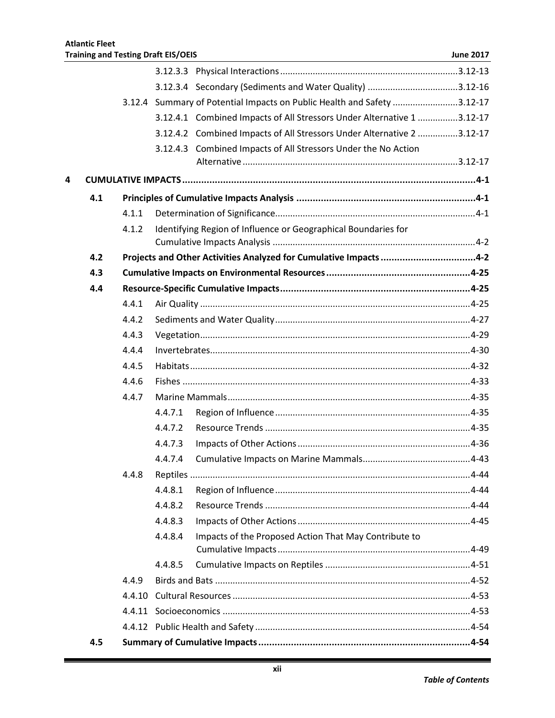|   |     |        |         | 3.12.4 Summary of Potential Impacts on Public Health and Safety 3.12-17 |  |
|---|-----|--------|---------|-------------------------------------------------------------------------|--|
|   |     |        |         | 3.12.4.1 Combined Impacts of All Stressors Under Alternative 1 3.12-17  |  |
|   |     |        |         | 3.12.4.2 Combined Impacts of All Stressors Under Alternative 2 3.12-17  |  |
|   |     |        |         | 3.12.4.3 Combined Impacts of All Stressors Under the No Action          |  |
|   |     |        |         |                                                                         |  |
| 4 |     |        |         |                                                                         |  |
|   | 4.1 |        |         |                                                                         |  |
|   |     | 4.1.1  |         |                                                                         |  |
|   |     | 4.1.2  |         | Identifying Region of Influence or Geographical Boundaries for          |  |
|   |     |        |         |                                                                         |  |
|   | 4.2 |        |         | Projects and Other Activities Analyzed for Cumulative Impacts 4-2       |  |
|   | 4.3 |        |         |                                                                         |  |
|   | 4.4 |        |         |                                                                         |  |
|   |     | 4.4.1  |         |                                                                         |  |
|   |     | 4.4.2  |         |                                                                         |  |
|   |     | 4.4.3  |         |                                                                         |  |
|   |     | 4.4.4  |         |                                                                         |  |
|   |     | 4.4.5  |         |                                                                         |  |
|   |     | 4.4.6  |         |                                                                         |  |
|   |     | 4.4.7  |         |                                                                         |  |
|   |     |        | 4.4.7.1 |                                                                         |  |
|   |     |        | 4.4.7.2 |                                                                         |  |
|   |     |        | 4.4.7.3 |                                                                         |  |
|   |     |        | 4.4.7.4 |                                                                         |  |
|   |     | 4.4.8  |         |                                                                         |  |
|   |     |        | 4.4.8.1 |                                                                         |  |
|   |     |        | 4.4.8.2 |                                                                         |  |
|   |     |        | 4.4.8.3 |                                                                         |  |
|   |     |        | 4.4.8.4 | Impacts of the Proposed Action That May Contribute to                   |  |
|   |     |        | 4.4.8.5 |                                                                         |  |
|   |     | 4.4.9  |         |                                                                         |  |
|   |     | 4.4.10 |         |                                                                         |  |
|   |     |        |         |                                                                         |  |
|   |     |        |         |                                                                         |  |
|   | 4.5 |        |         |                                                                         |  |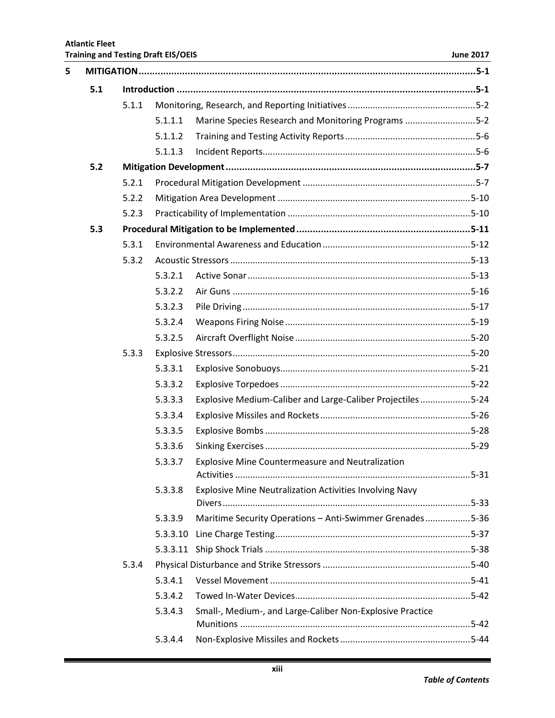| 5 |     |       |          |                                                            |  |
|---|-----|-------|----------|------------------------------------------------------------|--|
|   | 5.1 |       |          |                                                            |  |
|   |     | 5.1.1 |          |                                                            |  |
|   |     |       | 5.1.1.1  | Marine Species Research and Monitoring Programs 5-2        |  |
|   |     |       | 5.1.1.2  |                                                            |  |
|   |     |       | 5.1.1.3  |                                                            |  |
|   | 5.2 |       |          |                                                            |  |
|   |     | 5.2.1 |          |                                                            |  |
|   |     | 5.2.2 |          |                                                            |  |
|   |     | 5.2.3 |          |                                                            |  |
|   | 5.3 |       |          |                                                            |  |
|   |     | 5.3.1 |          |                                                            |  |
|   |     | 5.3.2 |          |                                                            |  |
|   |     |       | 5.3.2.1  |                                                            |  |
|   |     |       | 5.3.2.2  |                                                            |  |
|   |     |       | 5.3.2.3  |                                                            |  |
|   |     |       | 5.3.2.4  |                                                            |  |
|   |     |       | 5.3.2.5  |                                                            |  |
|   |     | 5.3.3 |          |                                                            |  |
|   |     |       | 5.3.3.1  |                                                            |  |
|   |     |       | 5.3.3.2  |                                                            |  |
|   |     |       | 5.3.3.3  | Explosive Medium-Caliber and Large-Caliber Projectiles5-24 |  |
|   |     |       | 5.3.3.4  |                                                            |  |
|   |     |       | 5.3.3.5  |                                                            |  |
|   |     |       | 5.3.3.6  |                                                            |  |
|   |     |       | 5.3.3.7  | <b>Explosive Mine Countermeasure and Neutralization</b>    |  |
|   |     |       |          |                                                            |  |
|   |     |       | 5.3.3.8  | Explosive Mine Neutralization Activities Involving Navy    |  |
|   |     |       | 5.3.3.9  | Maritime Security Operations - Anti-Swimmer Grenades5-36   |  |
|   |     |       | 5.3.3.10 |                                                            |  |
|   |     |       | 5.3.3.11 |                                                            |  |
|   |     | 5.3.4 |          |                                                            |  |
|   |     |       | 5.3.4.1  |                                                            |  |
|   |     |       | 5.3.4.2  |                                                            |  |
|   |     |       | 5.3.4.3  | Small-, Medium-, and Large-Caliber Non-Explosive Practice  |  |
|   |     |       | 5.3.4.4  |                                                            |  |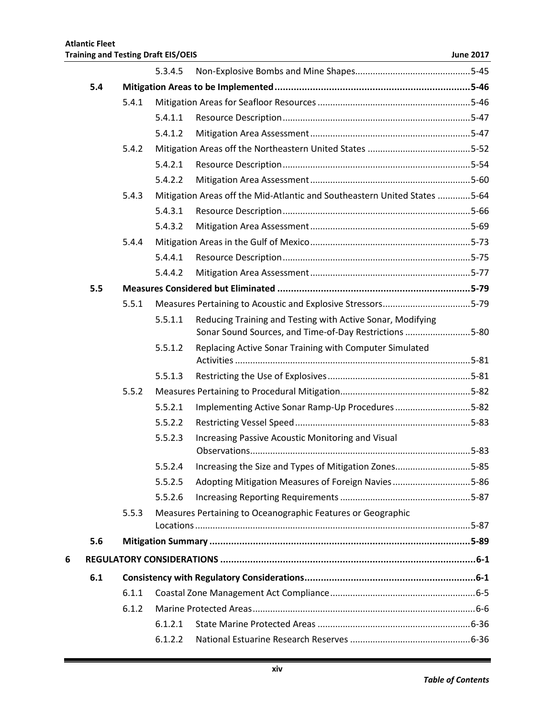|   |     |       | 5.3.4.5 |                                                                           |  |
|---|-----|-------|---------|---------------------------------------------------------------------------|--|
|   | 5.4 |       |         |                                                                           |  |
|   |     | 5.4.1 |         |                                                                           |  |
|   |     |       | 5.4.1.1 |                                                                           |  |
|   |     |       | 5.4.1.2 |                                                                           |  |
|   |     | 5.4.2 |         |                                                                           |  |
|   |     |       | 5.4.2.1 |                                                                           |  |
|   |     |       | 5.4.2.2 |                                                                           |  |
|   |     | 5.4.3 |         | Mitigation Areas off the Mid-Atlantic and Southeastern United States 5-64 |  |
|   |     |       | 5.4.3.1 |                                                                           |  |
|   |     |       | 5.4.3.2 |                                                                           |  |
|   |     | 5.4.4 |         |                                                                           |  |
|   |     |       | 5.4.4.1 |                                                                           |  |
|   |     |       | 5.4.4.2 |                                                                           |  |
|   | 5.5 |       |         |                                                                           |  |
|   |     | 5.5.1 |         |                                                                           |  |
|   |     |       | 5.5.1.1 | Reducing Training and Testing with Active Sonar, Modifying                |  |
|   |     |       |         | Sonar Sound Sources, and Time-of-Day Restrictions 5-80                    |  |
|   |     |       | 5.5.1.2 | Replacing Active Sonar Training with Computer Simulated                   |  |
|   |     |       | 5.5.1.3 |                                                                           |  |
|   |     | 5.5.2 |         |                                                                           |  |
|   |     |       | 5.5.2.1 | Implementing Active Sonar Ramp-Up Procedures5-82                          |  |
|   |     |       | 5.5.2.2 |                                                                           |  |
|   |     |       | 5.5.2.3 | Increasing Passive Acoustic Monitoring and Visual                         |  |
|   |     |       |         | 5.5.2.4 Increasing the Size and Types of Mitigation Zones5-85             |  |
|   |     |       | 5.5.2.5 | Adopting Mitigation Measures of Foreign Navies5-86                        |  |
|   |     |       | 5.5.2.6 |                                                                           |  |
|   |     | 5.5.3 |         | Measures Pertaining to Oceanographic Features or Geographic               |  |
|   |     |       |         |                                                                           |  |
|   | 5.6 |       |         |                                                                           |  |
| 6 |     |       |         |                                                                           |  |
|   | 6.1 |       |         |                                                                           |  |
|   |     | 6.1.1 |         |                                                                           |  |
|   |     | 6.1.2 |         |                                                                           |  |
|   |     |       | 6.1.2.1 |                                                                           |  |
|   |     |       | 6.1.2.2 |                                                                           |  |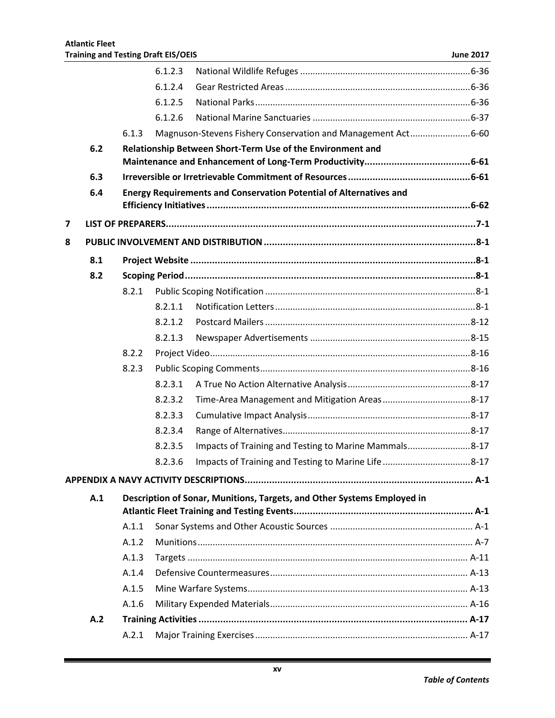|   |     |       | 6.1.2.3 |                                                                           |  |
|---|-----|-------|---------|---------------------------------------------------------------------------|--|
|   |     |       | 6.1.2.4 |                                                                           |  |
|   |     |       | 6.1.2.5 |                                                                           |  |
|   |     |       | 6.1.2.6 |                                                                           |  |
|   |     | 6.1.3 |         | Magnuson-Stevens Fishery Conservation and Management Act6-60              |  |
|   | 6.2 |       |         | Relationship Between Short-Term Use of the Environment and                |  |
|   |     |       |         |                                                                           |  |
|   | 6.3 |       |         |                                                                           |  |
|   | 6.4 |       |         | <b>Energy Requirements and Conservation Potential of Alternatives and</b> |  |
|   |     |       |         |                                                                           |  |
| 7 |     |       |         |                                                                           |  |
| 8 |     |       |         |                                                                           |  |
|   | 8.1 |       |         |                                                                           |  |
|   | 8.2 |       |         |                                                                           |  |
|   |     | 8.2.1 |         |                                                                           |  |
|   |     |       | 8.2.1.1 |                                                                           |  |
|   |     |       | 8.2.1.2 |                                                                           |  |
|   |     |       | 8.2.1.3 |                                                                           |  |
|   |     | 8.2.2 |         |                                                                           |  |
|   |     | 8.2.3 |         |                                                                           |  |
|   |     |       | 8.2.3.1 |                                                                           |  |
|   |     |       | 8.2.3.2 |                                                                           |  |
|   |     |       | 8.2.3.3 |                                                                           |  |
|   |     |       | 8.2.3.4 |                                                                           |  |
|   |     |       | 8.2.3.5 | Impacts of Training and Testing to Marine Mammals8-17                     |  |
|   |     |       | 8.2.3.6 |                                                                           |  |
|   |     |       |         |                                                                           |  |
|   | A.1 |       |         | Description of Sonar, Munitions, Targets, and Other Systems Employed in   |  |
|   |     |       |         |                                                                           |  |
|   |     | A.1.1 |         |                                                                           |  |
|   |     | A.1.2 |         |                                                                           |  |
|   |     | A.1.3 |         |                                                                           |  |
|   |     | A.1.4 |         |                                                                           |  |
|   |     | A.1.5 |         |                                                                           |  |
|   |     | A.1.6 |         |                                                                           |  |
|   | A.2 |       |         |                                                                           |  |
|   |     | A.2.1 |         |                                                                           |  |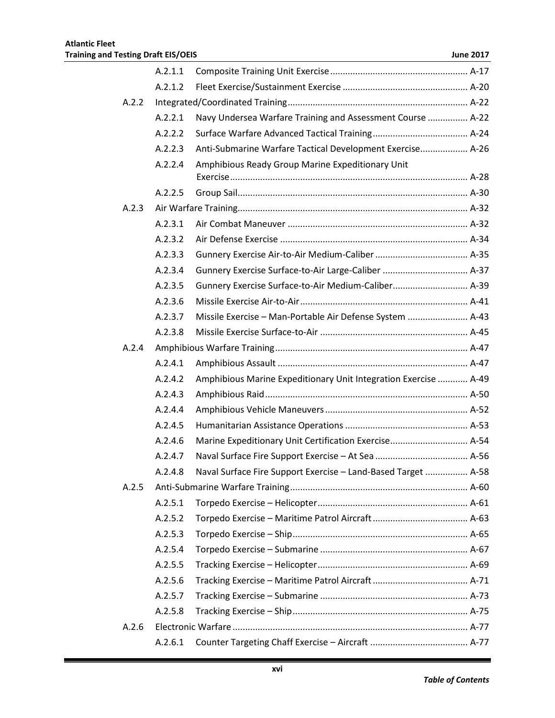|       | A.2.1.1 |                                                                 |  |
|-------|---------|-----------------------------------------------------------------|--|
|       | A.2.1.2 |                                                                 |  |
| A.2.2 |         |                                                                 |  |
|       | A.2.2.1 | Navy Undersea Warfare Training and Assessment Course  A-22      |  |
|       | A.2.2.2 |                                                                 |  |
|       | A.2.2.3 | Anti-Submarine Warfare Tactical Development Exercise A-26       |  |
|       | A.2.2.4 | Amphibious Ready Group Marine Expeditionary Unit                |  |
|       | A.2.2.5 |                                                                 |  |
| A.2.3 |         |                                                                 |  |
|       | A.2.3.1 |                                                                 |  |
|       | A.2.3.2 |                                                                 |  |
|       | A.2.3.3 |                                                                 |  |
|       | A.2.3.4 | Gunnery Exercise Surface-to-Air Large-Caliber  A-37             |  |
|       | A.2.3.5 | Gunnery Exercise Surface-to-Air Medium-Caliber A-39             |  |
|       | A.2.3.6 |                                                                 |  |
|       | A.2.3.7 | Missile Exercise - Man-Portable Air Defense System  A-43        |  |
|       | A.2.3.8 |                                                                 |  |
| A.2.4 |         |                                                                 |  |
|       | A.2.4.1 |                                                                 |  |
|       | A.2.4.2 | Amphibious Marine Expeditionary Unit Integration Exercise  A-49 |  |
|       | A.2.4.3 |                                                                 |  |
|       | A.2.4.4 |                                                                 |  |
|       | A.2.4.5 |                                                                 |  |
|       | A.2.4.6 | Marine Expeditionary Unit Certification Exercise A-54           |  |
|       | A.2.4.7 |                                                                 |  |
|       | A.2.4.8 | Naval Surface Fire Support Exercise - Land-Based Target  A-58   |  |
| A.2.5 |         |                                                                 |  |
|       | A.2.5.1 |                                                                 |  |
|       | A.2.5.2 |                                                                 |  |
|       | A.2.5.3 |                                                                 |  |
|       | A.2.5.4 |                                                                 |  |
|       | A.2.5.5 |                                                                 |  |
|       | A.2.5.6 |                                                                 |  |
|       | A.2.5.7 |                                                                 |  |
|       | A.2.5.8 |                                                                 |  |
| A.2.6 |         |                                                                 |  |
|       | A.2.6.1 |                                                                 |  |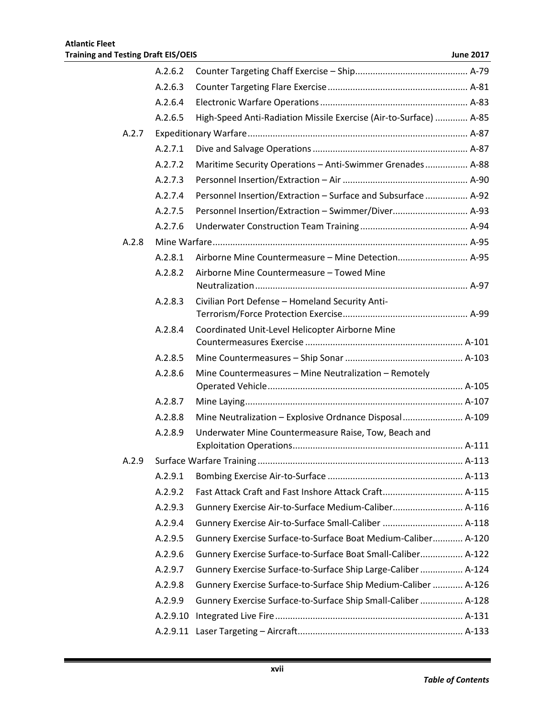|       | A.2.6.2  |                                                                   |
|-------|----------|-------------------------------------------------------------------|
|       | A.2.6.3  |                                                                   |
|       | A.2.6.4  |                                                                   |
|       | A.2.6.5  | High-Speed Anti-Radiation Missile Exercise (Air-to-Surface)  A-85 |
| A.2.7 |          |                                                                   |
|       | A.2.7.1  |                                                                   |
|       | A.2.7.2  | Maritime Security Operations - Anti-Swimmer Grenades A-88         |
|       | A.2.7.3  |                                                                   |
|       | A.2.7.4  | Personnel Insertion/Extraction - Surface and Subsurface  A-92     |
|       | A.2.7.5  | Personnel Insertion/Extraction - Swimmer/Diver A-93               |
|       | A.2.7.6  |                                                                   |
| A.2.8 |          |                                                                   |
|       | A.2.8.1  | Airborne Mine Countermeasure - Mine Detection A-95                |
|       | A.2.8.2  | Airborne Mine Countermeasure - Towed Mine                         |
|       |          |                                                                   |
|       | A.2.8.3  | Civilian Port Defense - Homeland Security Anti-                   |
|       |          |                                                                   |
|       | A.2.8.4  | Coordinated Unit-Level Helicopter Airborne Mine                   |
|       | A.2.8.5  |                                                                   |
|       | A.2.8.6  | Mine Countermeasures - Mine Neutralization - Remotely             |
|       |          |                                                                   |
|       | A.2.8.7  |                                                                   |
|       | A.2.8.8  | Mine Neutralization - Explosive Ordnance Disposal A-109           |
|       | A.2.8.9  | Underwater Mine Countermeasure Raise, Tow, Beach and              |
|       |          |                                                                   |
| A.2.9 |          |                                                                   |
|       | A.2.9.1  |                                                                   |
|       | A.2.9.2  | Fast Attack Craft and Fast Inshore Attack Craft A-115             |
|       | A.2.9.3  | Gunnery Exercise Air-to-Surface Medium-Caliber A-116              |
|       | A.2.9.4  | Gunnery Exercise Air-to-Surface Small-Caliber  A-118              |
|       | A.2.9.5  | Gunnery Exercise Surface-to-Surface Boat Medium-Caliber A-120     |
|       | A.2.9.6  | Gunnery Exercise Surface-to-Surface Boat Small-Caliber A-122      |
|       | A.2.9.7  | Gunnery Exercise Surface-to-Surface Ship Large-Caliber  A-124     |
|       | A.2.9.8  | Gunnery Exercise Surface-to-Surface Ship Medium-Caliber  A-126    |
|       | A.2.9.9  | Gunnery Exercise Surface-to-Surface Ship Small-Caliber  A-128     |
|       | A.2.9.10 |                                                                   |
|       | A.2.9.11 |                                                                   |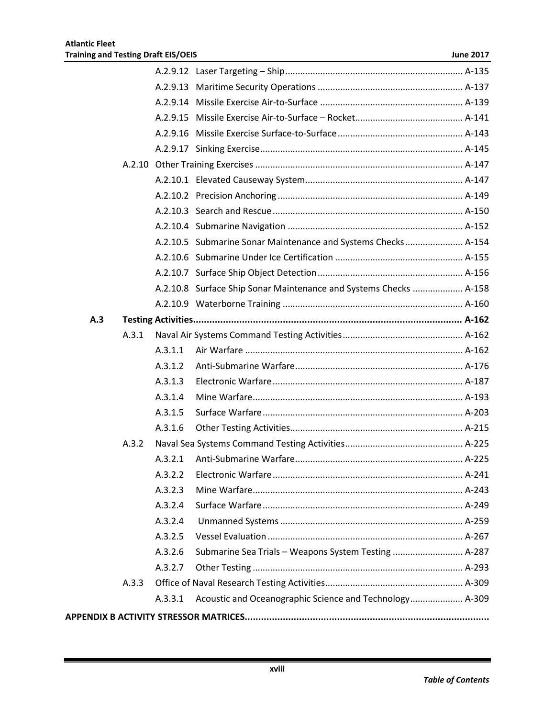|     |       |         | A.2.10.5 Submarine Sonar Maintenance and Systems Checks A-154     |  |
|-----|-------|---------|-------------------------------------------------------------------|--|
|     |       |         |                                                                   |  |
|     |       |         |                                                                   |  |
|     |       |         | A.2.10.8 Surface Ship Sonar Maintenance and Systems Checks  A-158 |  |
|     |       |         |                                                                   |  |
| A.3 |       |         |                                                                   |  |
|     | A.3.1 |         |                                                                   |  |
|     |       | A.3.1.1 |                                                                   |  |
|     |       | A.3.1.2 |                                                                   |  |
|     |       | A.3.1.3 |                                                                   |  |
|     |       | A.3.1.4 |                                                                   |  |
|     |       | A.3.1.5 |                                                                   |  |
|     |       | A.3.1.6 |                                                                   |  |
|     | A.3.2 |         |                                                                   |  |
|     |       | A.3.2.1 |                                                                   |  |
|     |       | A.3.2.2 |                                                                   |  |
|     |       | A.3.2.3 |                                                                   |  |
|     |       | A.3.2.4 |                                                                   |  |
|     |       | A.3.2.4 |                                                                   |  |
|     |       | A.3.2.5 |                                                                   |  |
|     |       | A.3.2.6 | Submarine Sea Trials - Weapons System Testing  A-287              |  |
|     |       | A.3.2.7 |                                                                   |  |
|     | A.3.3 |         |                                                                   |  |
|     |       | A.3.3.1 | Acoustic and Oceanographic Science and Technology A-309           |  |
|     |       |         |                                                                   |  |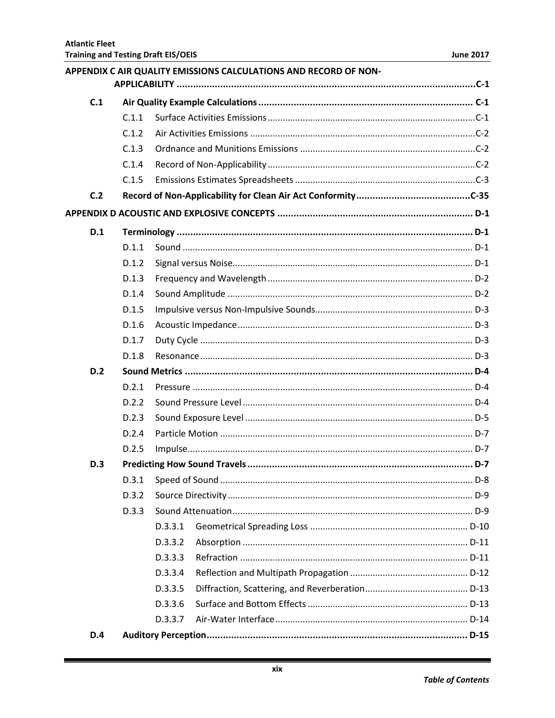|            |       |         | APPENDIX C AIR QUALITY EMISSIONS CALCULATIONS AND RECORD OF NON- |  |  |
|------------|-------|---------|------------------------------------------------------------------|--|--|
| C.1        |       |         |                                                                  |  |  |
|            | C.1.1 |         |                                                                  |  |  |
|            | C.1.2 |         |                                                                  |  |  |
|            | C.1.3 |         |                                                                  |  |  |
|            | C.1.4 |         |                                                                  |  |  |
|            | C.1.5 |         |                                                                  |  |  |
| C.2        |       |         |                                                                  |  |  |
|            |       |         |                                                                  |  |  |
| D.1        |       |         |                                                                  |  |  |
| D.1.1      |       |         |                                                                  |  |  |
|            | D.1.2 |         |                                                                  |  |  |
|            | D.1.3 |         |                                                                  |  |  |
|            | D.1.4 |         |                                                                  |  |  |
|            | D.1.5 |         |                                                                  |  |  |
|            | D.1.6 |         |                                                                  |  |  |
|            | D.1.7 |         |                                                                  |  |  |
|            | D.1.8 |         |                                                                  |  |  |
| D.2        |       |         |                                                                  |  |  |
|            | D.2.1 |         |                                                                  |  |  |
|            | D.2.2 |         |                                                                  |  |  |
|            | D.2.3 |         |                                                                  |  |  |
|            | D.2.4 |         |                                                                  |  |  |
|            | D.2.5 |         |                                                                  |  |  |
| D.3        |       |         |                                                                  |  |  |
|            | D.3.1 |         |                                                                  |  |  |
|            | D.3.2 |         |                                                                  |  |  |
|            | D.3.3 |         |                                                                  |  |  |
|            |       | D.3.3.1 |                                                                  |  |  |
|            |       | D.3.3.2 |                                                                  |  |  |
|            |       | D.3.3.3 |                                                                  |  |  |
|            |       | D.3.3.4 |                                                                  |  |  |
|            |       | D.3.3.5 |                                                                  |  |  |
|            |       | D.3.3.6 |                                                                  |  |  |
|            |       | D.3.3.7 |                                                                  |  |  |
| <b>D.4</b> |       |         |                                                                  |  |  |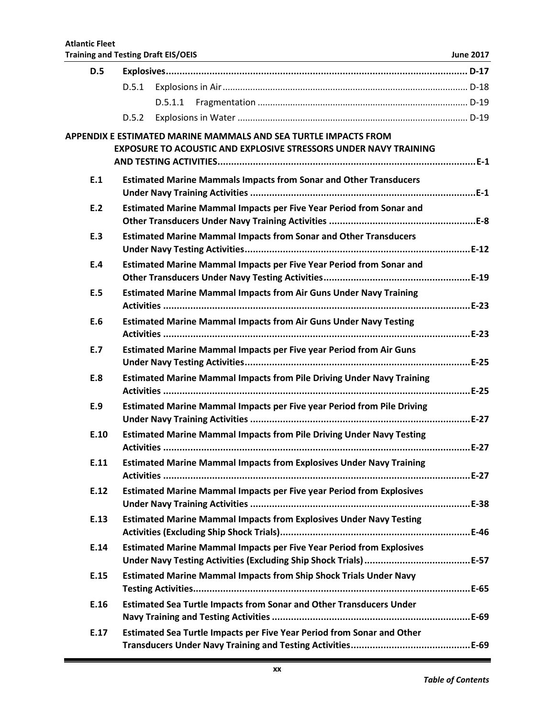| D.5  |                                                                                                                                            |  |
|------|--------------------------------------------------------------------------------------------------------------------------------------------|--|
|      | D.5.1                                                                                                                                      |  |
|      |                                                                                                                                            |  |
|      | D.5.2                                                                                                                                      |  |
|      | APPENDIX E ESTIMATED MARINE MAMMALS AND SEA TURTLE IMPACTS FROM<br><b>EXPOSURE TO ACOUSTIC AND EXPLOSIVE STRESSORS UNDER NAVY TRAINING</b> |  |
|      |                                                                                                                                            |  |
| E.1  | <b>Estimated Marine Mammals Impacts from Sonar and Other Transducers</b>                                                                   |  |
|      |                                                                                                                                            |  |
| E.2  | Estimated Marine Mammal Impacts per Five Year Period from Sonar and                                                                        |  |
| E.3  | <b>Estimated Marine Mammal Impacts from Sonar and Other Transducers</b>                                                                    |  |
|      |                                                                                                                                            |  |
| E.4  | Estimated Marine Mammal Impacts per Five Year Period from Sonar and                                                                        |  |
|      |                                                                                                                                            |  |
| E.5  | <b>Estimated Marine Mammal Impacts from Air Guns Under Navy Training</b>                                                                   |  |
|      |                                                                                                                                            |  |
| E.6  | <b>Estimated Marine Mammal Impacts from Air Guns Under Navy Testing</b>                                                                    |  |
| E.7  | <b>Estimated Marine Mammal Impacts per Five year Period from Air Guns</b>                                                                  |  |
|      |                                                                                                                                            |  |
| E.8  | <b>Estimated Marine Mammal Impacts from Pile Driving Under Navy Training</b>                                                               |  |
| E.9  | Estimated Marine Mammal Impacts per Five year Period from Pile Driving                                                                     |  |
|      |                                                                                                                                            |  |
| E.10 | <b>Estimated Marine Mammal Impacts from Pile Driving Under Navy Testing</b>                                                                |  |
| E.11 | <b>Estimated Marine Mammal Impacts from Explosives Under Navy Training</b>                                                                 |  |
|      |                                                                                                                                            |  |
| E.12 | <b>Estimated Marine Mammal Impacts per Five year Period from Explosives</b>                                                                |  |
| E.13 | <b>Estimated Marine Mammal Impacts from Explosives Under Navy Testing</b>                                                                  |  |
| E.14 | <b>Estimated Marine Mammal Impacts per Five Year Period from Explosives</b>                                                                |  |
|      |                                                                                                                                            |  |
| E.15 | <b>Estimated Marine Mammal Impacts from Ship Shock Trials Under Navy</b>                                                                   |  |
| E.16 | <b>Estimated Sea Turtle Impacts from Sonar and Other Transducers Under</b>                                                                 |  |
|      |                                                                                                                                            |  |
| E.17 | Estimated Sea Turtle Impacts per Five Year Period from Sonar and Other                                                                     |  |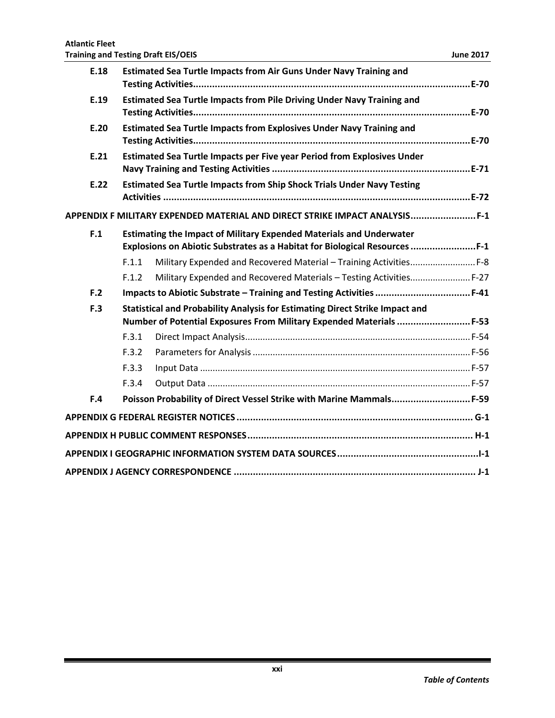| <b>Atlantic Fleet</b><br><b>Training and Testing Draft EIS/OEIS</b> |       |                                                                                                                                                          | <b>June 2017</b> |  |  |  |
|---------------------------------------------------------------------|-------|----------------------------------------------------------------------------------------------------------------------------------------------------------|------------------|--|--|--|
| E.18                                                                |       | <b>Estimated Sea Turtle Impacts from Air Guns Under Navy Training and</b>                                                                                |                  |  |  |  |
| E.19                                                                |       | Estimated Sea Turtle Impacts from Pile Driving Under Navy Training and                                                                                   |                  |  |  |  |
| E.20                                                                |       | <b>Estimated Sea Turtle Impacts from Explosives Under Navy Training and</b>                                                                              |                  |  |  |  |
| E.21                                                                |       | Estimated Sea Turtle Impacts per Five year Period from Explosives Under                                                                                  |                  |  |  |  |
| E.22                                                                |       | <b>Estimated Sea Turtle Impacts from Ship Shock Trials Under Navy Testing</b>                                                                            |                  |  |  |  |
|                                                                     |       | APPENDIX F MILITARY EXPENDED MATERIAL AND DIRECT STRIKE IMPACT ANALYSIS F-1                                                                              |                  |  |  |  |
| F.1                                                                 |       | <b>Estimating the Impact of Military Expended Materials and Underwater</b><br>Explosions on Abiotic Substrates as a Habitat for Biological Resources F-1 |                  |  |  |  |
|                                                                     | F.1.1 | Military Expended and Recovered Material - Training Activities F-8                                                                                       |                  |  |  |  |
|                                                                     | F.1.2 | Military Expended and Recovered Materials - Testing Activities F-27                                                                                      |                  |  |  |  |
| F.2                                                                 |       | Impacts to Abiotic Substrate - Training and Testing Activities  F-41                                                                                     |                  |  |  |  |
| F.3                                                                 |       | Statistical and Probability Analysis for Estimating Direct Strike Impact and                                                                             |                  |  |  |  |
|                                                                     |       | Number of Potential Exposures From Military Expended Materials  F-53                                                                                     |                  |  |  |  |
|                                                                     | F.3.1 |                                                                                                                                                          |                  |  |  |  |
|                                                                     | F.3.2 |                                                                                                                                                          |                  |  |  |  |
|                                                                     | F.3.3 |                                                                                                                                                          |                  |  |  |  |
|                                                                     | F.3.4 |                                                                                                                                                          |                  |  |  |  |
| F.4                                                                 |       | Poisson Probability of Direct Vessel Strike with Marine Mammals F-59                                                                                     |                  |  |  |  |
|                                                                     |       |                                                                                                                                                          |                  |  |  |  |
|                                                                     |       |                                                                                                                                                          |                  |  |  |  |
|                                                                     |       |                                                                                                                                                          |                  |  |  |  |
|                                                                     |       |                                                                                                                                                          |                  |  |  |  |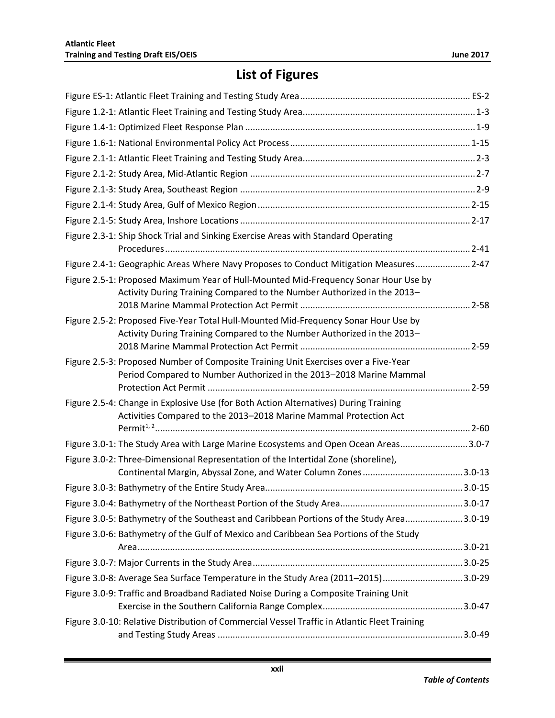## **List of Figures**

| Figure 2.3-1: Ship Shock Trial and Sinking Exercise Areas with Standard Operating                                                                              |  |
|----------------------------------------------------------------------------------------------------------------------------------------------------------------|--|
| Figure 2.4-1: Geographic Areas Where Navy Proposes to Conduct Mitigation Measures 2-47                                                                         |  |
| Figure 2.5-1: Proposed Maximum Year of Hull-Mounted Mid-Frequency Sonar Hour Use by<br>Activity During Training Compared to the Number Authorized in the 2013- |  |
| Figure 2.5-2: Proposed Five-Year Total Hull-Mounted Mid-Frequency Sonar Hour Use by<br>Activity During Training Compared to the Number Authorized in the 2013- |  |
| Figure 2.5-3: Proposed Number of Composite Training Unit Exercises over a Five-Year<br>Period Compared to Number Authorized in the 2013-2018 Marine Mammal     |  |
| Figure 2.5-4: Change in Explosive Use (for Both Action Alternatives) During Training<br>Activities Compared to the 2013-2018 Marine Mammal Protection Act      |  |
| Figure 3.0-1: The Study Area with Large Marine Ecosystems and Open Ocean Areas3.0-7                                                                            |  |
| Figure 3.0-2: Three-Dimensional Representation of the Intertidal Zone (shoreline),                                                                             |  |
|                                                                                                                                                                |  |
|                                                                                                                                                                |  |
|                                                                                                                                                                |  |
| Figure 3.0-5: Bathymetry of the Southeast and Caribbean Portions of the Study Area3.0-19                                                                       |  |
| Figure 3.0-6: Bathymetry of the Gulf of Mexico and Caribbean Sea Portions of the Study                                                                         |  |
|                                                                                                                                                                |  |
| Figure 3.0-8: Average Sea Surface Temperature in the Study Area (2011-2015)3.0-29                                                                              |  |
| Figure 3.0-9: Traffic and Broadband Radiated Noise During a Composite Training Unit                                                                            |  |
| Figure 3.0-10: Relative Distribution of Commercial Vessel Traffic in Atlantic Fleet Training                                                                   |  |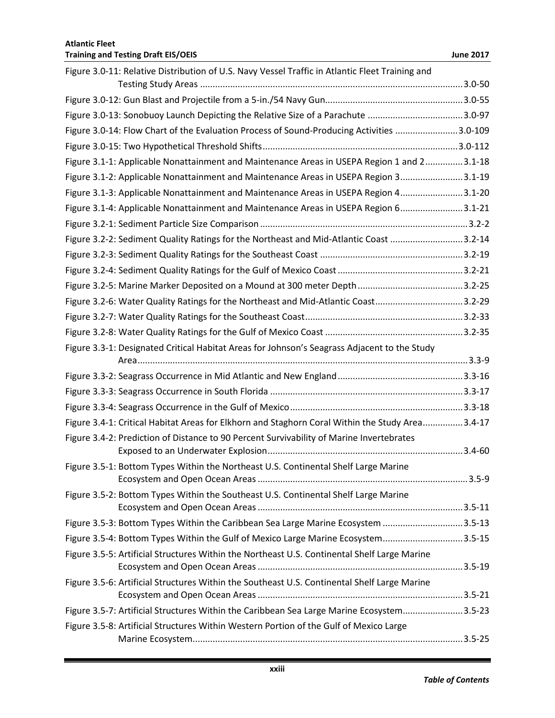| Figure 3.0-11: Relative Distribution of U.S. Navy Vessel Traffic in Atlantic Fleet Training and |  |
|-------------------------------------------------------------------------------------------------|--|
|                                                                                                 |  |
|                                                                                                 |  |
| Figure 3.0-13: Sonobuoy Launch Depicting the Relative Size of a Parachute 3.0-97                |  |
| Figure 3.0-14: Flow Chart of the Evaluation Process of Sound-Producing Activities 3.0-109       |  |
|                                                                                                 |  |
| Figure 3.1-1: Applicable Nonattainment and Maintenance Areas in USEPA Region 1 and 23.1-18      |  |
| Figure 3.1-2: Applicable Nonattainment and Maintenance Areas in USEPA Region 33.1-19            |  |
| Figure 3.1-3: Applicable Nonattainment and Maintenance Areas in USEPA Region 43.1-20            |  |
| Figure 3.1-4: Applicable Nonattainment and Maintenance Areas in USEPA Region 63.1-21            |  |
|                                                                                                 |  |
| Figure 3.2-2: Sediment Quality Ratings for the Northeast and Mid-Atlantic Coast 3.2-14          |  |
|                                                                                                 |  |
|                                                                                                 |  |
|                                                                                                 |  |
| Figure 3.2-6: Water Quality Ratings for the Northeast and Mid-Atlantic Coast3.2-29              |  |
|                                                                                                 |  |
|                                                                                                 |  |
| Figure 3.3-1: Designated Critical Habitat Areas for Johnson's Seagrass Adjacent to the Study    |  |
|                                                                                                 |  |
|                                                                                                 |  |
|                                                                                                 |  |
|                                                                                                 |  |
| Figure 3.4-1: Critical Habitat Areas for Elkhorn and Staghorn Coral Within the Study Area3.4-17 |  |
| Figure 3.4-2: Prediction of Distance to 90 Percent Survivability of Marine Invertebrates        |  |
|                                                                                                 |  |
| Figure 3.5-1: Bottom Types Within the Northeast U.S. Continental Shelf Large Marine             |  |
| Figure 3.5-2: Bottom Types Within the Southeast U.S. Continental Shelf Large Marine             |  |
|                                                                                                 |  |
| Figure 3.5-3: Bottom Types Within the Caribbean Sea Large Marine Ecosystem 3.5-13               |  |
| Figure 3.5-4: Bottom Types Within the Gulf of Mexico Large Marine Ecosystem3.5-15               |  |
| Figure 3.5-5: Artificial Structures Within the Northeast U.S. Continental Shelf Large Marine    |  |
| Figure 3.5-6: Artificial Structures Within the Southeast U.S. Continental Shelf Large Marine    |  |
|                                                                                                 |  |
| Figure 3.5-7: Artificial Structures Within the Caribbean Sea Large Marine Ecosystem3.5-23       |  |
| Figure 3.5-8: Artificial Structures Within Western Portion of the Gulf of Mexico Large          |  |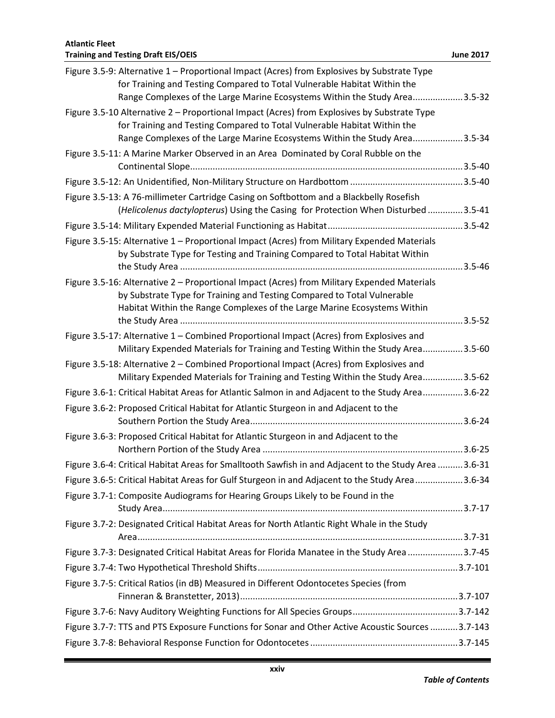| <b>Atlantic Fleet</b>                                                                                                                                                                                                                                 |                  |
|-------------------------------------------------------------------------------------------------------------------------------------------------------------------------------------------------------------------------------------------------------|------------------|
| <b>Training and Testing Draft EIS/OEIS</b>                                                                                                                                                                                                            | <b>June 2017</b> |
| Figure 3.5-9: Alternative 1 - Proportional Impact (Acres) from Explosives by Substrate Type<br>for Training and Testing Compared to Total Vulnerable Habitat Within the<br>Range Complexes of the Large Marine Ecosystems Within the Study Area3.5-32 |                  |
| Figure 3.5-10 Alternative 2 - Proportional Impact (Acres) from Explosives by Substrate Type                                                                                                                                                           |                  |
| for Training and Testing Compared to Total Vulnerable Habitat Within the                                                                                                                                                                              |                  |
| Range Complexes of the Large Marine Ecosystems Within the Study Area3.5-34                                                                                                                                                                            |                  |
| Figure 3.5-11: A Marine Marker Observed in an Area Dominated by Coral Rubble on the                                                                                                                                                                   |                  |
|                                                                                                                                                                                                                                                       |                  |
|                                                                                                                                                                                                                                                       |                  |
| Figure 3.5-13: A 76-millimeter Cartridge Casing on Softbottom and a Blackbelly Rosefish                                                                                                                                                               |                  |
| (Helicolenus dactylopterus) Using the Casing for Protection When Disturbed 3.5-41                                                                                                                                                                     |                  |
|                                                                                                                                                                                                                                                       |                  |
| Figure 3.5-15: Alternative 1 - Proportional Impact (Acres) from Military Expended Materials<br>by Substrate Type for Testing and Training Compared to Total Habitat Within                                                                            |                  |
| Figure 3.5-16: Alternative 2 – Proportional Impact (Acres) from Military Expended Materials                                                                                                                                                           |                  |
| by Substrate Type for Training and Testing Compared to Total Vulnerable                                                                                                                                                                               |                  |
| Habitat Within the Range Complexes of the Large Marine Ecosystems Within                                                                                                                                                                              |                  |
| Figure 3.5-17: Alternative 1 – Combined Proportional Impact (Acres) from Explosives and                                                                                                                                                               |                  |
| Military Expended Materials for Training and Testing Within the Study Area3.5-60                                                                                                                                                                      |                  |
| Figure 3.5-18: Alternative 2 – Combined Proportional Impact (Acres) from Explosives and                                                                                                                                                               |                  |
| Military Expended Materials for Training and Testing Within the Study Area3.5-62                                                                                                                                                                      |                  |
| Figure 3.6-1: Critical Habitat Areas for Atlantic Salmon in and Adjacent to the Study Area3.6-22                                                                                                                                                      |                  |
| Figure 3.6-2: Proposed Critical Habitat for Atlantic Sturgeon in and Adjacent to the                                                                                                                                                                  |                  |
| Figure 3.6-3: Proposed Critical Habitat for Atlantic Sturgeon in and Adjacent to the                                                                                                                                                                  |                  |
|                                                                                                                                                                                                                                                       |                  |
| Figure 3.6-4: Critical Habitat Areas for Smalltooth Sawfish in and Adjacent to the Study Area 3.6-31                                                                                                                                                  |                  |
| Figure 3.6-5: Critical Habitat Areas for Gulf Sturgeon in and Adjacent to the Study Area3.6-34                                                                                                                                                        |                  |
| Figure 3.7-1: Composite Audiograms for Hearing Groups Likely to be Found in the                                                                                                                                                                       |                  |
|                                                                                                                                                                                                                                                       |                  |
| Figure 3.7-2: Designated Critical Habitat Areas for North Atlantic Right Whale in the Study                                                                                                                                                           |                  |
| Figure 3.7-3: Designated Critical Habitat Areas for Florida Manatee in the Study Area 3.7-45                                                                                                                                                          |                  |
|                                                                                                                                                                                                                                                       |                  |
| Figure 3.7-5: Critical Ratios (in dB) Measured in Different Odontocetes Species (from                                                                                                                                                                 |                  |
|                                                                                                                                                                                                                                                       |                  |
|                                                                                                                                                                                                                                                       |                  |
| Figure 3.7-7: TTS and PTS Exposure Functions for Sonar and Other Active Acoustic Sources  3.7-143                                                                                                                                                     |                  |
|                                                                                                                                                                                                                                                       |                  |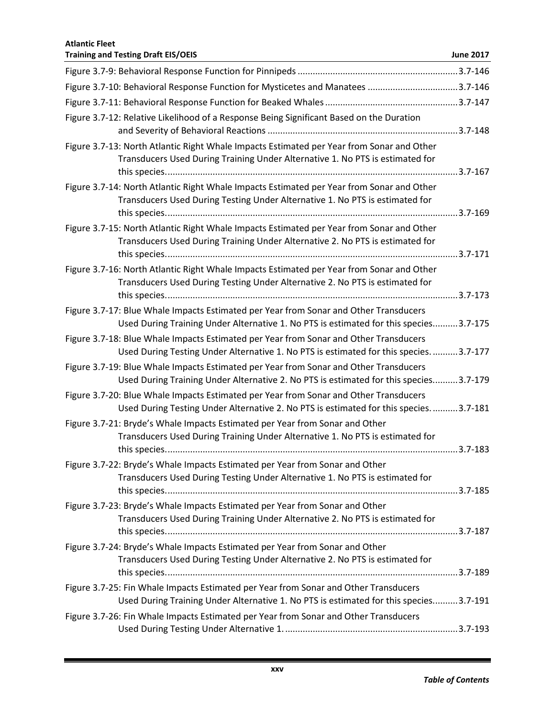| <b>Atlantic Fleet</b><br><b>Training and Testing Draft EIS/OEIS</b>                                                                                                            | <b>June 2017</b> |
|--------------------------------------------------------------------------------------------------------------------------------------------------------------------------------|------------------|
|                                                                                                                                                                                |                  |
| Figure 3.7-10: Behavioral Response Function for Mysticetes and Manatees 3.7-146                                                                                                |                  |
|                                                                                                                                                                                |                  |
| Figure 3.7-12: Relative Likelihood of a Response Being Significant Based on the Duration                                                                                       |                  |
| Figure 3.7-13: North Atlantic Right Whale Impacts Estimated per Year from Sonar and Other<br>Transducers Used During Training Under Alternative 1. No PTS is estimated for     |                  |
| Figure 3.7-14: North Atlantic Right Whale Impacts Estimated per Year from Sonar and Other<br>Transducers Used During Testing Under Alternative 1. No PTS is estimated for      |                  |
| Figure 3.7-15: North Atlantic Right Whale Impacts Estimated per Year from Sonar and Other<br>Transducers Used During Training Under Alternative 2. No PTS is estimated for     |                  |
| Figure 3.7-16: North Atlantic Right Whale Impacts Estimated per Year from Sonar and Other<br>Transducers Used During Testing Under Alternative 2. No PTS is estimated for      |                  |
| Figure 3.7-17: Blue Whale Impacts Estimated per Year from Sonar and Other Transducers<br>Used During Training Under Alternative 1. No PTS is estimated for this species3.7-175 |                  |
| Figure 3.7-18: Blue Whale Impacts Estimated per Year from Sonar and Other Transducers<br>Used During Testing Under Alternative 1. No PTS is estimated for this species3.7-177  |                  |
| Figure 3.7-19: Blue Whale Impacts Estimated per Year from Sonar and Other Transducers<br>Used During Training Under Alternative 2. No PTS is estimated for this species3.7-179 |                  |
| Figure 3.7-20: Blue Whale Impacts Estimated per Year from Sonar and Other Transducers<br>Used During Testing Under Alternative 2. No PTS is estimated for this species3.7-181  |                  |
| Figure 3.7-21: Bryde's Whale Impacts Estimated per Year from Sonar and Other<br>Transducers Used During Training Under Alternative 1. No PTS is estimated for                  |                  |
| Figure 3.7-22: Bryde's Whale Impacts Estimated per Year from Sonar and Other<br>Transducers Used During Testing Under Alternative 1. No PTS is estimated for                   |                  |
| Figure 3.7-23: Bryde's Whale Impacts Estimated per Year from Sonar and Other<br>Transducers Used During Training Under Alternative 2. No PTS is estimated for                  |                  |
| Figure 3.7-24: Bryde's Whale Impacts Estimated per Year from Sonar and Other<br>Transducers Used During Testing Under Alternative 2. No PTS is estimated for                   |                  |
| Figure 3.7-25: Fin Whale Impacts Estimated per Year from Sonar and Other Transducers<br>Used During Training Under Alternative 1. No PTS is estimated for this species3.7-191  |                  |
| Figure 3.7-26: Fin Whale Impacts Estimated per Year from Sonar and Other Transducers                                                                                           |                  |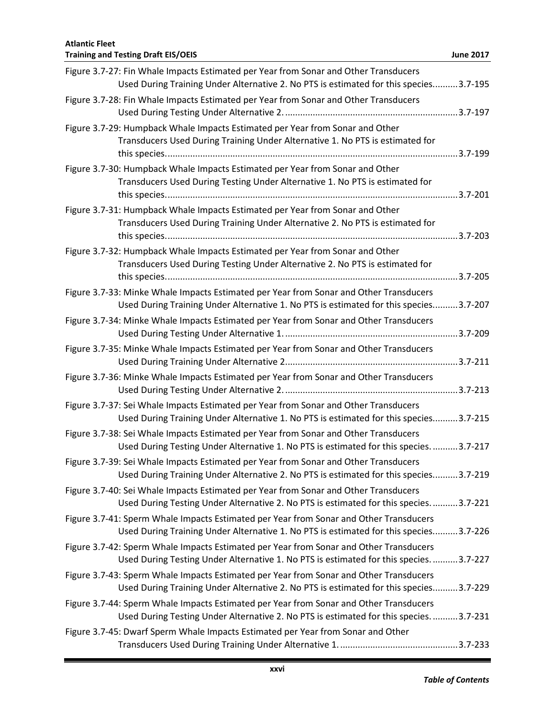| <b>Atlantic Fleet</b><br><b>Training and Testing Draft EIS/OEIS</b>                                                                                                              | <b>June 2017</b> |
|----------------------------------------------------------------------------------------------------------------------------------------------------------------------------------|------------------|
| Figure 3.7-27: Fin Whale Impacts Estimated per Year from Sonar and Other Transducers<br>Used During Training Under Alternative 2. No PTS is estimated for this species3.7-195    |                  |
| Figure 3.7-28: Fin Whale Impacts Estimated per Year from Sonar and Other Transducers                                                                                             |                  |
| Figure 3.7-29: Humpback Whale Impacts Estimated per Year from Sonar and Other<br>Transducers Used During Training Under Alternative 1. No PTS is estimated for                   |                  |
| Figure 3.7-30: Humpback Whale Impacts Estimated per Year from Sonar and Other<br>Transducers Used During Testing Under Alternative 1. No PTS is estimated for                    |                  |
| Figure 3.7-31: Humpback Whale Impacts Estimated per Year from Sonar and Other<br>Transducers Used During Training Under Alternative 2. No PTS is estimated for                   |                  |
| Figure 3.7-32: Humpback Whale Impacts Estimated per Year from Sonar and Other<br>Transducers Used During Testing Under Alternative 2. No PTS is estimated for                    |                  |
| Figure 3.7-33: Minke Whale Impacts Estimated per Year from Sonar and Other Transducers<br>Used During Training Under Alternative 1. No PTS is estimated for this species3.7-207  |                  |
| Figure 3.7-34: Minke Whale Impacts Estimated per Year from Sonar and Other Transducers<br>Figure 3.7-35: Minke Whale Impacts Estimated per Year from Sonar and Other Transducers |                  |
|                                                                                                                                                                                  |                  |
| Figure 3.7-36: Minke Whale Impacts Estimated per Year from Sonar and Other Transducers                                                                                           |                  |
| Figure 3.7-37: Sei Whale Impacts Estimated per Year from Sonar and Other Transducers<br>Used During Training Under Alternative 1. No PTS is estimated for this species3.7-215    |                  |
| Figure 3.7-38: Sei Whale Impacts Estimated per Year from Sonar and Other Transducers<br>Used During Testing Under Alternative 1. No PTS is estimated for this species. 3.7-217   |                  |
| Figure 3.7-39: Sei Whale Impacts Estimated per Year from Sonar and Other Transducers<br>Used During Training Under Alternative 2. No PTS is estimated for this species3.7-219    |                  |
| Figure 3.7-40: Sei Whale Impacts Estimated per Year from Sonar and Other Transducers<br>Used During Testing Under Alternative 2. No PTS is estimated for this species3.7-221     |                  |
| Figure 3.7-41: Sperm Whale Impacts Estimated per Year from Sonar and Other Transducers<br>Used During Training Under Alternative 1. No PTS is estimated for this species3.7-226  |                  |
| Figure 3.7-42: Sperm Whale Impacts Estimated per Year from Sonar and Other Transducers<br>Used During Testing Under Alternative 1. No PTS is estimated for this species3.7-227   |                  |
| Figure 3.7-43: Sperm Whale Impacts Estimated per Year from Sonar and Other Transducers<br>Used During Training Under Alternative 2. No PTS is estimated for this species3.7-229  |                  |
| Figure 3.7-44: Sperm Whale Impacts Estimated per Year from Sonar and Other Transducers<br>Used During Testing Under Alternative 2. No PTS is estimated for this species3.7-231   |                  |
| Figure 3.7-45: Dwarf Sperm Whale Impacts Estimated per Year from Sonar and Other                                                                                                 |                  |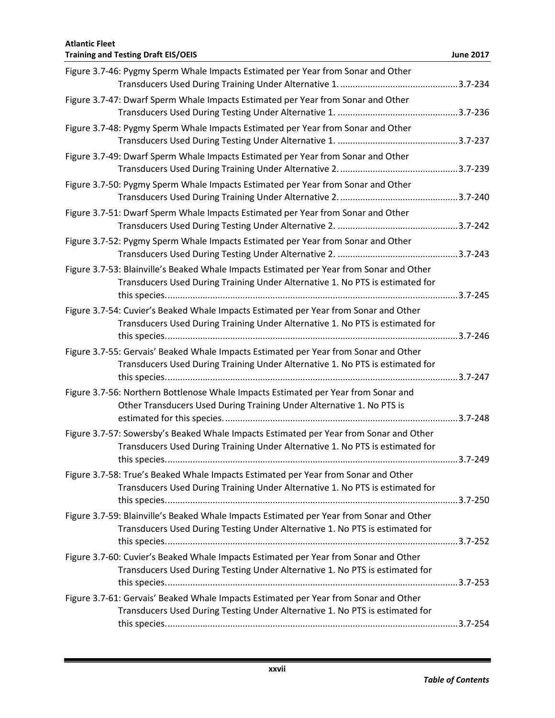| <b>Atlantic Fleet</b><br><b>Training and Testing Draft EIS/OEIS</b>                                                                                                       | <b>June 2017</b> |
|---------------------------------------------------------------------------------------------------------------------------------------------------------------------------|------------------|
| Figure 3.7-46: Pygmy Sperm Whale Impacts Estimated per Year from Sonar and Other                                                                                          |                  |
| Figure 3.7-47: Dwarf Sperm Whale Impacts Estimated per Year from Sonar and Other                                                                                          |                  |
| Figure 3.7-48: Pygmy Sperm Whale Impacts Estimated per Year from Sonar and Other                                                                                          |                  |
| Figure 3.7-49: Dwarf Sperm Whale Impacts Estimated per Year from Sonar and Other                                                                                          |                  |
| Figure 3.7-50: Pygmy Sperm Whale Impacts Estimated per Year from Sonar and Other                                                                                          |                  |
| Figure 3.7-51: Dwarf Sperm Whale Impacts Estimated per Year from Sonar and Other                                                                                          |                  |
| Figure 3.7-52: Pygmy Sperm Whale Impacts Estimated per Year from Sonar and Other                                                                                          |                  |
| Figure 3.7-53: Blainville's Beaked Whale Impacts Estimated per Year from Sonar and Other<br>Transducers Used During Training Under Alternative 1. No PTS is estimated for |                  |
| Figure 3.7-54: Cuvier's Beaked Whale Impacts Estimated per Year from Sonar and Other<br>Transducers Used During Training Under Alternative 1. No PTS is estimated for     |                  |
| Figure 3.7-55: Gervais' Beaked Whale Impacts Estimated per Year from Sonar and Other<br>Transducers Used During Training Under Alternative 1. No PTS is estimated for     |                  |
| Figure 3.7-56: Northern Bottlenose Whale Impacts Estimated per Year from Sonar and<br>Other Transducers Used During Training Under Alternative 1. No PTS is               |                  |
| Figure 3.7-57: Sowersby's Beaked Whale Impacts Estimated per Year from Sonar and Other<br>Transducers Used During Training Under Alternative 1. No PTS is estimated for   |                  |
| Figure 3.7-58: True's Beaked Whale Impacts Estimated per Year from Sonar and Other<br>Transducers Used During Training Under Alternative 1. No PTS is estimated for       |                  |
| Figure 3.7-59: Blainville's Beaked Whale Impacts Estimated per Year from Sonar and Other<br>Transducers Used During Testing Under Alternative 1. No PTS is estimated for  |                  |
| Figure 3.7-60: Cuvier's Beaked Whale Impacts Estimated per Year from Sonar and Other<br>Transducers Used During Testing Under Alternative 1. No PTS is estimated for      |                  |
| Figure 3.7-61: Gervais' Beaked Whale Impacts Estimated per Year from Sonar and Other<br>Transducers Used During Testing Under Alternative 1. No PTS is estimated for      |                  |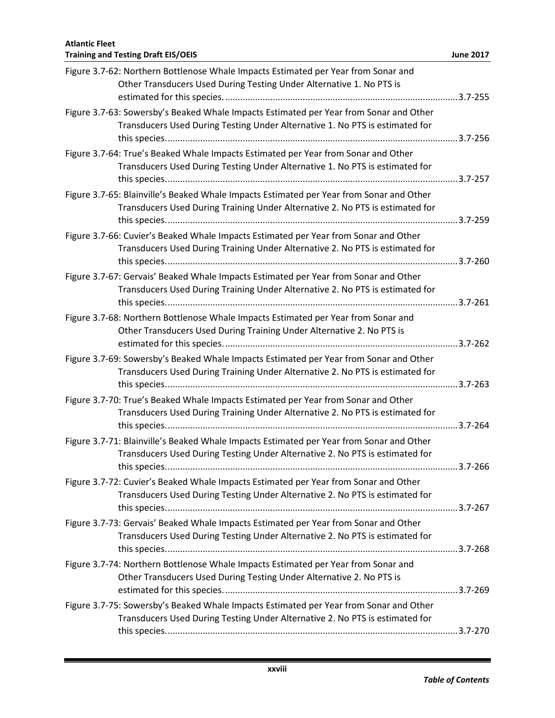| Figure 3.7-62: Northern Bottlenose Whale Impacts Estimated per Year from Sonar and<br>Other Transducers Used During Testing Under Alternative 1. No PTS is                |  |
|---------------------------------------------------------------------------------------------------------------------------------------------------------------------------|--|
| Figure 3.7-63: Sowersby's Beaked Whale Impacts Estimated per Year from Sonar and Other<br>Transducers Used During Testing Under Alternative 1. No PTS is estimated for    |  |
| Figure 3.7-64: True's Beaked Whale Impacts Estimated per Year from Sonar and Other<br>Transducers Used During Testing Under Alternative 1. No PTS is estimated for        |  |
| Figure 3.7-65: Blainville's Beaked Whale Impacts Estimated per Year from Sonar and Other<br>Transducers Used During Training Under Alternative 2. No PTS is estimated for |  |
| Figure 3.7-66: Cuvier's Beaked Whale Impacts Estimated per Year from Sonar and Other<br>Transducers Used During Training Under Alternative 2. No PTS is estimated for     |  |
| Figure 3.7-67: Gervais' Beaked Whale Impacts Estimated per Year from Sonar and Other<br>Transducers Used During Training Under Alternative 2. No PTS is estimated for     |  |
| Figure 3.7-68: Northern Bottlenose Whale Impacts Estimated per Year from Sonar and<br>Other Transducers Used During Training Under Alternative 2. No PTS is               |  |
| Figure 3.7-69: Sowersby's Beaked Whale Impacts Estimated per Year from Sonar and Other<br>Transducers Used During Training Under Alternative 2. No PTS is estimated for   |  |
| Figure 3.7-70: True's Beaked Whale Impacts Estimated per Year from Sonar and Other<br>Transducers Used During Training Under Alternative 2. No PTS is estimated for       |  |
| Figure 3.7-71: Blainville's Beaked Whale Impacts Estimated per Year from Sonar and Other<br>Transducers Used During Testing Under Alternative 2. No PTS is estimated for  |  |
| Figure 3.7-72: Cuvier's Beaked Whale Impacts Estimated per Year from Sonar and Other<br>Transducers Used During Testing Under Alternative 2. No PTS is estimated for      |  |
| Figure 3.7-73: Gervais' Beaked Whale Impacts Estimated per Year from Sonar and Other<br>Transducers Used During Testing Under Alternative 2. No PTS is estimated for      |  |
| Figure 3.7-74: Northern Bottlenose Whale Impacts Estimated per Year from Sonar and<br>Other Transducers Used During Testing Under Alternative 2. No PTS is                |  |
| Figure 3.7-75: Sowersby's Beaked Whale Impacts Estimated per Year from Sonar and Other<br>Transducers Used During Testing Under Alternative 2. No PTS is estimated for    |  |
|                                                                                                                                                                           |  |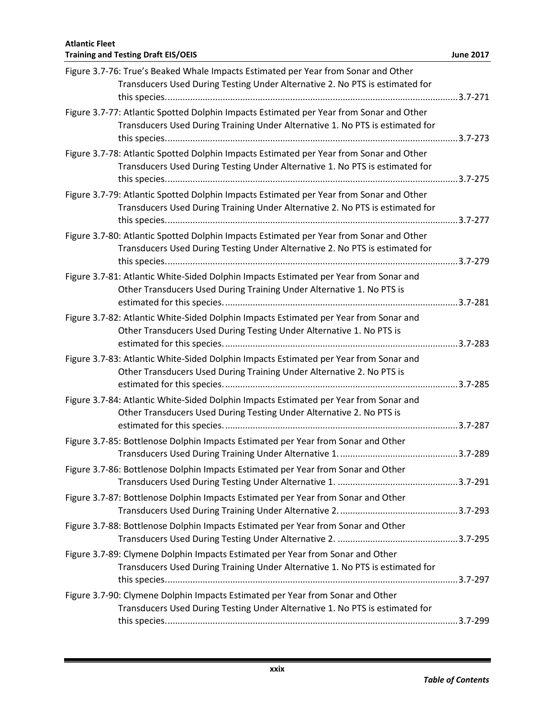| Figure 3.7-76: True's Beaked Whale Impacts Estimated per Year from Sonar and Other<br>Transducers Used During Testing Under Alternative 2. No PTS is estimated for       |  |
|--------------------------------------------------------------------------------------------------------------------------------------------------------------------------|--|
| Figure 3.7-77: Atlantic Spotted Dolphin Impacts Estimated per Year from Sonar and Other<br>Transducers Used During Training Under Alternative 1. No PTS is estimated for |  |
| Figure 3.7-78: Atlantic Spotted Dolphin Impacts Estimated per Year from Sonar and Other<br>Transducers Used During Testing Under Alternative 1. No PTS is estimated for  |  |
| Figure 3.7-79: Atlantic Spotted Dolphin Impacts Estimated per Year from Sonar and Other<br>Transducers Used During Training Under Alternative 2. No PTS is estimated for |  |
| Figure 3.7-80: Atlantic Spotted Dolphin Impacts Estimated per Year from Sonar and Other<br>Transducers Used During Testing Under Alternative 2. No PTS is estimated for  |  |
| Figure 3.7-81: Atlantic White-Sided Dolphin Impacts Estimated per Year from Sonar and<br>Other Transducers Used During Training Under Alternative 1. No PTS is           |  |
| Figure 3.7-82: Atlantic White-Sided Dolphin Impacts Estimated per Year from Sonar and<br>Other Transducers Used During Testing Under Alternative 1. No PTS is            |  |
| Figure 3.7-83: Atlantic White-Sided Dolphin Impacts Estimated per Year from Sonar and<br>Other Transducers Used During Training Under Alternative 2. No PTS is           |  |
| Figure 3.7-84: Atlantic White-Sided Dolphin Impacts Estimated per Year from Sonar and<br>Other Transducers Used During Testing Under Alternative 2. No PTS is            |  |
| Figure 3.7-85: Bottlenose Dolphin Impacts Estimated per Year from Sonar and Other                                                                                        |  |
| Figure 3.7-86: Bottlenose Dolphin Impacts Estimated per Year from Sonar and Other                                                                                        |  |
| Figure 3.7-87: Bottlenose Dolphin Impacts Estimated per Year from Sonar and Other<br>Figure 3.7-88: Bottlenose Dolphin Impacts Estimated per Year from Sonar and Other   |  |
| Figure 3.7-89: Clymene Dolphin Impacts Estimated per Year from Sonar and Other                                                                                           |  |
| Transducers Used During Training Under Alternative 1. No PTS is estimated for                                                                                            |  |
| Figure 3.7-90: Clymene Dolphin Impacts Estimated per Year from Sonar and Other<br>Transducers Used During Testing Under Alternative 1. No PTS is estimated for           |  |
|                                                                                                                                                                          |  |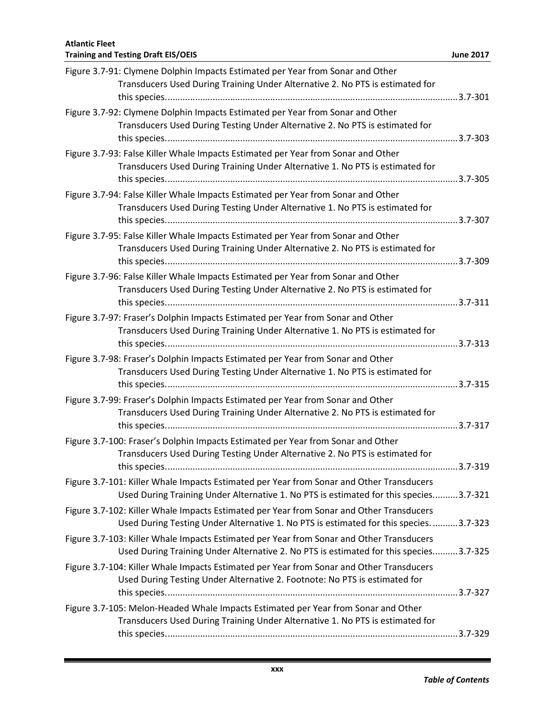### **Training and Testing Draft EIS/OEIS June 2017** Figure 3.7-91: Clymene Dolphin Impacts Estimated per Year from Sonar and Other Transducers Used During Training Under Alternative 2. No PTS is estimated for this species.....................................................................................................................3.7-301 Figure 3.7-92: Clymene Dolphin Impacts Estimated per Year from Sonar and Other Transducers Used During Testing Under Alternative 2. No PTS is estimated for this species.....................................................................................................................3.7-303 Figure 3.7-93: False Killer Whale Impacts Estimated per Year from Sonar and Other Transducers Used During Training Under Alternative 1. No PTS is estimated for this species.....................................................................................................................3.7-305 Figure 3.7-94: False Killer Whale Impacts Estimated per Year from Sonar and Other Transducers Used During Testing Under Alternative 1. No PTS is estimated for this species.....................................................................................................................3.7-307 Figure 3.7-95: False Killer Whale Impacts Estimated per Year from Sonar and Other Transducers Used During Training Under Alternative 2. No PTS is estimated for this species.....................................................................................................................3.7-309 Figure 3.7-96: False Killer Whale Impacts Estimated per Year from Sonar and Other Transducers Used During Testing Under Alternative 2. No PTS is estimated for this species.....................................................................................................................3.7-311 Figure 3.7-97: Fraser's Dolphin Impacts Estimated per Year from Sonar and Other Transducers Used During Training Under Alternative 1. No PTS is estimated for this species.....................................................................................................................3.7-313 Figure 3.7-98: Fraser's Dolphin Impacts Estimated per Year from Sonar and Other Transducers Used During Testing Under Alternative 1. No PTS is estimated for this species.....................................................................................................................3.7-315 Figure 3.7-99: Fraser's Dolphin Impacts Estimated per Year from Sonar and Other Transducers Used During Training Under Alternative 2. No PTS is estimated for this species.....................................................................................................................3.7-317 Figure 3.7-100: Fraser's Dolphin Impacts Estimated per Year from Sonar and Other Transducers Used During Testing Under Alternative 2. No PTS is estimated for this species.....................................................................................................................3.7-319 Figure 3.7-101: Killer Whale Impacts Estimated per Year from Sonar and Other Transducers Used During Training Under Alternative 1. No PTS is estimated for this species..........3.7-321 Figure 3.7-102: Killer Whale Impacts Estimated per Year from Sonar and Other Transducers Used During Testing Under Alternative 1. No PTS is estimated for this species...........3.7-323 Figure 3.7-103: Killer Whale Impacts Estimated per Year from Sonar and Other Transducers

| Used During Training Under Alternative 2. No PTS is estimated for this species3.7-325    |  |
|------------------------------------------------------------------------------------------|--|
| Figure 3.7-104: Killer Whale Impacts Estimated per Year from Sonar and Other Transducers |  |
| Used During Testing Under Alternative 2. Footnote: No PTS is estimated for               |  |
|                                                                                          |  |
| Figure 3.7-105: Melon-Headed Whale Impacts Estimated per Year from Sonar and Other       |  |
| Transducers Used During Training Under Alternative 1. No PTS is estimated for            |  |
|                                                                                          |  |

# **Atlantic Fleet**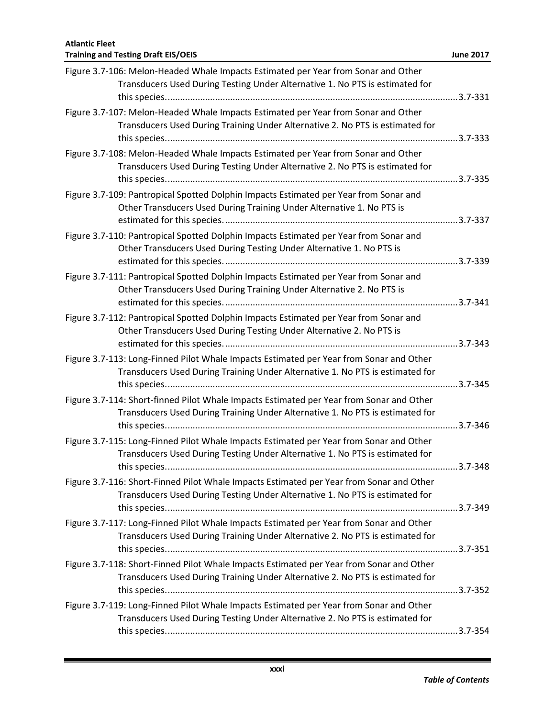| Figure 3.7-106: Melon-Headed Whale Impacts Estimated per Year from Sonar and Other<br>Transducers Used During Testing Under Alternative 1. No PTS is estimated for        |  |
|---------------------------------------------------------------------------------------------------------------------------------------------------------------------------|--|
| Figure 3.7-107: Melon-Headed Whale Impacts Estimated per Year from Sonar and Other<br>Transducers Used During Training Under Alternative 2. No PTS is estimated for       |  |
| Figure 3.7-108: Melon-Headed Whale Impacts Estimated per Year from Sonar and Other<br>Transducers Used During Testing Under Alternative 2. No PTS is estimated for        |  |
| Figure 3.7-109: Pantropical Spotted Dolphin Impacts Estimated per Year from Sonar and<br>Other Transducers Used During Training Under Alternative 1. No PTS is            |  |
| Figure 3.7-110: Pantropical Spotted Dolphin Impacts Estimated per Year from Sonar and<br>Other Transducers Used During Testing Under Alternative 1. No PTS is             |  |
| Figure 3.7-111: Pantropical Spotted Dolphin Impacts Estimated per Year from Sonar and<br>Other Transducers Used During Training Under Alternative 2. No PTS is            |  |
| Figure 3.7-112: Pantropical Spotted Dolphin Impacts Estimated per Year from Sonar and<br>Other Transducers Used During Testing Under Alternative 2. No PTS is             |  |
| Figure 3.7-113: Long-Finned Pilot Whale Impacts Estimated per Year from Sonar and Other<br>Transducers Used During Training Under Alternative 1. No PTS is estimated for  |  |
| Figure 3.7-114: Short-finned Pilot Whale Impacts Estimated per Year from Sonar and Other<br>Transducers Used During Training Under Alternative 1. No PTS is estimated for |  |
| Figure 3.7-115: Long-Finned Pilot Whale Impacts Estimated per Year from Sonar and Other<br>Transducers Used During Testing Under Alternative 1. No PTS is estimated for   |  |
| Figure 3.7-116: Short-Finned Pilot Whale Impacts Estimated per Year from Sonar and Other<br>Transducers Used During Testing Under Alternative 1. No PTS is estimated for  |  |
| Figure 3.7-117: Long-Finned Pilot Whale Impacts Estimated per Year from Sonar and Other<br>Transducers Used During Training Under Alternative 2. No PTS is estimated for  |  |
| Figure 3.7-118: Short-Finned Pilot Whale Impacts Estimated per Year from Sonar and Other<br>Transducers Used During Training Under Alternative 2. No PTS is estimated for |  |
| Figure 3.7-119: Long-Finned Pilot Whale Impacts Estimated per Year from Sonar and Other<br>Transducers Used During Testing Under Alternative 2. No PTS is estimated for   |  |
|                                                                                                                                                                           |  |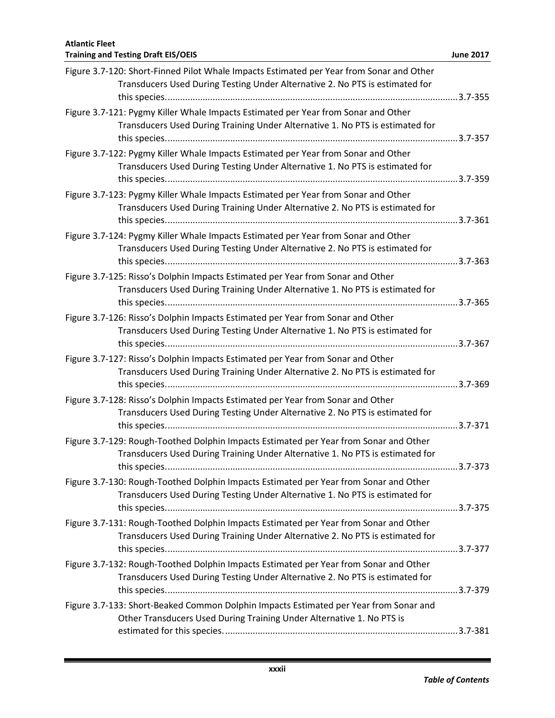| Figure 3.7-120: Short-Finned Pilot Whale Impacts Estimated per Year from Sonar and Other<br>Transducers Used During Testing Under Alternative 2. No PTS is estimated for |  |
|--------------------------------------------------------------------------------------------------------------------------------------------------------------------------|--|
| Figure 3.7-121: Pygmy Killer Whale Impacts Estimated per Year from Sonar and Other<br>Transducers Used During Training Under Alternative 1. No PTS is estimated for      |  |
| Figure 3.7-122: Pygmy Killer Whale Impacts Estimated per Year from Sonar and Other<br>Transducers Used During Testing Under Alternative 1. No PTS is estimated for       |  |
| Figure 3.7-123: Pygmy Killer Whale Impacts Estimated per Year from Sonar and Other<br>Transducers Used During Training Under Alternative 2. No PTS is estimated for      |  |
| Figure 3.7-124: Pygmy Killer Whale Impacts Estimated per Year from Sonar and Other<br>Transducers Used During Testing Under Alternative 2. No PTS is estimated for       |  |
| Figure 3.7-125: Risso's Dolphin Impacts Estimated per Year from Sonar and Other<br>Transducers Used During Training Under Alternative 1. No PTS is estimated for         |  |
| Figure 3.7-126: Risso's Dolphin Impacts Estimated per Year from Sonar and Other<br>Transducers Used During Testing Under Alternative 1. No PTS is estimated for          |  |
| Figure 3.7-127: Risso's Dolphin Impacts Estimated per Year from Sonar and Other<br>Transducers Used During Training Under Alternative 2. No PTS is estimated for         |  |
| Figure 3.7-128: Risso's Dolphin Impacts Estimated per Year from Sonar and Other<br>Transducers Used During Testing Under Alternative 2. No PTS is estimated for          |  |
| Figure 3.7-129: Rough-Toothed Dolphin Impacts Estimated per Year from Sonar and Other<br>Transducers Used During Training Under Alternative 1. No PTS is estimated for   |  |
| Figure 3.7-130: Rough-Toothed Dolphin Impacts Estimated per Year from Sonar and Other<br>Transducers Used During Testing Under Alternative 1. No PTS is estimated for    |  |
| Figure 3.7-131: Rough-Toothed Dolphin Impacts Estimated per Year from Sonar and Other<br>Transducers Used During Training Under Alternative 2. No PTS is estimated for   |  |
| Figure 3.7-132: Rough-Toothed Dolphin Impacts Estimated per Year from Sonar and Other<br>Transducers Used During Testing Under Alternative 2. No PTS is estimated for    |  |
| Figure 3.7-133: Short-Beaked Common Dolphin Impacts Estimated per Year from Sonar and<br>Other Transducers Used During Training Under Alternative 1. No PTS is           |  |
|                                                                                                                                                                          |  |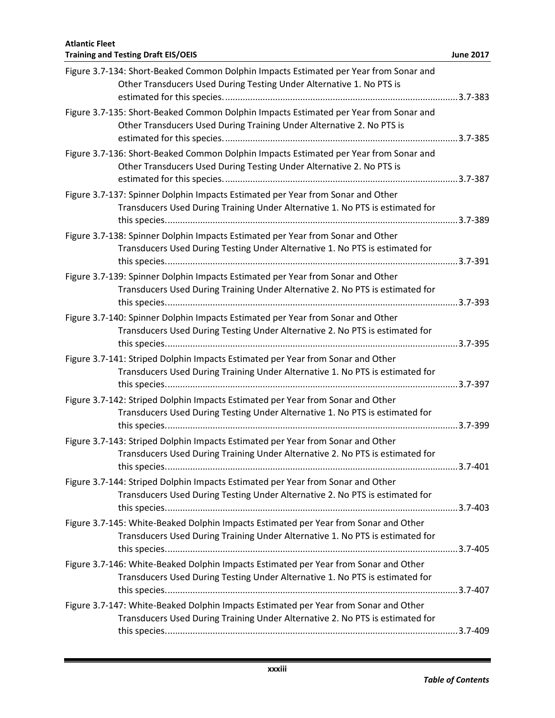| Figure 3.7-134: Short-Beaked Common Dolphin Impacts Estimated per Year from Sonar and<br>Other Transducers Used During Testing Under Alternative 1. No PTS is         |  |
|-----------------------------------------------------------------------------------------------------------------------------------------------------------------------|--|
| Figure 3.7-135: Short-Beaked Common Dolphin Impacts Estimated per Year from Sonar and<br>Other Transducers Used During Training Under Alternative 2. No PTS is        |  |
| Figure 3.7-136: Short-Beaked Common Dolphin Impacts Estimated per Year from Sonar and<br>Other Transducers Used During Testing Under Alternative 2. No PTS is         |  |
| Figure 3.7-137: Spinner Dolphin Impacts Estimated per Year from Sonar and Other<br>Transducers Used During Training Under Alternative 1. No PTS is estimated for      |  |
| Figure 3.7-138: Spinner Dolphin Impacts Estimated per Year from Sonar and Other<br>Transducers Used During Testing Under Alternative 1. No PTS is estimated for       |  |
| Figure 3.7-139: Spinner Dolphin Impacts Estimated per Year from Sonar and Other<br>Transducers Used During Training Under Alternative 2. No PTS is estimated for      |  |
| Figure 3.7-140: Spinner Dolphin Impacts Estimated per Year from Sonar and Other<br>Transducers Used During Testing Under Alternative 2. No PTS is estimated for       |  |
| Figure 3.7-141: Striped Dolphin Impacts Estimated per Year from Sonar and Other<br>Transducers Used During Training Under Alternative 1. No PTS is estimated for      |  |
| Figure 3.7-142: Striped Dolphin Impacts Estimated per Year from Sonar and Other<br>Transducers Used During Testing Under Alternative 1. No PTS is estimated for       |  |
| Figure 3.7-143: Striped Dolphin Impacts Estimated per Year from Sonar and Other<br>Transducers Used During Training Under Alternative 2. No PTS is estimated for      |  |
| Figure 3.7-144: Striped Dolphin Impacts Estimated per Year from Sonar and Other<br>Transducers Used During Testing Under Alternative 2. No PTS is estimated for       |  |
| Figure 3.7-145: White-Beaked Dolphin Impacts Estimated per Year from Sonar and Other<br>Transducers Used During Training Under Alternative 1. No PTS is estimated for |  |
| Figure 3.7-146: White-Beaked Dolphin Impacts Estimated per Year from Sonar and Other<br>Transducers Used During Testing Under Alternative 1. No PTS is estimated for  |  |
| Figure 3.7-147: White-Beaked Dolphin Impacts Estimated per Year from Sonar and Other<br>Transducers Used During Training Under Alternative 2. No PTS is estimated for |  |
|                                                                                                                                                                       |  |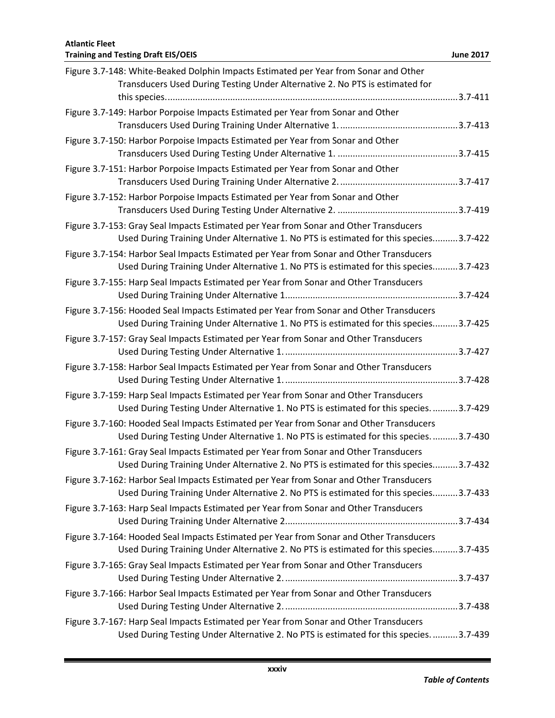| Figure 3.7-148: White-Beaked Dolphin Impacts Estimated per Year from Sonar and Other<br>Transducers Used During Testing Under Alternative 2. No PTS is estimated for             |
|----------------------------------------------------------------------------------------------------------------------------------------------------------------------------------|
| Figure 3.7-149: Harbor Porpoise Impacts Estimated per Year from Sonar and Other                                                                                                  |
| Figure 3.7-150: Harbor Porpoise Impacts Estimated per Year from Sonar and Other                                                                                                  |
|                                                                                                                                                                                  |
| Figure 3.7-151: Harbor Porpoise Impacts Estimated per Year from Sonar and Other                                                                                                  |
| Figure 3.7-152: Harbor Porpoise Impacts Estimated per Year from Sonar and Other                                                                                                  |
| Figure 3.7-153: Gray Seal Impacts Estimated per Year from Sonar and Other Transducers<br>Used During Training Under Alternative 1. No PTS is estimated for this species3.7-422   |
| Figure 3.7-154: Harbor Seal Impacts Estimated per Year from Sonar and Other Transducers<br>Used During Training Under Alternative 1. No PTS is estimated for this species3.7-423 |
| Figure 3.7-155: Harp Seal Impacts Estimated per Year from Sonar and Other Transducers                                                                                            |
| Figure 3.7-156: Hooded Seal Impacts Estimated per Year from Sonar and Other Transducers<br>Used During Training Under Alternative 1. No PTS is estimated for this species3.7-425 |
| Figure 3.7-157: Gray Seal Impacts Estimated per Year from Sonar and Other Transducers                                                                                            |
| Figure 3.7-158: Harbor Seal Impacts Estimated per Year from Sonar and Other Transducers                                                                                          |
| Figure 3.7-159: Harp Seal Impacts Estimated per Year from Sonar and Other Transducers<br>Used During Testing Under Alternative 1. No PTS is estimated for this species3.7-429    |
| Figure 3.7-160: Hooded Seal Impacts Estimated per Year from Sonar and Other Transducers<br>Used During Testing Under Alternative 1. No PTS is estimated for this species3.7-430  |
| Figure 3.7-161: Gray Seal Impacts Estimated per Year from Sonar and Other Transducers<br>Used During Training Under Alternative 2. No PTS is estimated for this species3.7-432   |
| Figure 3.7-162: Harbor Seal Impacts Estimated per Year from Sonar and Other Transducers<br>Used During Training Under Alternative 2. No PTS is estimated for this species3.7-433 |
| Figure 3.7-163: Harp Seal Impacts Estimated per Year from Sonar and Other Transducers                                                                                            |
| Figure 3.7-164: Hooded Seal Impacts Estimated per Year from Sonar and Other Transducers<br>Used During Training Under Alternative 2. No PTS is estimated for this species3.7-435 |
| Figure 3.7-165: Gray Seal Impacts Estimated per Year from Sonar and Other Transducers                                                                                            |
| Figure 3.7-166: Harbor Seal Impacts Estimated per Year from Sonar and Other Transducers                                                                                          |
| Figure 3.7-167: Harp Seal Impacts Estimated per Year from Sonar and Other Transducers<br>Used During Testing Under Alternative 2. No PTS is estimated for this species3.7-439    |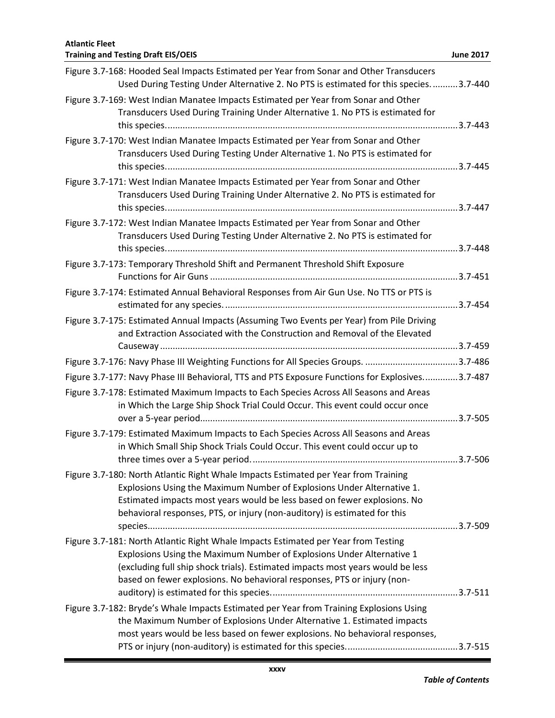| <b>Atlantic Fleet</b><br><b>Training and Testing Draft EIS/OEIS</b>                                                                                                                                                                                                                                                      | <b>June 2017</b> |
|--------------------------------------------------------------------------------------------------------------------------------------------------------------------------------------------------------------------------------------------------------------------------------------------------------------------------|------------------|
| Figure 3.7-168: Hooded Seal Impacts Estimated per Year from Sonar and Other Transducers<br>Used During Testing Under Alternative 2. No PTS is estimated for this species3.7-440                                                                                                                                          |                  |
| Figure 3.7-169: West Indian Manatee Impacts Estimated per Year from Sonar and Other<br>Transducers Used During Training Under Alternative 1. No PTS is estimated for                                                                                                                                                     |                  |
| Figure 3.7-170: West Indian Manatee Impacts Estimated per Year from Sonar and Other<br>Transducers Used During Testing Under Alternative 1. No PTS is estimated for                                                                                                                                                      |                  |
| Figure 3.7-171: West Indian Manatee Impacts Estimated per Year from Sonar and Other<br>Transducers Used During Training Under Alternative 2. No PTS is estimated for                                                                                                                                                     |                  |
| Figure 3.7-172: West Indian Manatee Impacts Estimated per Year from Sonar and Other<br>Transducers Used During Testing Under Alternative 2. No PTS is estimated for                                                                                                                                                      |                  |
| Figure 3.7-173: Temporary Threshold Shift and Permanent Threshold Shift Exposure                                                                                                                                                                                                                                         |                  |
| Figure 3.7-174: Estimated Annual Behavioral Responses from Air Gun Use. No TTS or PTS is                                                                                                                                                                                                                                 |                  |
| Figure 3.7-175: Estimated Annual Impacts (Assuming Two Events per Year) from Pile Driving<br>and Extraction Associated with the Construction and Removal of the Elevated                                                                                                                                                 |                  |
| Figure 3.7-176: Navy Phase III Weighting Functions for All Species Groups. 3.7-486                                                                                                                                                                                                                                       |                  |
| Figure 3.7-177: Navy Phase III Behavioral, TTS and PTS Exposure Functions for Explosives3.7-487                                                                                                                                                                                                                          |                  |
| Figure 3.7-178: Estimated Maximum Impacts to Each Species Across All Seasons and Areas<br>in Which the Large Ship Shock Trial Could Occur. This event could occur once                                                                                                                                                   |                  |
| Figure 3.7-179: Estimated Maximum Impacts to Each Species Across All Seasons and Areas<br>in Which Small Ship Shock Trials Could Occur. This event could occur up to                                                                                                                                                     |                  |
| Figure 3.7-180: North Atlantic Right Whale Impacts Estimated per Year from Training<br>Explosions Using the Maximum Number of Explosions Under Alternative 1.<br>Estimated impacts most years would be less based on fewer explosions. No<br>behavioral responses, PTS, or injury (non-auditory) is estimated for this   |                  |
| Figure 3.7-181: North Atlantic Right Whale Impacts Estimated per Year from Testing<br>Explosions Using the Maximum Number of Explosions Under Alternative 1<br>(excluding full ship shock trials). Estimated impacts most years would be less<br>based on fewer explosions. No behavioral responses, PTS or injury (non- |                  |
| Figure 3.7-182: Bryde's Whale Impacts Estimated per Year from Training Explosions Using<br>the Maximum Number of Explosions Under Alternative 1. Estimated impacts<br>most years would be less based on fewer explosions. No behavioral responses,                                                                       |                  |
|                                                                                                                                                                                                                                                                                                                          |                  |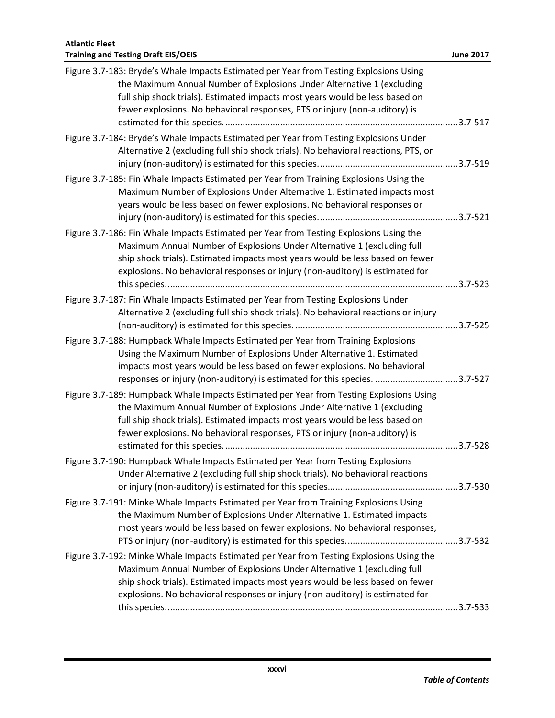| Figure 3.7-183: Bryde's Whale Impacts Estimated per Year from Testing Explosions Using<br>the Maximum Annual Number of Explosions Under Alternative 1 (excluding<br>full ship shock trials). Estimated impacts most years would be less based on<br>fewer explosions. No behavioral responses, PTS or injury (non-auditory) is        |  |
|---------------------------------------------------------------------------------------------------------------------------------------------------------------------------------------------------------------------------------------------------------------------------------------------------------------------------------------|--|
| Figure 3.7-184: Bryde's Whale Impacts Estimated per Year from Testing Explosions Under<br>Alternative 2 (excluding full ship shock trials). No behavioral reactions, PTS, or                                                                                                                                                          |  |
| Figure 3.7-185: Fin Whale Impacts Estimated per Year from Training Explosions Using the<br>Maximum Number of Explosions Under Alternative 1. Estimated impacts most<br>years would be less based on fewer explosions. No behavioral responses or                                                                                      |  |
| Figure 3.7-186: Fin Whale Impacts Estimated per Year from Testing Explosions Using the<br>Maximum Annual Number of Explosions Under Alternative 1 (excluding full<br>ship shock trials). Estimated impacts most years would be less based on fewer<br>explosions. No behavioral responses or injury (non-auditory) is estimated for   |  |
| Figure 3.7-187: Fin Whale Impacts Estimated per Year from Testing Explosions Under<br>Alternative 2 (excluding full ship shock trials). No behavioral reactions or injury                                                                                                                                                             |  |
| Figure 3.7-188: Humpback Whale Impacts Estimated per Year from Training Explosions<br>Using the Maximum Number of Explosions Under Alternative 1. Estimated<br>impacts most years would be less based on fewer explosions. No behavioral<br>responses or injury (non-auditory) is estimated for this species. 3.7-527                 |  |
| Figure 3.7-189: Humpback Whale Impacts Estimated per Year from Testing Explosions Using<br>the Maximum Annual Number of Explosions Under Alternative 1 (excluding<br>full ship shock trials). Estimated impacts most years would be less based on<br>fewer explosions. No behavioral responses, PTS or injury (non-auditory) is       |  |
| Figure 3.7-190: Humpback Whale Impacts Estimated per Year from Testing Explosions<br>Under Alternative 2 (excluding full ship shock trials). No behavioral reactions                                                                                                                                                                  |  |
| Figure 3.7-191: Minke Whale Impacts Estimated per Year from Training Explosions Using<br>the Maximum Number of Explosions Under Alternative 1. Estimated impacts<br>most years would be less based on fewer explosions. No behavioral responses,                                                                                      |  |
| Figure 3.7-192: Minke Whale Impacts Estimated per Year from Testing Explosions Using the<br>Maximum Annual Number of Explosions Under Alternative 1 (excluding full<br>ship shock trials). Estimated impacts most years would be less based on fewer<br>explosions. No behavioral responses or injury (non-auditory) is estimated for |  |
|                                                                                                                                                                                                                                                                                                                                       |  |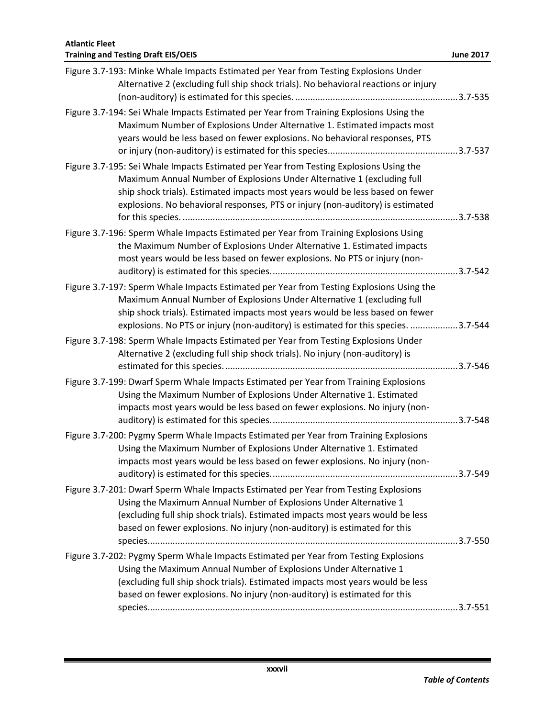| Figure 3.7-193: Minke Whale Impacts Estimated per Year from Testing Explosions Under<br>Alternative 2 (excluding full ship shock trials). No behavioral reactions or injury                                                                                                                                                                |  |
|--------------------------------------------------------------------------------------------------------------------------------------------------------------------------------------------------------------------------------------------------------------------------------------------------------------------------------------------|--|
| Figure 3.7-194: Sei Whale Impacts Estimated per Year from Training Explosions Using the<br>Maximum Number of Explosions Under Alternative 1. Estimated impacts most<br>years would be less based on fewer explosions. No behavioral responses, PTS                                                                                         |  |
| Figure 3.7-195: Sei Whale Impacts Estimated per Year from Testing Explosions Using the<br>Maximum Annual Number of Explosions Under Alternative 1 (excluding full<br>ship shock trials). Estimated impacts most years would be less based on fewer<br>explosions. No behavioral responses, PTS or injury (non-auditory) is estimated       |  |
| Figure 3.7-196: Sperm Whale Impacts Estimated per Year from Training Explosions Using<br>the Maximum Number of Explosions Under Alternative 1. Estimated impacts<br>most years would be less based on fewer explosions. No PTS or injury (non-                                                                                             |  |
| Figure 3.7-197: Sperm Whale Impacts Estimated per Year from Testing Explosions Using the<br>Maximum Annual Number of Explosions Under Alternative 1 (excluding full<br>ship shock trials). Estimated impacts most years would be less based on fewer<br>explosions. No PTS or injury (non-auditory) is estimated for this species. 3.7-544 |  |
| Figure 3.7-198: Sperm Whale Impacts Estimated per Year from Testing Explosions Under<br>Alternative 2 (excluding full ship shock trials). No injury (non-auditory) is                                                                                                                                                                      |  |
| Figure 3.7-199: Dwarf Sperm Whale Impacts Estimated per Year from Training Explosions<br>Using the Maximum Number of Explosions Under Alternative 1. Estimated<br>impacts most years would be less based on fewer explosions. No injury (non-                                                                                              |  |
| Figure 3.7-200: Pygmy Sperm Whale Impacts Estimated per Year from Training Explosions<br>Using the Maximum Number of Explosions Under Alternative 1. Estimated<br>impacts most years would be less based on fewer explosions. No injury (non-                                                                                              |  |
| Figure 3.7-201: Dwarf Sperm Whale Impacts Estimated per Year from Testing Explosions<br>Using the Maximum Annual Number of Explosions Under Alternative 1<br>(excluding full ship shock trials). Estimated impacts most years would be less<br>based on fewer explosions. No injury (non-auditory) is estimated for this                   |  |
| Figure 3.7-202: Pygmy Sperm Whale Impacts Estimated per Year from Testing Explosions<br>Using the Maximum Annual Number of Explosions Under Alternative 1<br>(excluding full ship shock trials). Estimated impacts most years would be less<br>based on fewer explosions. No injury (non-auditory) is estimated for this                   |  |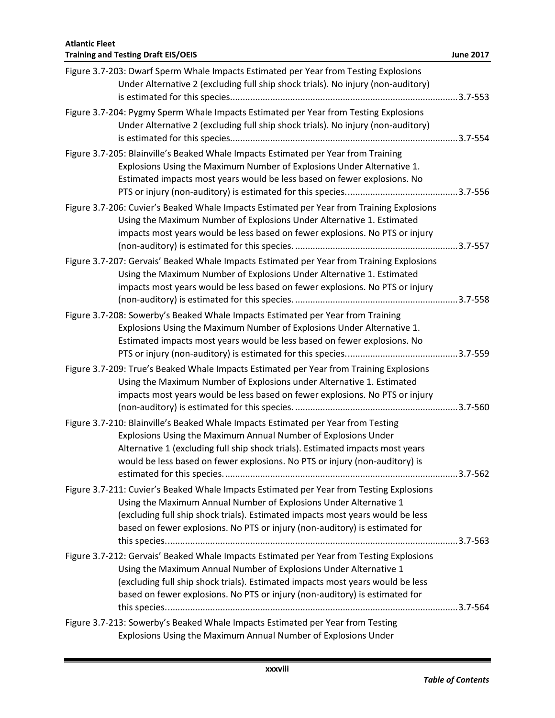| Figure 3.7-203: Dwarf Sperm Whale Impacts Estimated per Year from Testing Explosions<br>Under Alternative 2 (excluding full ship shock trials). No injury (non-auditory)                                                                                                                                                       |  |
|--------------------------------------------------------------------------------------------------------------------------------------------------------------------------------------------------------------------------------------------------------------------------------------------------------------------------------|--|
| Figure 3.7-204: Pygmy Sperm Whale Impacts Estimated per Year from Testing Explosions<br>Under Alternative 2 (excluding full ship shock trials). No injury (non-auditory)                                                                                                                                                       |  |
| Figure 3.7-205: Blainville's Beaked Whale Impacts Estimated per Year from Training<br>Explosions Using the Maximum Number of Explosions Under Alternative 1.<br>Estimated impacts most years would be less based on fewer explosions. No                                                                                       |  |
| Figure 3.7-206: Cuvier's Beaked Whale Impacts Estimated per Year from Training Explosions<br>Using the Maximum Number of Explosions Under Alternative 1. Estimated<br>impacts most years would be less based on fewer explosions. No PTS or injury                                                                             |  |
| Figure 3.7-207: Gervais' Beaked Whale Impacts Estimated per Year from Training Explosions<br>Using the Maximum Number of Explosions Under Alternative 1. Estimated<br>impacts most years would be less based on fewer explosions. No PTS or injury                                                                             |  |
| Figure 3.7-208: Sowerby's Beaked Whale Impacts Estimated per Year from Training<br>Explosions Using the Maximum Number of Explosions Under Alternative 1.<br>Estimated impacts most years would be less based on fewer explosions. No                                                                                          |  |
| Figure 3.7-209: True's Beaked Whale Impacts Estimated per Year from Training Explosions<br>Using the Maximum Number of Explosions under Alternative 1. Estimated<br>impacts most years would be less based on fewer explosions. No PTS or injury                                                                               |  |
| Figure 3.7-210: Blainville's Beaked Whale Impacts Estimated per Year from Testing<br>Explosions Using the Maximum Annual Number of Explosions Under<br>Alternative 1 (excluding full ship shock trials). Estimated impacts most years<br>would be less based on fewer explosions. No PTS or injury (non-auditory) is           |  |
| Figure 3.7-211: Cuvier's Beaked Whale Impacts Estimated per Year from Testing Explosions<br>Using the Maximum Annual Number of Explosions Under Alternative 1<br>(excluding full ship shock trials). Estimated impacts most years would be less<br>based on fewer explosions. No PTS or injury (non-auditory) is estimated for |  |
| Figure 3.7-212: Gervais' Beaked Whale Impacts Estimated per Year from Testing Explosions<br>Using the Maximum Annual Number of Explosions Under Alternative 1<br>(excluding full ship shock trials). Estimated impacts most years would be less<br>based on fewer explosions. No PTS or injury (non-auditory) is estimated for |  |
| Figure 3.7-213: Sowerby's Beaked Whale Impacts Estimated per Year from Testing<br>Explosions Using the Maximum Annual Number of Explosions Under                                                                                                                                                                               |  |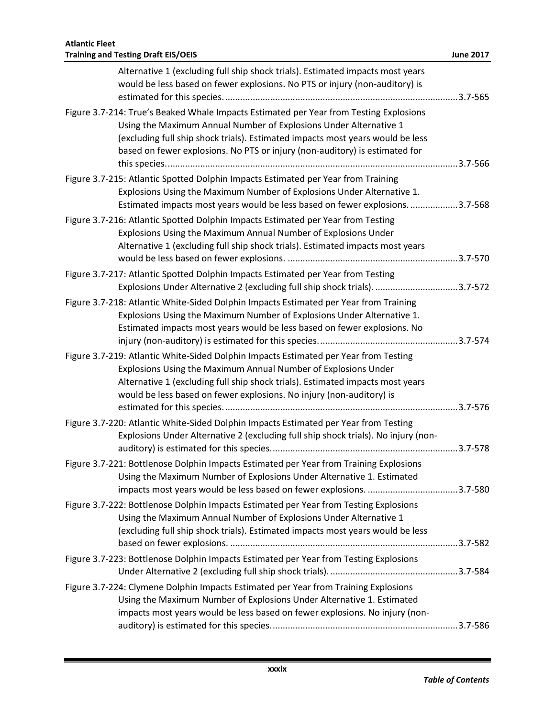| Alternative 1 (excluding full ship shock trials). Estimated impacts most years<br>would be less based on fewer explosions. No PTS or injury (non-auditory) is                                                                                                                                                                |  |
|------------------------------------------------------------------------------------------------------------------------------------------------------------------------------------------------------------------------------------------------------------------------------------------------------------------------------|--|
| Figure 3.7-214: True's Beaked Whale Impacts Estimated per Year from Testing Explosions<br>Using the Maximum Annual Number of Explosions Under Alternative 1<br>(excluding full ship shock trials). Estimated impacts most years would be less<br>based on fewer explosions. No PTS or injury (non-auditory) is estimated for |  |
| Figure 3.7-215: Atlantic Spotted Dolphin Impacts Estimated per Year from Training<br>Explosions Using the Maximum Number of Explosions Under Alternative 1.<br>Estimated impacts most years would be less based on fewer explosions3.7-568                                                                                   |  |
| Figure 3.7-216: Atlantic Spotted Dolphin Impacts Estimated per Year from Testing<br>Explosions Using the Maximum Annual Number of Explosions Under<br>Alternative 1 (excluding full ship shock trials). Estimated impacts most years                                                                                         |  |
| Figure 3.7-217: Atlantic Spotted Dolphin Impacts Estimated per Year from Testing<br>Explosions Under Alternative 2 (excluding full ship shock trials)3.7-572                                                                                                                                                                 |  |
| Figure 3.7-218: Atlantic White-Sided Dolphin Impacts Estimated per Year from Training<br>Explosions Using the Maximum Number of Explosions Under Alternative 1.<br>Estimated impacts most years would be less based on fewer explosions. No                                                                                  |  |
| Figure 3.7-219: Atlantic White-Sided Dolphin Impacts Estimated per Year from Testing<br>Explosions Using the Maximum Annual Number of Explosions Under<br>Alternative 1 (excluding full ship shock trials). Estimated impacts most years<br>would be less based on fewer explosions. No injury (non-auditory) is             |  |
| Figure 3.7-220: Atlantic White-Sided Dolphin Impacts Estimated per Year from Testing<br>Explosions Under Alternative 2 (excluding full ship shock trials). No injury (non-                                                                                                                                                   |  |
| Figure 3.7-221: Bottlenose Dolphin Impacts Estimated per Year from Training Explosions<br>Using the Maximum Number of Explosions Under Alternative 1. Estimated                                                                                                                                                              |  |
| Figure 3.7-222: Bottlenose Dolphin Impacts Estimated per Year from Testing Explosions<br>Using the Maximum Annual Number of Explosions Under Alternative 1<br>(excluding full ship shock trials). Estimated impacts most years would be less                                                                                 |  |
| Figure 3.7-223: Bottlenose Dolphin Impacts Estimated per Year from Testing Explosions                                                                                                                                                                                                                                        |  |
| Figure 3.7-224: Clymene Dolphin Impacts Estimated per Year from Training Explosions<br>Using the Maximum Number of Explosions Under Alternative 1. Estimated<br>impacts most years would be less based on fewer explosions. No injury (non-                                                                                  |  |
|                                                                                                                                                                                                                                                                                                                              |  |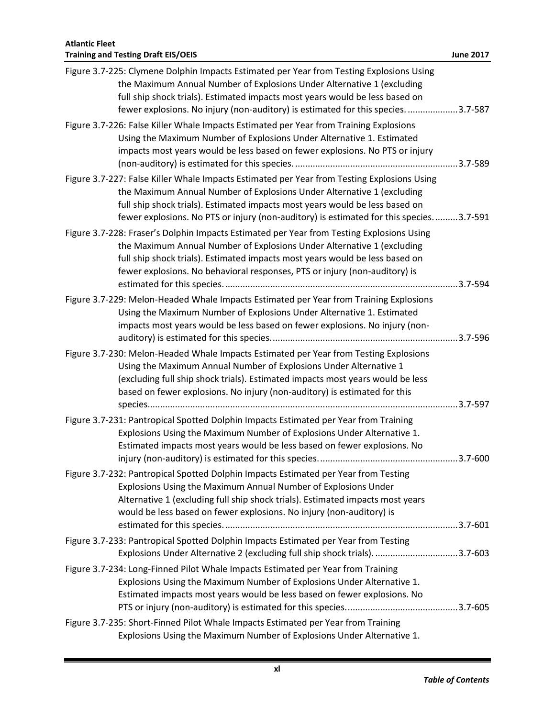| Figure 3.7-225: Clymene Dolphin Impacts Estimated per Year from Testing Explosions Using<br>the Maximum Annual Number of Explosions Under Alternative 1 (excluding<br>full ship shock trials). Estimated impacts most years would be less based on<br>fewer explosions. No injury (non-auditory) is estimated for this species. 3.7-587         |  |
|-------------------------------------------------------------------------------------------------------------------------------------------------------------------------------------------------------------------------------------------------------------------------------------------------------------------------------------------------|--|
| Figure 3.7-226: False Killer Whale Impacts Estimated per Year from Training Explosions<br>Using the Maximum Number of Explosions Under Alternative 1. Estimated<br>impacts most years would be less based on fewer explosions. No PTS or injury                                                                                                 |  |
| Figure 3.7-227: False Killer Whale Impacts Estimated per Year from Testing Explosions Using<br>the Maximum Annual Number of Explosions Under Alternative 1 (excluding<br>full ship shock trials). Estimated impacts most years would be less based on<br>fewer explosions. No PTS or injury (non-auditory) is estimated for this species3.7-591 |  |
| Figure 3.7-228: Fraser's Dolphin Impacts Estimated per Year from Testing Explosions Using<br>the Maximum Annual Number of Explosions Under Alternative 1 (excluding<br>full ship shock trials). Estimated impacts most years would be less based on<br>fewer explosions. No behavioral responses, PTS or injury (non-auditory) is               |  |
| Figure 3.7-229: Melon-Headed Whale Impacts Estimated per Year from Training Explosions<br>Using the Maximum Number of Explosions Under Alternative 1. Estimated<br>impacts most years would be less based on fewer explosions. No injury (non-                                                                                                  |  |
| Figure 3.7-230: Melon-Headed Whale Impacts Estimated per Year from Testing Explosions<br>Using the Maximum Annual Number of Explosions Under Alternative 1<br>(excluding full ship shock trials). Estimated impacts most years would be less<br>based on fewer explosions. No injury (non-auditory) is estimated for this                       |  |
| Figure 3.7-231: Pantropical Spotted Dolphin Impacts Estimated per Year from Training<br>Explosions Using the Maximum Number of Explosions Under Alternative 1.<br>Estimated impacts most years would be less based on fewer explosions. No                                                                                                      |  |
| Figure 3.7-232: Pantropical Spotted Dolphin Impacts Estimated per Year from Testing<br>Explosions Using the Maximum Annual Number of Explosions Under<br>Alternative 1 (excluding full ship shock trials). Estimated impacts most years<br>would be less based on fewer explosions. No injury (non-auditory) is                                 |  |
| Figure 3.7-233: Pantropical Spotted Dolphin Impacts Estimated per Year from Testing<br>Explosions Under Alternative 2 (excluding full ship shock trials)3.7-603                                                                                                                                                                                 |  |
| Figure 3.7-234: Long-Finned Pilot Whale Impacts Estimated per Year from Training<br>Explosions Using the Maximum Number of Explosions Under Alternative 1.<br>Estimated impacts most years would be less based on fewer explosions. No                                                                                                          |  |
| Figure 3.7-235: Short-Finned Pilot Whale Impacts Estimated per Year from Training<br>Explosions Using the Maximum Number of Explosions Under Alternative 1.                                                                                                                                                                                     |  |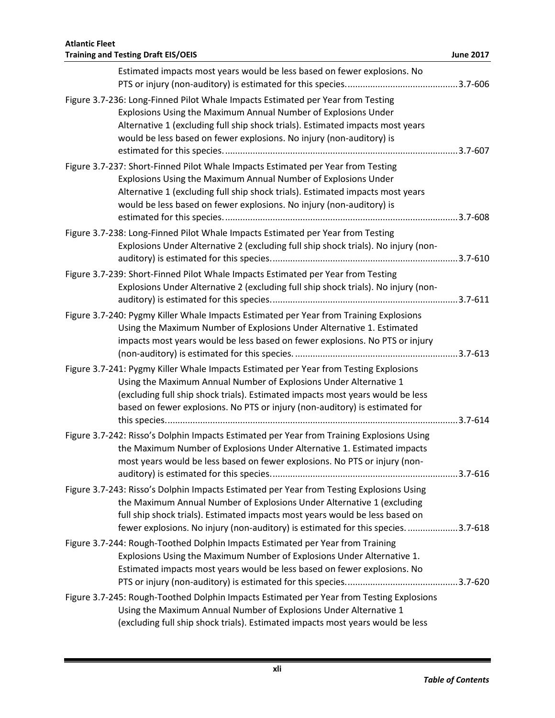| <b>Training and Testing Draft EIS/OEIS</b><br><b>June 2017</b><br>Estimated impacts most years would be less based on fewer explosions. No<br>Figure 3.7-236: Long-Finned Pilot Whale Impacts Estimated per Year from Testing<br>Explosions Using the Maximum Annual Number of Explosions Under<br>Alternative 1 (excluding full ship shock trials). Estimated impacts most years<br>would be less based on fewer explosions. No injury (non-auditory) is<br>Figure 3.7-237: Short-Finned Pilot Whale Impacts Estimated per Year from Testing<br>Explosions Using the Maximum Annual Number of Explosions Under<br>Alternative 1 (excluding full ship shock trials). Estimated impacts most years<br>would be less based on fewer explosions. No injury (non-auditory) is<br>Figure 3.7-238: Long-Finned Pilot Whale Impacts Estimated per Year from Testing<br>Explosions Under Alternative 2 (excluding full ship shock trials). No injury (non-<br>Figure 3.7-239: Short-Finned Pilot Whale Impacts Estimated per Year from Testing<br>Explosions Under Alternative 2 (excluding full ship shock trials). No injury (non-<br>Figure 3.7-240: Pygmy Killer Whale Impacts Estimated per Year from Training Explosions<br>Using the Maximum Number of Explosions Under Alternative 1. Estimated<br>impacts most years would be less based on fewer explosions. No PTS or injury |
|---------------------------------------------------------------------------------------------------------------------------------------------------------------------------------------------------------------------------------------------------------------------------------------------------------------------------------------------------------------------------------------------------------------------------------------------------------------------------------------------------------------------------------------------------------------------------------------------------------------------------------------------------------------------------------------------------------------------------------------------------------------------------------------------------------------------------------------------------------------------------------------------------------------------------------------------------------------------------------------------------------------------------------------------------------------------------------------------------------------------------------------------------------------------------------------------------------------------------------------------------------------------------------------------------------------------------------------------------------------------------------|
|                                                                                                                                                                                                                                                                                                                                                                                                                                                                                                                                                                                                                                                                                                                                                                                                                                                                                                                                                                                                                                                                                                                                                                                                                                                                                                                                                                                 |
|                                                                                                                                                                                                                                                                                                                                                                                                                                                                                                                                                                                                                                                                                                                                                                                                                                                                                                                                                                                                                                                                                                                                                                                                                                                                                                                                                                                 |
|                                                                                                                                                                                                                                                                                                                                                                                                                                                                                                                                                                                                                                                                                                                                                                                                                                                                                                                                                                                                                                                                                                                                                                                                                                                                                                                                                                                 |
|                                                                                                                                                                                                                                                                                                                                                                                                                                                                                                                                                                                                                                                                                                                                                                                                                                                                                                                                                                                                                                                                                                                                                                                                                                                                                                                                                                                 |
|                                                                                                                                                                                                                                                                                                                                                                                                                                                                                                                                                                                                                                                                                                                                                                                                                                                                                                                                                                                                                                                                                                                                                                                                                                                                                                                                                                                 |
|                                                                                                                                                                                                                                                                                                                                                                                                                                                                                                                                                                                                                                                                                                                                                                                                                                                                                                                                                                                                                                                                                                                                                                                                                                                                                                                                                                                 |
|                                                                                                                                                                                                                                                                                                                                                                                                                                                                                                                                                                                                                                                                                                                                                                                                                                                                                                                                                                                                                                                                                                                                                                                                                                                                                                                                                                                 |
|                                                                                                                                                                                                                                                                                                                                                                                                                                                                                                                                                                                                                                                                                                                                                                                                                                                                                                                                                                                                                                                                                                                                                                                                                                                                                                                                                                                 |
|                                                                                                                                                                                                                                                                                                                                                                                                                                                                                                                                                                                                                                                                                                                                                                                                                                                                                                                                                                                                                                                                                                                                                                                                                                                                                                                                                                                 |
|                                                                                                                                                                                                                                                                                                                                                                                                                                                                                                                                                                                                                                                                                                                                                                                                                                                                                                                                                                                                                                                                                                                                                                                                                                                                                                                                                                                 |
|                                                                                                                                                                                                                                                                                                                                                                                                                                                                                                                                                                                                                                                                                                                                                                                                                                                                                                                                                                                                                                                                                                                                                                                                                                                                                                                                                                                 |
|                                                                                                                                                                                                                                                                                                                                                                                                                                                                                                                                                                                                                                                                                                                                                                                                                                                                                                                                                                                                                                                                                                                                                                                                                                                                                                                                                                                 |
|                                                                                                                                                                                                                                                                                                                                                                                                                                                                                                                                                                                                                                                                                                                                                                                                                                                                                                                                                                                                                                                                                                                                                                                                                                                                                                                                                                                 |
|                                                                                                                                                                                                                                                                                                                                                                                                                                                                                                                                                                                                                                                                                                                                                                                                                                                                                                                                                                                                                                                                                                                                                                                                                                                                                                                                                                                 |
|                                                                                                                                                                                                                                                                                                                                                                                                                                                                                                                                                                                                                                                                                                                                                                                                                                                                                                                                                                                                                                                                                                                                                                                                                                                                                                                                                                                 |
|                                                                                                                                                                                                                                                                                                                                                                                                                                                                                                                                                                                                                                                                                                                                                                                                                                                                                                                                                                                                                                                                                                                                                                                                                                                                                                                                                                                 |
|                                                                                                                                                                                                                                                                                                                                                                                                                                                                                                                                                                                                                                                                                                                                                                                                                                                                                                                                                                                                                                                                                                                                                                                                                                                                                                                                                                                 |
|                                                                                                                                                                                                                                                                                                                                                                                                                                                                                                                                                                                                                                                                                                                                                                                                                                                                                                                                                                                                                                                                                                                                                                                                                                                                                                                                                                                 |
|                                                                                                                                                                                                                                                                                                                                                                                                                                                                                                                                                                                                                                                                                                                                                                                                                                                                                                                                                                                                                                                                                                                                                                                                                                                                                                                                                                                 |
|                                                                                                                                                                                                                                                                                                                                                                                                                                                                                                                                                                                                                                                                                                                                                                                                                                                                                                                                                                                                                                                                                                                                                                                                                                                                                                                                                                                 |
|                                                                                                                                                                                                                                                                                                                                                                                                                                                                                                                                                                                                                                                                                                                                                                                                                                                                                                                                                                                                                                                                                                                                                                                                                                                                                                                                                                                 |
| Figure 3.7-241: Pygmy Killer Whale Impacts Estimated per Year from Testing Explosions                                                                                                                                                                                                                                                                                                                                                                                                                                                                                                                                                                                                                                                                                                                                                                                                                                                                                                                                                                                                                                                                                                                                                                                                                                                                                           |
| Using the Maximum Annual Number of Explosions Under Alternative 1                                                                                                                                                                                                                                                                                                                                                                                                                                                                                                                                                                                                                                                                                                                                                                                                                                                                                                                                                                                                                                                                                                                                                                                                                                                                                                               |
| (excluding full ship shock trials). Estimated impacts most years would be less                                                                                                                                                                                                                                                                                                                                                                                                                                                                                                                                                                                                                                                                                                                                                                                                                                                                                                                                                                                                                                                                                                                                                                                                                                                                                                  |
| based on fewer explosions. No PTS or injury (non-auditory) is estimated for                                                                                                                                                                                                                                                                                                                                                                                                                                                                                                                                                                                                                                                                                                                                                                                                                                                                                                                                                                                                                                                                                                                                                                                                                                                                                                     |
|                                                                                                                                                                                                                                                                                                                                                                                                                                                                                                                                                                                                                                                                                                                                                                                                                                                                                                                                                                                                                                                                                                                                                                                                                                                                                                                                                                                 |
| Figure 3.7-242: Risso's Dolphin Impacts Estimated per Year from Training Explosions Using                                                                                                                                                                                                                                                                                                                                                                                                                                                                                                                                                                                                                                                                                                                                                                                                                                                                                                                                                                                                                                                                                                                                                                                                                                                                                       |
| the Maximum Number of Explosions Under Alternative 1. Estimated impacts                                                                                                                                                                                                                                                                                                                                                                                                                                                                                                                                                                                                                                                                                                                                                                                                                                                                                                                                                                                                                                                                                                                                                                                                                                                                                                         |
| most years would be less based on fewer explosions. No PTS or injury (non-                                                                                                                                                                                                                                                                                                                                                                                                                                                                                                                                                                                                                                                                                                                                                                                                                                                                                                                                                                                                                                                                                                                                                                                                                                                                                                      |
|                                                                                                                                                                                                                                                                                                                                                                                                                                                                                                                                                                                                                                                                                                                                                                                                                                                                                                                                                                                                                                                                                                                                                                                                                                                                                                                                                                                 |
| Figure 3.7-243: Risso's Dolphin Impacts Estimated per Year from Testing Explosions Using                                                                                                                                                                                                                                                                                                                                                                                                                                                                                                                                                                                                                                                                                                                                                                                                                                                                                                                                                                                                                                                                                                                                                                                                                                                                                        |
| the Maximum Annual Number of Explosions Under Alternative 1 (excluding<br>full ship shock trials). Estimated impacts most years would be less based on                                                                                                                                                                                                                                                                                                                                                                                                                                                                                                                                                                                                                                                                                                                                                                                                                                                                                                                                                                                                                                                                                                                                                                                                                          |
| fewer explosions. No injury (non-auditory) is estimated for this species. 3.7-618                                                                                                                                                                                                                                                                                                                                                                                                                                                                                                                                                                                                                                                                                                                                                                                                                                                                                                                                                                                                                                                                                                                                                                                                                                                                                               |
| Figure 3.7-244: Rough-Toothed Dolphin Impacts Estimated per Year from Training                                                                                                                                                                                                                                                                                                                                                                                                                                                                                                                                                                                                                                                                                                                                                                                                                                                                                                                                                                                                                                                                                                                                                                                                                                                                                                  |
| Explosions Using the Maximum Number of Explosions Under Alternative 1.                                                                                                                                                                                                                                                                                                                                                                                                                                                                                                                                                                                                                                                                                                                                                                                                                                                                                                                                                                                                                                                                                                                                                                                                                                                                                                          |
| Estimated impacts most years would be less based on fewer explosions. No                                                                                                                                                                                                                                                                                                                                                                                                                                                                                                                                                                                                                                                                                                                                                                                                                                                                                                                                                                                                                                                                                                                                                                                                                                                                                                        |
|                                                                                                                                                                                                                                                                                                                                                                                                                                                                                                                                                                                                                                                                                                                                                                                                                                                                                                                                                                                                                                                                                                                                                                                                                                                                                                                                                                                 |
| Figure 3.7-245: Rough-Toothed Dolphin Impacts Estimated per Year from Testing Explosions                                                                                                                                                                                                                                                                                                                                                                                                                                                                                                                                                                                                                                                                                                                                                                                                                                                                                                                                                                                                                                                                                                                                                                                                                                                                                        |
| Using the Maximum Annual Number of Explosions Under Alternative 1                                                                                                                                                                                                                                                                                                                                                                                                                                                                                                                                                                                                                                                                                                                                                                                                                                                                                                                                                                                                                                                                                                                                                                                                                                                                                                               |
| (excluding full ship shock trials). Estimated impacts most years would be less                                                                                                                                                                                                                                                                                                                                                                                                                                                                                                                                                                                                                                                                                                                                                                                                                                                                                                                                                                                                                                                                                                                                                                                                                                                                                                  |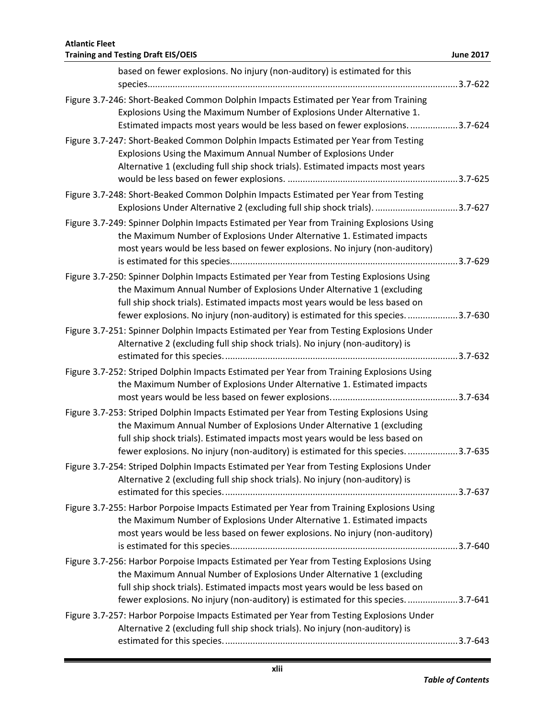| <b>Atlantic Fleet</b><br><b>Training and Testing Draft EIS/OEIS</b>                                                                                               | <b>June 2017</b> |
|-------------------------------------------------------------------------------------------------------------------------------------------------------------------|------------------|
|                                                                                                                                                                   |                  |
| based on fewer explosions. No injury (non-auditory) is estimated for this                                                                                         |                  |
| Figure 3.7-246: Short-Beaked Common Dolphin Impacts Estimated per Year from Training                                                                              |                  |
| Explosions Using the Maximum Number of Explosions Under Alternative 1.                                                                                            |                  |
| Estimated impacts most years would be less based on fewer explosions. 3.7-624                                                                                     |                  |
| Figure 3.7-247: Short-Beaked Common Dolphin Impacts Estimated per Year from Testing                                                                               |                  |
| Explosions Using the Maximum Annual Number of Explosions Under                                                                                                    |                  |
| Alternative 1 (excluding full ship shock trials). Estimated impacts most years                                                                                    |                  |
|                                                                                                                                                                   |                  |
| Figure 3.7-248: Short-Beaked Common Dolphin Impacts Estimated per Year from Testing                                                                               |                  |
| Explosions Under Alternative 2 (excluding full ship shock trials). 3.7-627                                                                                        |                  |
| Figure 3.7-249: Spinner Dolphin Impacts Estimated per Year from Training Explosions Using                                                                         |                  |
| the Maximum Number of Explosions Under Alternative 1. Estimated impacts                                                                                           |                  |
| most years would be less based on fewer explosions. No injury (non-auditory)                                                                                      |                  |
|                                                                                                                                                                   |                  |
| Figure 3.7-250: Spinner Dolphin Impacts Estimated per Year from Testing Explosions Using                                                                          |                  |
| the Maximum Annual Number of Explosions Under Alternative 1 (excluding                                                                                            |                  |
| full ship shock trials). Estimated impacts most years would be less based on                                                                                      |                  |
| fewer explosions. No injury (non-auditory) is estimated for this species. 3.7-630                                                                                 |                  |
| Figure 3.7-251: Spinner Dolphin Impacts Estimated per Year from Testing Explosions Under                                                                          |                  |
| Alternative 2 (excluding full ship shock trials). No injury (non-auditory) is                                                                                     |                  |
| Figure 3.7-252: Striped Dolphin Impacts Estimated per Year from Training Explosions Using                                                                         |                  |
| the Maximum Number of Explosions Under Alternative 1. Estimated impacts                                                                                           |                  |
|                                                                                                                                                                   |                  |
| Figure 3.7-253: Striped Dolphin Impacts Estimated per Year from Testing Explosions Using                                                                          |                  |
| the Maximum Annual Number of Explosions Under Alternative 1 (excluding                                                                                            |                  |
| full ship shock trials). Estimated impacts most years would be less based on                                                                                      |                  |
| fewer explosions. No injury (non-auditory) is estimated for this species. 3.7-635                                                                                 |                  |
| Figure 3.7-254: Striped Dolphin Impacts Estimated per Year from Testing Explosions Under                                                                          |                  |
| Alternative 2 (excluding full ship shock trials). No injury (non-auditory) is                                                                                     |                  |
|                                                                                                                                                                   |                  |
| Figure 3.7-255: Harbor Porpoise Impacts Estimated per Year from Training Explosions Using                                                                         |                  |
| the Maximum Number of Explosions Under Alternative 1. Estimated impacts                                                                                           |                  |
| most years would be less based on fewer explosions. No injury (non-auditory)                                                                                      |                  |
|                                                                                                                                                                   |                  |
| Figure 3.7-256: Harbor Porpoise Impacts Estimated per Year from Testing Explosions Using                                                                          |                  |
| the Maximum Annual Number of Explosions Under Alternative 1 (excluding                                                                                            |                  |
| full ship shock trials). Estimated impacts most years would be less based on<br>fewer explosions. No injury (non-auditory) is estimated for this species. 3.7-641 |                  |
| Figure 3.7-257: Harbor Porpoise Impacts Estimated per Year from Testing Explosions Under                                                                          |                  |
| Alternative 2 (excluding full ship shock trials). No injury (non-auditory) is                                                                                     |                  |
|                                                                                                                                                                   |                  |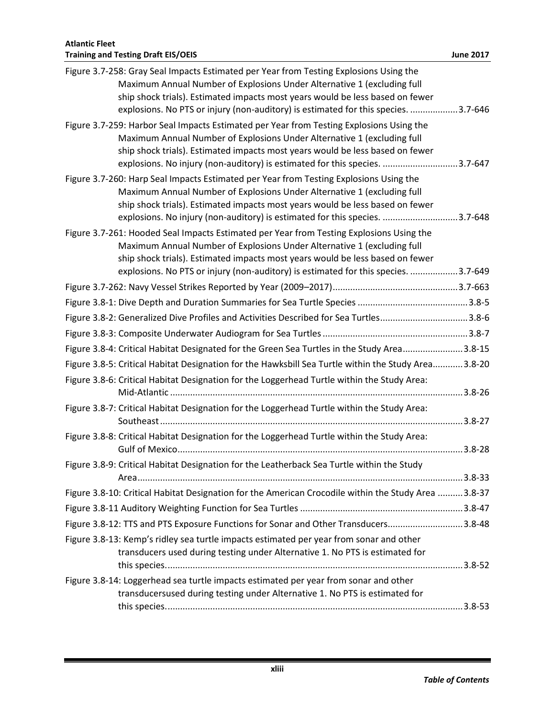| Figure 3.7-258: Gray Seal Impacts Estimated per Year from Testing Explosions Using the<br>Maximum Annual Number of Explosions Under Alternative 1 (excluding full<br>ship shock trials). Estimated impacts most years would be less based on fewer<br>explosions. No PTS or injury (non-auditory) is estimated for this species. 3.7-646   |  |
|--------------------------------------------------------------------------------------------------------------------------------------------------------------------------------------------------------------------------------------------------------------------------------------------------------------------------------------------|--|
| Figure 3.7-259: Harbor Seal Impacts Estimated per Year from Testing Explosions Using the<br>Maximum Annual Number of Explosions Under Alternative 1 (excluding full<br>ship shock trials). Estimated impacts most years would be less based on fewer<br>explosions. No injury (non-auditory) is estimated for this species. 3.7-647        |  |
| Figure 3.7-260: Harp Seal Impacts Estimated per Year from Testing Explosions Using the<br>Maximum Annual Number of Explosions Under Alternative 1 (excluding full<br>ship shock trials). Estimated impacts most years would be less based on fewer<br>explosions. No injury (non-auditory) is estimated for this species. 3.7-648          |  |
| Figure 3.7-261: Hooded Seal Impacts Estimated per Year from Testing Explosions Using the<br>Maximum Annual Number of Explosions Under Alternative 1 (excluding full<br>ship shock trials). Estimated impacts most years would be less based on fewer<br>explosions. No PTS or injury (non-auditory) is estimated for this species. 3.7-649 |  |
|                                                                                                                                                                                                                                                                                                                                            |  |
|                                                                                                                                                                                                                                                                                                                                            |  |
| Figure 3.8-2: Generalized Dive Profiles and Activities Described for Sea Turtles3.8-6                                                                                                                                                                                                                                                      |  |
|                                                                                                                                                                                                                                                                                                                                            |  |
| Figure 3.8-4: Critical Habitat Designated for the Green Sea Turtles in the Study Area3.8-15                                                                                                                                                                                                                                                |  |
| Figure 3.8-5: Critical Habitat Designation for the Hawksbill Sea Turtle within the Study Area3.8-20                                                                                                                                                                                                                                        |  |
| Figure 3.8-6: Critical Habitat Designation for the Loggerhead Turtle within the Study Area:                                                                                                                                                                                                                                                |  |
| Figure 3.8-7: Critical Habitat Designation for the Loggerhead Turtle within the Study Area:                                                                                                                                                                                                                                                |  |
| Figure 3.8-8: Critical Habitat Designation for the Loggerhead Turtle within the Study Area:                                                                                                                                                                                                                                                |  |
| Figure 3.8-9: Critical Habitat Designation for the Leatherback Sea Turtle within the Study                                                                                                                                                                                                                                                 |  |
| Figure 3.8-10: Critical Habitat Designation for the American Crocodile within the Study Area 3.8-37                                                                                                                                                                                                                                        |  |
|                                                                                                                                                                                                                                                                                                                                            |  |
| Figure 3.8-12: TTS and PTS Exposure Functions for Sonar and Other Transducers3.8-48                                                                                                                                                                                                                                                        |  |
| Figure 3.8-13: Kemp's ridley sea turtle impacts estimated per year from sonar and other<br>transducers used during testing under Alternative 1. No PTS is estimated for                                                                                                                                                                    |  |
|                                                                                                                                                                                                                                                                                                                                            |  |
| Figure 3.8-14: Loggerhead sea turtle impacts estimated per year from sonar and other<br>transducersused during testing under Alternative 1. No PTS is estimated for                                                                                                                                                                        |  |
|                                                                                                                                                                                                                                                                                                                                            |  |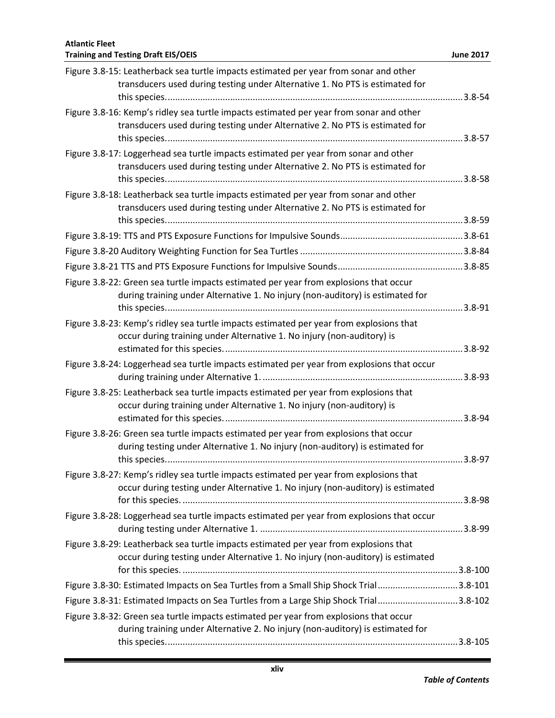| Figure 3.8-15: Leatherback sea turtle impacts estimated per year from sonar and other<br>transducers used during testing under Alternative 1. No PTS is estimated for |  |
|-----------------------------------------------------------------------------------------------------------------------------------------------------------------------|--|
|                                                                                                                                                                       |  |
| Figure 3.8-16: Kemp's ridley sea turtle impacts estimated per year from sonar and other                                                                               |  |
| transducers used during testing under Alternative 2. No PTS is estimated for                                                                                          |  |
| Figure 3.8-17: Loggerhead sea turtle impacts estimated per year from sonar and other                                                                                  |  |
| transducers used during testing under Alternative 2. No PTS is estimated for                                                                                          |  |
| Figure 3.8-18: Leatherback sea turtle impacts estimated per year from sonar and other                                                                                 |  |
| transducers used during testing under Alternative 2. No PTS is estimated for                                                                                          |  |
|                                                                                                                                                                       |  |
|                                                                                                                                                                       |  |
|                                                                                                                                                                       |  |
|                                                                                                                                                                       |  |
| Figure 3.8-22: Green sea turtle impacts estimated per year from explosions that occur                                                                                 |  |
| during training under Alternative 1. No injury (non-auditory) is estimated for                                                                                        |  |
|                                                                                                                                                                       |  |
| Figure 3.8-23: Kemp's ridley sea turtle impacts estimated per year from explosions that                                                                               |  |
| occur during training under Alternative 1. No injury (non-auditory) is                                                                                                |  |
| Figure 3.8-24: Loggerhead sea turtle impacts estimated per year from explosions that occur                                                                            |  |
|                                                                                                                                                                       |  |
| Figure 3.8-25: Leatherback sea turtle impacts estimated per year from explosions that                                                                                 |  |
| occur during training under Alternative 1. No injury (non-auditory) is                                                                                                |  |
|                                                                                                                                                                       |  |
| Figure 3.8-26: Green sea turtle impacts estimated per year from explosions that occur                                                                                 |  |
| during testing under Alternative 1. No injury (non-auditory) is estimated for                                                                                         |  |
|                                                                                                                                                                       |  |
| Figure 3.8-27: Kemp's ridley sea turtle impacts estimated per year from explosions that                                                                               |  |
| occur during testing under Alternative 1. No injury (non-auditory) is estimated                                                                                       |  |
| Figure 3.8-28: Loggerhead sea turtle impacts estimated per year from explosions that occur                                                                            |  |
|                                                                                                                                                                       |  |
| Figure 3.8-29: Leatherback sea turtle impacts estimated per year from explosions that                                                                                 |  |
| occur during testing under Alternative 1. No injury (non-auditory) is estimated                                                                                       |  |
|                                                                                                                                                                       |  |
| Figure 3.8-30: Estimated Impacts on Sea Turtles from a Small Ship Shock Trial3.8-101                                                                                  |  |
| Figure 3.8-31: Estimated Impacts on Sea Turtles from a Large Ship Shock Trial3.8-102                                                                                  |  |
| Figure 3.8-32: Green sea turtle impacts estimated per year from explosions that occur                                                                                 |  |
| during training under Alternative 2. No injury (non-auditory) is estimated for                                                                                        |  |
|                                                                                                                                                                       |  |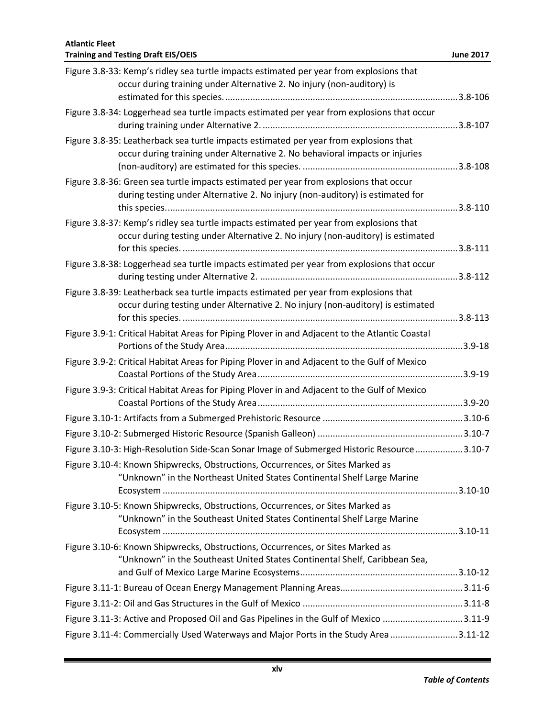| Figure 3.8-33: Kemp's ridley sea turtle impacts estimated per year from explosions that<br>occur during training under Alternative 2. No injury (non-auditory) is          |  |
|----------------------------------------------------------------------------------------------------------------------------------------------------------------------------|--|
| Figure 3.8-34: Loggerhead sea turtle impacts estimated per year from explosions that occur                                                                                 |  |
| Figure 3.8-35: Leatherback sea turtle impacts estimated per year from explosions that<br>occur during training under Alternative 2. No behavioral impacts or injuries      |  |
| Figure 3.8-36: Green sea turtle impacts estimated per year from explosions that occur<br>during testing under Alternative 2. No injury (non-auditory) is estimated for     |  |
| Figure 3.8-37: Kemp's ridley sea turtle impacts estimated per year from explosions that<br>occur during testing under Alternative 2. No injury (non-auditory) is estimated |  |
| Figure 3.8-38: Loggerhead sea turtle impacts estimated per year from explosions that occur                                                                                 |  |
| Figure 3.8-39: Leatherback sea turtle impacts estimated per year from explosions that<br>occur during testing under Alternative 2. No injury (non-auditory) is estimated   |  |
| Figure 3.9-1: Critical Habitat Areas for Piping Plover in and Adjacent to the Atlantic Coastal                                                                             |  |
| Figure 3.9-2: Critical Habitat Areas for Piping Plover in and Adjacent to the Gulf of Mexico                                                                               |  |
| Figure 3.9-3: Critical Habitat Areas for Piping Plover in and Adjacent to the Gulf of Mexico                                                                               |  |
|                                                                                                                                                                            |  |
|                                                                                                                                                                            |  |
| Figure 3.10-3: High-Resolution Side-Scan Sonar Image of Submerged Historic Resource 3.10-7                                                                                 |  |
| Figure 3.10-4: Known Shipwrecks, Obstructions, Occurrences, or Sites Marked as<br>"Unknown" in the Northeast United States Continental Shelf Large Marine                  |  |
| Figure 3.10-5: Known Shipwrecks, Obstructions, Occurrences, or Sites Marked as<br>"Unknown" in the Southeast United States Continental Shelf Large Marine                  |  |
| Figure 3.10-6: Known Shipwrecks, Obstructions, Occurrences, or Sites Marked as<br>"Unknown" in the Southeast United States Continental Shelf, Caribbean Sea,               |  |
|                                                                                                                                                                            |  |
|                                                                                                                                                                            |  |
| Figure 3.11-3: Active and Proposed Oil and Gas Pipelines in the Gulf of Mexico 3.11-9                                                                                      |  |
| Figure 3.11-4: Commercially Used Waterways and Major Ports in the Study Area 3.11-12                                                                                       |  |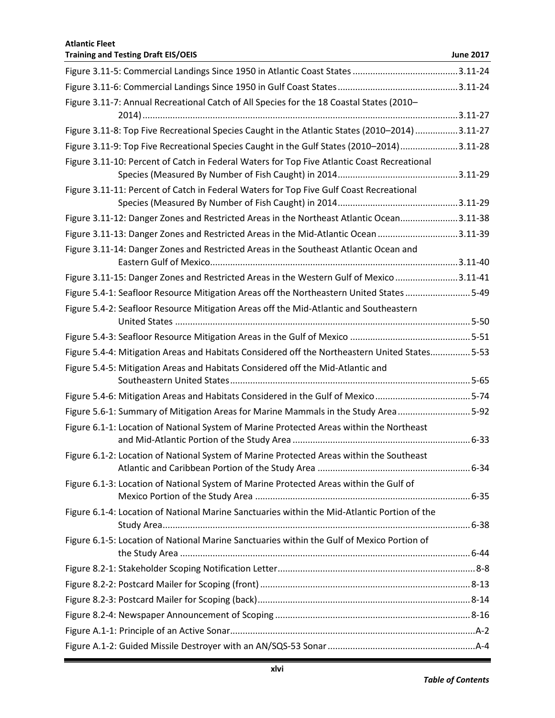| <b>Atlantic Fleet</b><br><b>Training and Testing Draft EIS/OEIS</b>                            | <b>June 2017</b> |
|------------------------------------------------------------------------------------------------|------------------|
|                                                                                                |                  |
|                                                                                                |                  |
| Figure 3.11-7: Annual Recreational Catch of All Species for the 18 Coastal States (2010-       |                  |
|                                                                                                |                  |
| Figure 3.11-8: Top Five Recreational Species Caught in the Atlantic States (2010-2014) 3.11-27 |                  |
| Figure 3.11-9: Top Five Recreational Species Caught in the Gulf States (2010-2014)3.11-28      |                  |
| Figure 3.11-10: Percent of Catch in Federal Waters for Top Five Atlantic Coast Recreational    |                  |
| Figure 3.11-11: Percent of Catch in Federal Waters for Top Five Gulf Coast Recreational        |                  |
|                                                                                                |                  |
| Figure 3.11-12: Danger Zones and Restricted Areas in the Northeast Atlantic Ocean3.11-38       |                  |
| Figure 3.11-13: Danger Zones and Restricted Areas in the Mid-Atlantic Ocean 3.11-39            |                  |
| Figure 3.11-14: Danger Zones and Restricted Areas in the Southeast Atlantic Ocean and          |                  |
| Figure 3.11-15: Danger Zones and Restricted Areas in the Western Gulf of Mexico3.11-41         |                  |
| Figure 5.4-1: Seafloor Resource Mitigation Areas off the Northeastern United States 5-49       |                  |
| Figure 5.4-2: Seafloor Resource Mitigation Areas off the Mid-Atlantic and Southeastern         |                  |
|                                                                                                |                  |
| Figure 5.4-4: Mitigation Areas and Habitats Considered off the Northeastern United States5-53  |                  |
| Figure 5.4-5: Mitigation Areas and Habitats Considered off the Mid-Atlantic and                |                  |
| Figure 5.4-6: Mitigation Areas and Habitats Considered in the Gulf of Mexico5-74               |                  |
| Figure 5.6-1: Summary of Mitigation Areas for Marine Mammals in the Study Area5-92             |                  |
| Figure 6.1-1: Location of National System of Marine Protected Areas within the Northeast       |                  |
| Figure 6.1-2: Location of National System of Marine Protected Areas within the Southeast       |                  |
| Figure 6.1-3: Location of National System of Marine Protected Areas within the Gulf of         |                  |
| Figure 6.1-4: Location of National Marine Sanctuaries within the Mid-Atlantic Portion of the   |                  |
| Figure 6.1-5: Location of National Marine Sanctuaries within the Gulf of Mexico Portion of     |                  |
|                                                                                                |                  |
|                                                                                                |                  |
|                                                                                                |                  |
|                                                                                                |                  |
|                                                                                                |                  |
|                                                                                                |                  |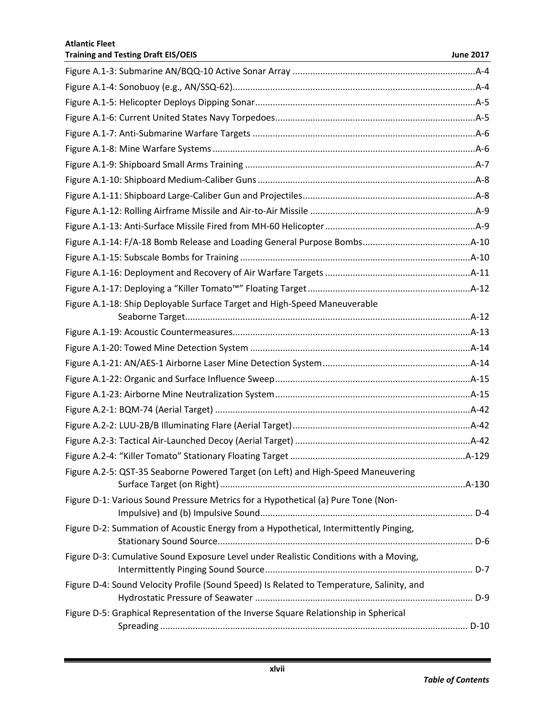| Figure A.1-18: Ship Deployable Surface Target and High-Speed Maneuverable                 |  |
|-------------------------------------------------------------------------------------------|--|
|                                                                                           |  |
|                                                                                           |  |
|                                                                                           |  |
|                                                                                           |  |
|                                                                                           |  |
|                                                                                           |  |
|                                                                                           |  |
|                                                                                           |  |
|                                                                                           |  |
|                                                                                           |  |
| Figure A.2-5: QST-35 Seaborne Powered Target (on Left) and High-Speed Maneuvering         |  |
|                                                                                           |  |
| Figure D-1: Various Sound Pressure Metrics for a Hypothetical (a) Pure Tone (Non-         |  |
|                                                                                           |  |
| Figure D-2: Summation of Acoustic Energy from a Hypothetical, Intermittently Pinging,     |  |
| Figure D-3: Cumulative Sound Exposure Level under Realistic Conditions with a Moving,     |  |
| Figure D-4: Sound Velocity Profile (Sound Speed) Is Related to Temperature, Salinity, and |  |
|                                                                                           |  |
| Figure D-5: Graphical Representation of the Inverse Square Relationship in Spherical      |  |
|                                                                                           |  |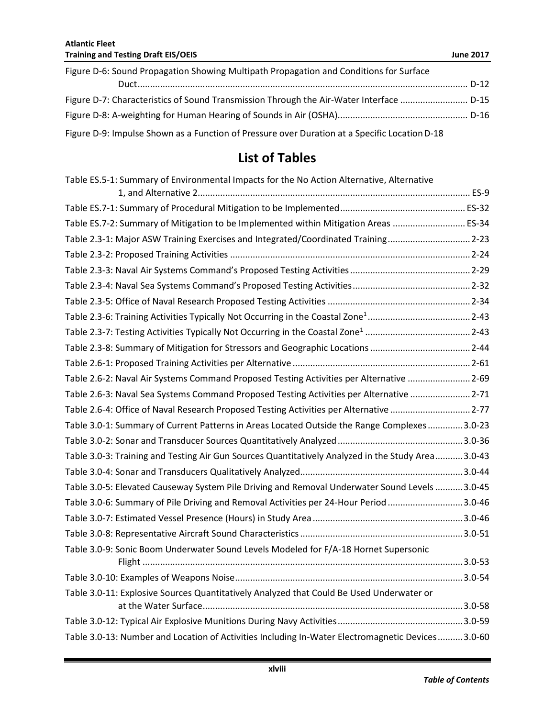| Figure D-6: Sound Propagation Showing Multipath Propagation and Conditions for Surface        |  |
|-----------------------------------------------------------------------------------------------|--|
|                                                                                               |  |
| Figure D-7: Characteristics of Sound Transmission Through the Air-Water Interface  D-15       |  |
|                                                                                               |  |
| Figure D-9: Impulse Shown as a Function of Pressure over Duration at a Specific Location D-18 |  |

## **List of Tables**

| Table ES.5-1: Summary of Environmental Impacts for the No Action Alternative, Alternative         |  |
|---------------------------------------------------------------------------------------------------|--|
|                                                                                                   |  |
| Table ES.7-2: Summary of Mitigation to be Implemented within Mitigation Areas  ES-34              |  |
| Table 2.3-1: Major ASW Training Exercises and Integrated/Coordinated Training2-23                 |  |
|                                                                                                   |  |
|                                                                                                   |  |
|                                                                                                   |  |
|                                                                                                   |  |
|                                                                                                   |  |
|                                                                                                   |  |
|                                                                                                   |  |
|                                                                                                   |  |
| Table 2.6-2: Naval Air Systems Command Proposed Testing Activities per Alternative 2-69           |  |
| Table 2.6-3: Naval Sea Systems Command Proposed Testing Activities per Alternative 2-71           |  |
| Table 2.6-4: Office of Naval Research Proposed Testing Activities per Alternative 2-77            |  |
| Table 3.0-1: Summary of Current Patterns in Areas Located Outside the Range Complexes3.0-23       |  |
|                                                                                                   |  |
| Table 3.0-3: Training and Testing Air Gun Sources Quantitatively Analyzed in the Study Area3.0-43 |  |
|                                                                                                   |  |
| Table 3.0-5: Elevated Causeway System Pile Driving and Removal Underwater Sound Levels  3.0-45    |  |
| Table 3.0-6: Summary of Pile Driving and Removal Activities per 24-Hour Period 3.0-46             |  |
|                                                                                                   |  |
|                                                                                                   |  |
| Table 3.0-9: Sonic Boom Underwater Sound Levels Modeled for F/A-18 Hornet Supersonic              |  |
|                                                                                                   |  |
| Table 3.0-11: Explosive Sources Quantitatively Analyzed that Could Be Used Underwater or          |  |
|                                                                                                   |  |
|                                                                                                   |  |
| Table 3.0-13: Number and Location of Activities Including In-Water Electromagnetic Devices3.0-60  |  |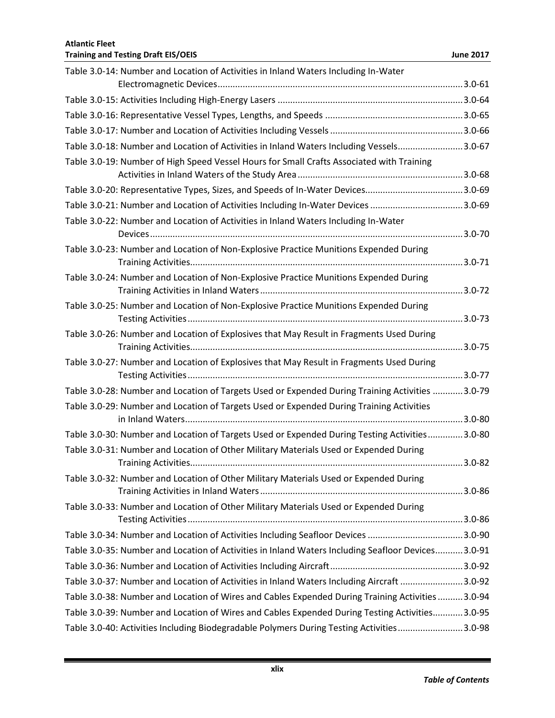| Table 3.0-14: Number and Location of Activities in Inland Waters Including In-Water                |  |
|----------------------------------------------------------------------------------------------------|--|
|                                                                                                    |  |
|                                                                                                    |  |
|                                                                                                    |  |
| Table 3.0-18: Number and Location of Activities in Inland Waters Including Vessels3.0-67           |  |
| Table 3.0-19: Number of High Speed Vessel Hours for Small Crafts Associated with Training          |  |
|                                                                                                    |  |
|                                                                                                    |  |
| Table 3.0-21: Number and Location of Activities Including In-Water Devices 3.0-69                  |  |
| Table 3.0-22: Number and Location of Activities in Inland Waters Including In-Water                |  |
| Table 3.0-23: Number and Location of Non-Explosive Practice Munitions Expended During              |  |
| Table 3.0-24: Number and Location of Non-Explosive Practice Munitions Expended During              |  |
| Table 3.0-25: Number and Location of Non-Explosive Practice Munitions Expended During              |  |
| Table 3.0-26: Number and Location of Explosives that May Result in Fragments Used During           |  |
| Table 3.0-27: Number and Location of Explosives that May Result in Fragments Used During           |  |
| Table 3.0-28: Number and Location of Targets Used or Expended During Training Activities  3.0-79   |  |
| Table 3.0-29: Number and Location of Targets Used or Expended During Training Activities           |  |
| Table 3.0-30: Number and Location of Targets Used or Expended During Testing Activities3.0-80      |  |
| Table 3.0-31: Number and Location of Other Military Materials Used or Expended During              |  |
| Table 3.0-32: Number and Location of Other Military Materials Used or Expended During              |  |
| Table 3.0-33: Number and Location of Other Military Materials Used or Expended During              |  |
| Table 3.0-34: Number and Location of Activities Including Seafloor Devices 3.0-90                  |  |
| Table 3.0-35: Number and Location of Activities in Inland Waters Including Seafloor Devices 3.0-91 |  |
|                                                                                                    |  |
| Table 3.0-37: Number and Location of Activities in Inland Waters Including Aircraft 3.0-92         |  |
| Table 3.0-38: Number and Location of Wires and Cables Expended During Training Activities  3.0-94  |  |
| Table 3.0-39: Number and Location of Wires and Cables Expended During Testing Activities3.0-95     |  |
| Table 3.0-40: Activities Including Biodegradable Polymers During Testing Activities3.0-98          |  |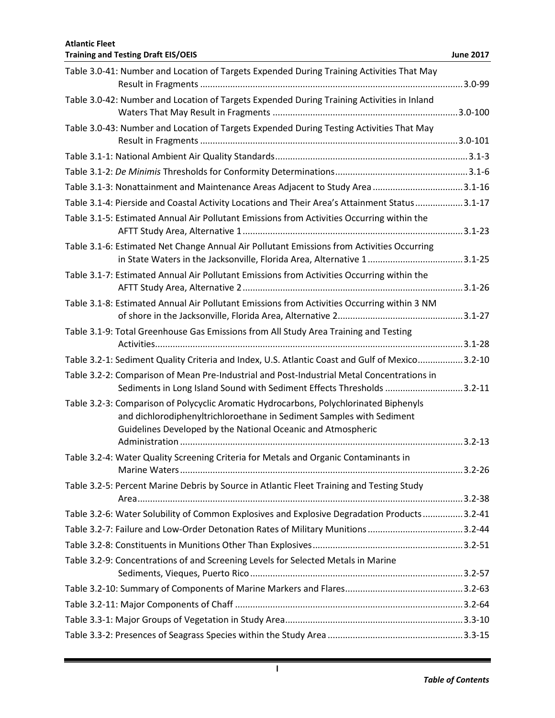| Table 3.0-41: Number and Location of Targets Expended During Training Activities That May                                                                                                                                       |            |
|---------------------------------------------------------------------------------------------------------------------------------------------------------------------------------------------------------------------------------|------------|
| Table 3.0-42: Number and Location of Targets Expended During Training Activities in Inland                                                                                                                                      |            |
| Table 3.0-43: Number and Location of Targets Expended During Testing Activities That May                                                                                                                                        |            |
|                                                                                                                                                                                                                                 |            |
|                                                                                                                                                                                                                                 |            |
| Table 3.1-3: Nonattainment and Maintenance Areas Adjacent to Study Area 3.1-16                                                                                                                                                  |            |
| Table 3.1-4: Pierside and Coastal Activity Locations and Their Area's Attainment Status3.1-17                                                                                                                                   |            |
| Table 3.1-5: Estimated Annual Air Pollutant Emissions from Activities Occurring within the                                                                                                                                      |            |
| Table 3.1-6: Estimated Net Change Annual Air Pollutant Emissions from Activities Occurring                                                                                                                                      |            |
| Table 3.1-7: Estimated Annual Air Pollutant Emissions from Activities Occurring within the                                                                                                                                      |            |
| Table 3.1-8: Estimated Annual Air Pollutant Emissions from Activities Occurring within 3 NM                                                                                                                                     |            |
| Table 3.1-9: Total Greenhouse Gas Emissions from All Study Area Training and Testing                                                                                                                                            |            |
| Table 3.2-1: Sediment Quality Criteria and Index, U.S. Atlantic Coast and Gulf of Mexico3.2-10                                                                                                                                  |            |
| Table 3.2-2: Comparison of Mean Pre-Industrial and Post-Industrial Metal Concentrations in<br>Sediments in Long Island Sound with Sediment Effects Thresholds 3.2-11                                                            |            |
| Table 3.2-3: Comparison of Polycyclic Aromatic Hydrocarbons, Polychlorinated Biphenyls<br>and dichlorodiphenyltrichloroethane in Sediment Samples with Sediment<br>Guidelines Developed by the National Oceanic and Atmospheric |            |
|                                                                                                                                                                                                                                 |            |
| Table 3.2-4: Water Quality Screening Criteria for Metals and Organic Contaminants in                                                                                                                                            | $3.2 - 26$ |
| Table 3.2-5: Percent Marine Debris by Source in Atlantic Fleet Training and Testing Study                                                                                                                                       |            |
| Table 3.2-6: Water Solubility of Common Explosives and Explosive Degradation Products3.2-41                                                                                                                                     |            |
| Table 3.2-7: Failure and Low-Order Detonation Rates of Military Munitions 3.2-44                                                                                                                                                |            |
|                                                                                                                                                                                                                                 |            |
| Table 3.2-9: Concentrations of and Screening Levels for Selected Metals in Marine                                                                                                                                               |            |
|                                                                                                                                                                                                                                 |            |
|                                                                                                                                                                                                                                 |            |
|                                                                                                                                                                                                                                 |            |
|                                                                                                                                                                                                                                 |            |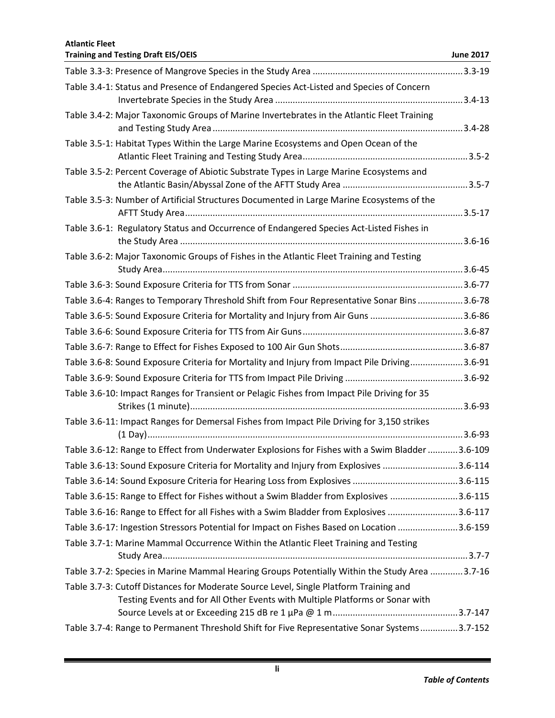| <b>Atlantic Fleet</b><br><b>Training and Testing Draft EIS/OEIS</b>                                                                                                    | <b>June 2017</b> |
|------------------------------------------------------------------------------------------------------------------------------------------------------------------------|------------------|
|                                                                                                                                                                        |                  |
| Table 3.4-1: Status and Presence of Endangered Species Act-Listed and Species of Concern                                                                               |                  |
|                                                                                                                                                                        |                  |
| Table 3.4-2: Major Taxonomic Groups of Marine Invertebrates in the Atlantic Fleet Training                                                                             |                  |
| Table 3.5-1: Habitat Types Within the Large Marine Ecosystems and Open Ocean of the                                                                                    |                  |
| Table 3.5-2: Percent Coverage of Abiotic Substrate Types in Large Marine Ecosystems and                                                                                |                  |
| Table 3.5-3: Number of Artificial Structures Documented in Large Marine Ecosystems of the                                                                              |                  |
| Table 3.6-1: Regulatory Status and Occurrence of Endangered Species Act-Listed Fishes in                                                                               |                  |
| Table 3.6-2: Major Taxonomic Groups of Fishes in the Atlantic Fleet Training and Testing                                                                               |                  |
|                                                                                                                                                                        |                  |
| Table 3.6-4: Ranges to Temporary Threshold Shift from Four Representative Sonar Bins 3.6-78                                                                            |                  |
| Table 3.6-5: Sound Exposure Criteria for Mortality and Injury from Air Guns 3.6-86                                                                                     |                  |
|                                                                                                                                                                        |                  |
|                                                                                                                                                                        |                  |
| Table 3.6-8: Sound Exposure Criteria for Mortality and Injury from Impact Pile Driving3.6-91                                                                           |                  |
|                                                                                                                                                                        |                  |
| Table 3.6-10: Impact Ranges for Transient or Pelagic Fishes from Impact Pile Driving for 35                                                                            |                  |
| Table 3.6-11: Impact Ranges for Demersal Fishes from Impact Pile Driving for 3,150 strikes                                                                             |                  |
| Table 3.6-12: Range to Effect from Underwater Explosions for Fishes with a Swim Bladder 3.6-109                                                                        |                  |
| Table 3.6-13: Sound Exposure Criteria for Mortality and Injury from Explosives 3.6-114                                                                                 |                  |
|                                                                                                                                                                        |                  |
| Table 3.6-15: Range to Effect for Fishes without a Swim Bladder from Explosives 3.6-115                                                                                |                  |
| Table 3.6-16: Range to Effect for all Fishes with a Swim Bladder from Explosives 3.6-117                                                                               |                  |
| Table 3.6-17: Ingestion Stressors Potential for Impact on Fishes Based on Location 3.6-159                                                                             |                  |
| Table 3.7-1: Marine Mammal Occurrence Within the Atlantic Fleet Training and Testing                                                                                   |                  |
| Table 3.7-2: Species in Marine Mammal Hearing Groups Potentially Within the Study Area 3.7-16                                                                          |                  |
| Table 3.7-3: Cutoff Distances for Moderate Source Level, Single Platform Training and<br>Testing Events and for All Other Events with Multiple Platforms or Sonar with |                  |
| Table 3.7-4: Range to Permanent Threshold Shift for Five Representative Sonar Systems3.7-152                                                                           |                  |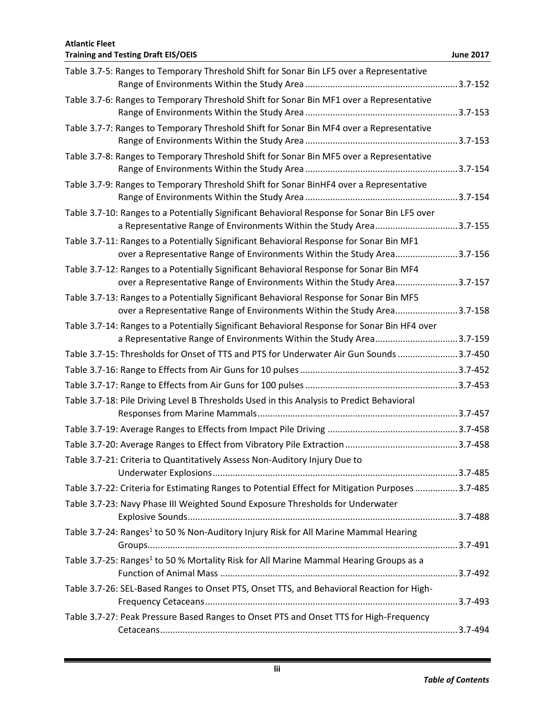**Atlantic Fleet Training and Testing Draft EIS/OEIS June 2017** Table 3.7-5: Ranges to Temporary Threshold Shift for Sonar Bin LF5 over a Representative Range of Environments Within the Study Area .............................................................3.7-152 Table 3.7-6: Ranges to Temporary Threshold Shift for Sonar Bin MF1 over a Representative Range of Environments Within the Study Area .............................................................3.7-153 Table 3.7-7: Ranges to Temporary Threshold Shift for Sonar Bin MF4 over a Representative Range of Environments Within the Study Area .............................................................3.7-153 Table 3.7-8: Ranges to Temporary Threshold Shift for Sonar Bin MF5 over a Representative Range of Environments Within the Study Area .............................................................3.7-154 Table 3.7-9: Ranges to Temporary Threshold Shift for Sonar BinHF4 over a Representative Range of Environments Within the Study Area .............................................................3.7-154 Table 3.7-10: Ranges to a Potentially Significant Behavioral Response for Sonar Bin LF5 over a Representative Range of Environments Within the Study Area.................................3.7-155 Table 3.7-11: Ranges to a Potentially Significant Behavioral Response for Sonar Bin MF1 over a Representative Range of Environments Within the Study Area.........................3.7-156 Table 3.7-12: Ranges to a Potentially Significant Behavioral Response for Sonar Bin MF4 over a Representative Range of Environments Within the Study Area.........................3.7-157 Table 3.7-13: Ranges to a Potentially Significant Behavioral Response for Sonar Bin MF5 over a Representative Range of Environments Within the Study Area.........................3.7-158 Table 3.7-14: Ranges to a Potentially Significant Behavioral Response for Sonar Bin HF4 over a Representative Range of Environments Within the Study Area..................................3.7-159 Table 3.7-15: Thresholds for Onset of TTS and PTS for Underwater Air Gun Sounds........................3.7-450 Table 3.7-16: Range to Effects from Air Guns for 10 pulses...............................................................3.7-452 Table 3.7-17: Range to Effects from Air Guns for 100 pulses.............................................................3.7-453 Table 3.7-18: Pile Driving Level B Thresholds Used in this Analysis to Predict Behavioral Responses from Marine Mammals................................................................................3.7-457 Table 3.7-19: Average Ranges to Effects from Impact Pile Driving ....................................................3.7-458 Table 3.7-20: Average Ranges to Effect from Vibratory Pile Extraction.............................................3.7-458 Table 3.7-21: Criteria to Quantitatively Assess Non-Auditory Injury Due to Underwater Explosions..................................................................................................3.7-485 Table 3.7-22: Criteria for Estimating Ranges to Potential Effect for Mitigation Purposes.................3.7-485 Table 3.7-23: Navy Phase III Weighted Sound Exposure Thresholds for Underwater Explosive Sounds............................................................................................................3.7-488 Table 3.7-24: Ranges<sup>1</sup> to 50 % Non-Auditory Injury Risk for All Marine Mammal Hearing Groups............................................................................................................................3.7-491 Table 3.7-25: Ranges<sup>1</sup> to 50 % Mortality Risk for All Marine Mammal Hearing Groups as a Function of Animal Mass ...............................................................................................3.7-492 Table 3.7-26: SEL-Based Ranges to Onset PTS, Onset TTS, and Behavioral Reaction for High-Frequency Cetaceans.....................................................................................................3.7-493 Table 3.7-27: Peak Pressure Based Ranges to Onset PTS and Onset TTS for High-Frequency Cetaceans.......................................................................................................................3.7-494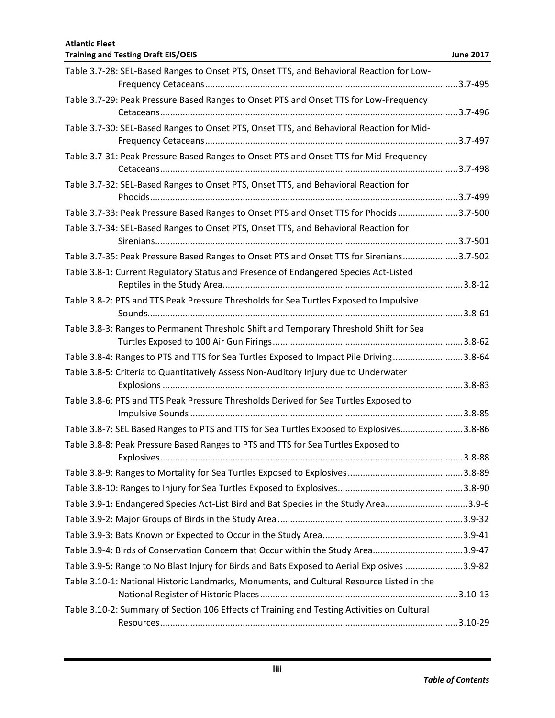| <b>Atlantic Fleet</b><br><b>Training and Testing Draft EIS/OEIS</b>                          | <b>June 2017</b> |
|----------------------------------------------------------------------------------------------|------------------|
| Table 3.7-28: SEL-Based Ranges to Onset PTS, Onset TTS, and Behavioral Reaction for Low-     |                  |
|                                                                                              |                  |
| Table 3.7-29: Peak Pressure Based Ranges to Onset PTS and Onset TTS for Low-Frequency        |                  |
|                                                                                              |                  |
| Table 3.7-30: SEL-Based Ranges to Onset PTS, Onset TTS, and Behavioral Reaction for Mid-     |                  |
| Table 3.7-31: Peak Pressure Based Ranges to Onset PTS and Onset TTS for Mid-Frequency        |                  |
| Table 3.7-32: SEL-Based Ranges to Onset PTS, Onset TTS, and Behavioral Reaction for          |                  |
|                                                                                              |                  |
| Table 3.7-33: Peak Pressure Based Ranges to Onset PTS and Onset TTS for Phocids 3.7-500      |                  |
| Table 3.7-34: SEL-Based Ranges to Onset PTS, Onset TTS, and Behavioral Reaction for          |                  |
| Table 3.7-35: Peak Pressure Based Ranges to Onset PTS and Onset TTS for Sirenians3.7-502     |                  |
| Table 3.8-1: Current Regulatory Status and Presence of Endangered Species Act-Listed         |                  |
| Table 3.8-2: PTS and TTS Peak Pressure Thresholds for Sea Turtles Exposed to Impulsive       |                  |
| Table 3.8-3: Ranges to Permanent Threshold Shift and Temporary Threshold Shift for Sea       |                  |
|                                                                                              |                  |
| Table 3.8-4: Ranges to PTS and TTS for Sea Turtles Exposed to Impact Pile Driving3.8-64      |                  |
| Table 3.8-5: Criteria to Quantitatively Assess Non-Auditory Injury due to Underwater         |                  |
| Table 3.8-6: PTS and TTS Peak Pressure Thresholds Derived for Sea Turtles Exposed to         |                  |
| Table 3.8-7: SEL Based Ranges to PTS and TTS for Sea Turtles Exposed to Explosives3.8-86     |                  |
| Table 3.8-8: Peak Pressure Based Ranges to PTS and TTS for Sea Turtles Exposed to            |                  |
|                                                                                              |                  |
|                                                                                              |                  |
| Table 3.9-1: Endangered Species Act-List Bird and Bat Species in the Study Area3.9-6         |                  |
|                                                                                              |                  |
|                                                                                              |                  |
| Table 3.9-4: Birds of Conservation Concern that Occur within the Study Area3.9-47            |                  |
| Table 3.9-5: Range to No Blast Injury for Birds and Bats Exposed to Aerial Explosives 3.9-82 |                  |
| Table 3.10-1: National Historic Landmarks, Monuments, and Cultural Resource Listed in the    |                  |
| Table 3.10-2: Summary of Section 106 Effects of Training and Testing Activities on Cultural  |                  |
|                                                                                              |                  |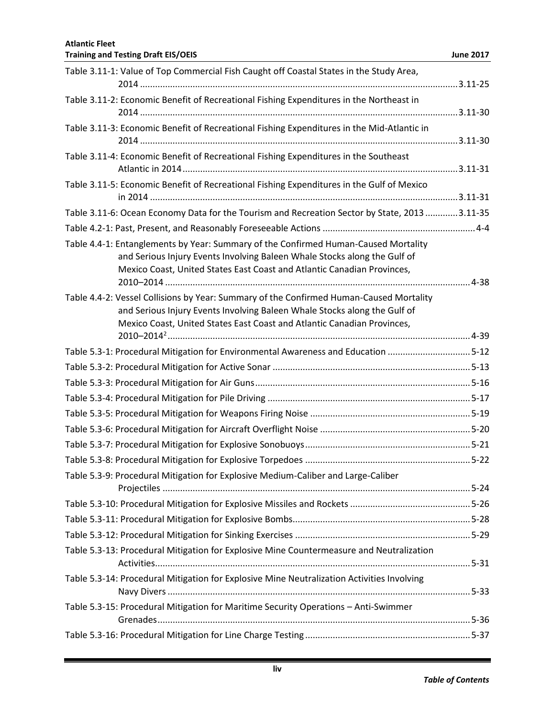| Table 3.11-1: Value of Top Commercial Fish Caught off Coastal States in the Study Area,                                                                                                                                                         |  |
|-------------------------------------------------------------------------------------------------------------------------------------------------------------------------------------------------------------------------------------------------|--|
| Table 3.11-2: Economic Benefit of Recreational Fishing Expenditures in the Northeast in                                                                                                                                                         |  |
| Table 3.11-3: Economic Benefit of Recreational Fishing Expenditures in the Mid-Atlantic in                                                                                                                                                      |  |
| Table 3.11-4: Economic Benefit of Recreational Fishing Expenditures in the Southeast                                                                                                                                                            |  |
| Table 3.11-5: Economic Benefit of Recreational Fishing Expenditures in the Gulf of Mexico                                                                                                                                                       |  |
| Table 3.11-6: Ocean Economy Data for the Tourism and Recreation Sector by State, 2013 3.11-35                                                                                                                                                   |  |
|                                                                                                                                                                                                                                                 |  |
| Table 4.4-1: Entanglements by Year: Summary of the Confirmed Human-Caused Mortality<br>and Serious Injury Events Involving Baleen Whale Stocks along the Gulf of<br>Mexico Coast, United States East Coast and Atlantic Canadian Provinces,     |  |
| Table 4.4-2: Vessel Collisions by Year: Summary of the Confirmed Human-Caused Mortality<br>and Serious Injury Events Involving Baleen Whale Stocks along the Gulf of<br>Mexico Coast, United States East Coast and Atlantic Canadian Provinces, |  |
| Table 5.3-1: Procedural Mitigation for Environmental Awareness and Education 5-12                                                                                                                                                               |  |
|                                                                                                                                                                                                                                                 |  |
|                                                                                                                                                                                                                                                 |  |
|                                                                                                                                                                                                                                                 |  |
|                                                                                                                                                                                                                                                 |  |
|                                                                                                                                                                                                                                                 |  |
|                                                                                                                                                                                                                                                 |  |
|                                                                                                                                                                                                                                                 |  |
| Table 5.3-9: Procedural Mitigation for Explosive Medium-Caliber and Large-Caliber                                                                                                                                                               |  |
|                                                                                                                                                                                                                                                 |  |
|                                                                                                                                                                                                                                                 |  |
|                                                                                                                                                                                                                                                 |  |
|                                                                                                                                                                                                                                                 |  |
| Table 5.3-13: Procedural Mitigation for Explosive Mine Countermeasure and Neutralization                                                                                                                                                        |  |
| Table 5.3-14: Procedural Mitigation for Explosive Mine Neutralization Activities Involving                                                                                                                                                      |  |
| Table 5.3-15: Procedural Mitigation for Maritime Security Operations - Anti-Swimmer                                                                                                                                                             |  |
|                                                                                                                                                                                                                                                 |  |

**Training and Testing Draft EIS/OEIS June 2017**

**Atlantic Fleet**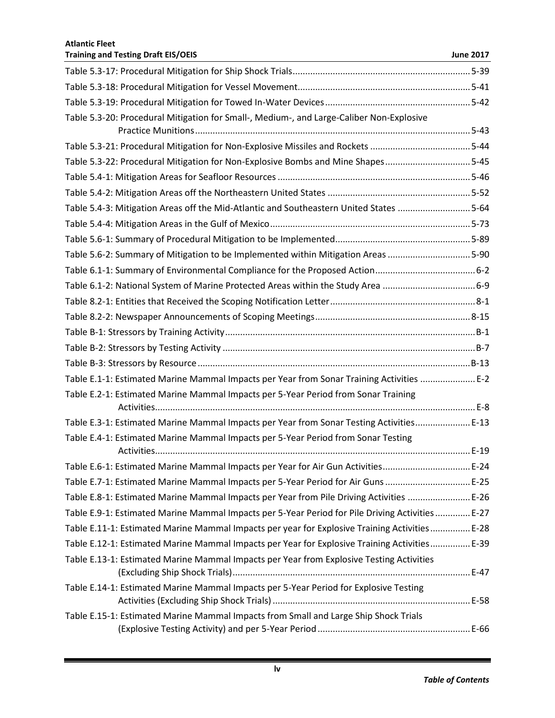| <b>Atlantic Fleet</b><br><b>Training and Testing Draft EIS/OEIS</b>                              | <b>June 2017</b> |
|--------------------------------------------------------------------------------------------------|------------------|
|                                                                                                  |                  |
|                                                                                                  |                  |
|                                                                                                  |                  |
| Table 5.3-20: Procedural Mitigation for Small-, Medium-, and Large-Caliber Non-Explosive         |                  |
| Table 5.3-21: Procedural Mitigation for Non-Explosive Missiles and Rockets 5-44                  |                  |
| Table 5.3-22: Procedural Mitigation for Non-Explosive Bombs and Mine Shapes5-45                  |                  |
|                                                                                                  |                  |
|                                                                                                  |                  |
| Table 5.4-3: Mitigation Areas off the Mid-Atlantic and Southeastern United States 5-64           |                  |
|                                                                                                  |                  |
|                                                                                                  |                  |
| Table 5.6-2: Summary of Mitigation to be Implemented within Mitigation Areas 5-90                |                  |
|                                                                                                  |                  |
|                                                                                                  |                  |
|                                                                                                  |                  |
|                                                                                                  |                  |
|                                                                                                  |                  |
|                                                                                                  |                  |
|                                                                                                  |                  |
| Table E.1-1: Estimated Marine Mammal Impacts per Year from Sonar Training Activities  E-2        |                  |
| Table E.2-1: Estimated Marine Mammal Impacts per 5-Year Period from Sonar Training               |                  |
| Table E.3-1: Estimated Marine Mammal Impacts per Year from Sonar Testing Activities E-13         |                  |
| Table E.4-1: Estimated Marine Mammal Impacts per 5-Year Period from Sonar Testing                |                  |
| Table E.6-1: Estimated Marine Mammal Impacts per Year for Air Gun Activities E-24                |                  |
| Table E.7-1: Estimated Marine Mammal Impacts per 5-Year Period for Air Guns  E-25                |                  |
| Table E.8-1: Estimated Marine Mammal Impacts per Year from Pile Driving Activities  E-26         |                  |
| Table E.9-1: Estimated Marine Mammal Impacts per 5-Year Period for Pile Driving Activities  E-27 |                  |
| Table E.11-1: Estimated Marine Mammal Impacts per year for Explosive Training Activities E-28    |                  |
| Table E.12-1: Estimated Marine Mammal Impacts per Year for Explosive Training Activities E-39    |                  |
| Table E.13-1: Estimated Marine Mammal Impacts per Year from Explosive Testing Activities         |                  |
| Table E.14-1: Estimated Marine Mammal Impacts per 5-Year Period for Explosive Testing            |                  |
| Table E.15-1: Estimated Marine Mammal Impacts from Small and Large Ship Shock Trials             |                  |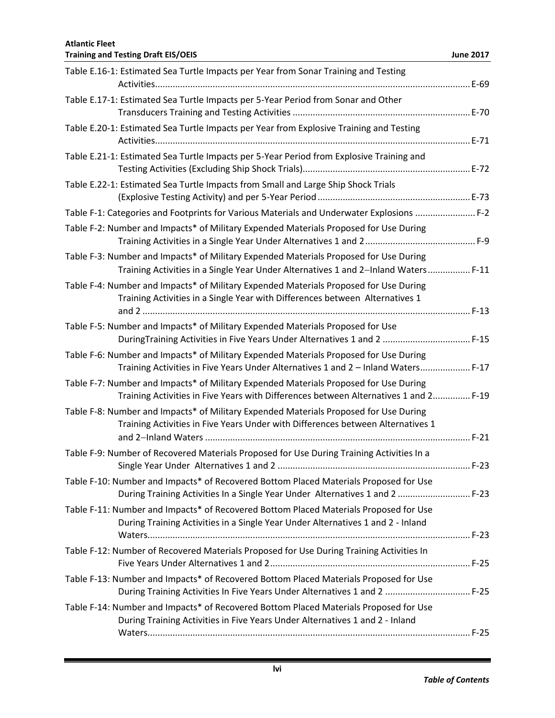| <b>Atlantic Fleet</b><br><b>Training and Testing Draft EIS/OEIS</b>                                                                                                           | <b>June 2017</b> |
|-------------------------------------------------------------------------------------------------------------------------------------------------------------------------------|------------------|
| Table E.16-1: Estimated Sea Turtle Impacts per Year from Sonar Training and Testing                                                                                           |                  |
|                                                                                                                                                                               |                  |
| Table E.17-1: Estimated Sea Turtle Impacts per 5-Year Period from Sonar and Other                                                                                             |                  |
| Table E.20-1: Estimated Sea Turtle Impacts per Year from Explosive Training and Testing                                                                                       |                  |
| Table E.21-1: Estimated Sea Turtle Impacts per 5-Year Period from Explosive Training and                                                                                      |                  |
| Table E.22-1: Estimated Sea Turtle Impacts from Small and Large Ship Shock Trials                                                                                             |                  |
| Table F-1: Categories and Footprints for Various Materials and Underwater Explosions  F-2                                                                                     |                  |
| Table F-2: Number and Impacts* of Military Expended Materials Proposed for Use During                                                                                         |                  |
| Table F-3: Number and Impacts* of Military Expended Materials Proposed for Use During<br>Training Activities in a Single Year Under Alternatives 1 and 2-Inland Waters F-11   |                  |
| Table F-4: Number and Impacts* of Military Expended Materials Proposed for Use During<br>Training Activities in a Single Year with Differences between Alternatives 1         |                  |
|                                                                                                                                                                               |                  |
| Table F-5: Number and Impacts* of Military Expended Materials Proposed for Use<br>DuringTraining Activities in Five Years Under Alternatives 1 and 2  F-15                    |                  |
| Table F-6: Number and Impacts* of Military Expended Materials Proposed for Use During<br>Training Activities in Five Years Under Alternatives 1 and 2 - Inland Waters F-17    |                  |
| Table F-7: Number and Impacts* of Military Expended Materials Proposed for Use During<br>Training Activities in Five Years with Differences between Alternatives 1 and 2 F-19 |                  |
| Table F-8: Number and Impacts* of Military Expended Materials Proposed for Use During<br>Training Activities in Five Years Under with Differences between Alternatives 1      |                  |
| Table F-9: Number of Recovered Materials Proposed for Use During Training Activities In a                                                                                     |                  |
| Table F-10: Number and Impacts* of Recovered Bottom Placed Materials Proposed for Use<br>During Training Activities In a Single Year Under Alternatives 1 and 2  F-23         |                  |
| Table F-11: Number and Impacts* of Recovered Bottom Placed Materials Proposed for Use<br>During Training Activities in a Single Year Under Alternatives 1 and 2 - Inland      |                  |
| Table F-12: Number of Recovered Materials Proposed for Use During Training Activities In                                                                                      |                  |
| Table F-13: Number and Impacts* of Recovered Bottom Placed Materials Proposed for Use<br>During Training Activities In Five Years Under Alternatives 1 and 2  F-25            |                  |
| Table F-14: Number and Impacts* of Recovered Bottom Placed Materials Proposed for Use<br>During Training Activities in Five Years Under Alternatives 1 and 2 - Inland         |                  |
|                                                                                                                                                                               |                  |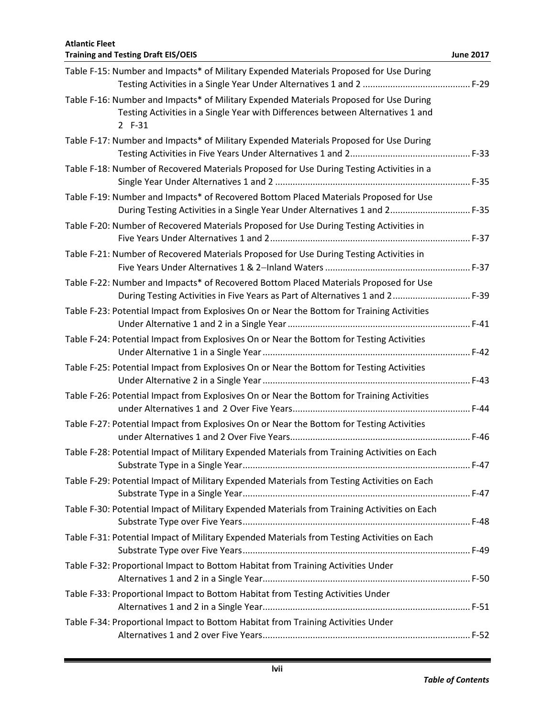**Atlantic Fleet Training and Testing Draft EIS/OEIS June 2017** Table F-15: Number and Impacts\* of Military Expended Materials Proposed for Use During Testing Activities in a Single Year Under Alternatives 1 and 2 ........................................... F-29 Table F-16: Number and Impacts\* of Military Expended Materials Proposed for Use During Testing Activities in a Single Year with Differences between Alternatives 1 and 2 F-31 Table F-17: Number and Impacts\* of Military Expended Materials Proposed for Use During Testing Activities in Five Years Under Alternatives 1 and 2................................................ F-33 Table F-18: Number of Recovered Materials Proposed for Use During Testing Activities in a Single Year Under Alternatives 1 and 2 .............................................................................. F-35 Table F-19: Number and Impacts\* of Recovered Bottom Placed Materials Proposed for Use During Testing Activities in a Single Year Under Alternatives 1 and 2................................ F-35 Table F-20: Number of Recovered Materials Proposed for Use During Testing Activities in Five Years Under Alternatives 1 and 2................................................................................ F-37 Table F-21: Number of Recovered Materials Proposed for Use During Testing Activities in Five Years Under Alternatives 1 & 2Inland Waters.......................................................... F-37 Table F-22: Number and Impacts\* of Recovered Bottom Placed Materials Proposed for Use During Testing Activities in Five Years as Part of Alternatives 1 and 2............................... F-39 Table F-23: Potential Impact from Explosives On or Near the Bottom for Training Activities Under Alternative 1 and 2 in a Single Year......................................................................... F-41 Table F-24: Potential Impact from Explosives On or Near the Bottom for Testing Activities Under Alternative 1 in a Single Year................................................................................... F-42 Table F-25: Potential Impact from Explosives On or Near the Bottom for Testing Activities Under Alternative 2 in a Single Year................................................................................... F-43 Table F-26: Potential Impact from Explosives On or Near the Bottom for Training Activities under Alternatives 1 and 2 Over Five Years....................................................................... F-44 Table F-27: Potential Impact from Explosives On or Near the Bottom for Testing Activities under Alternatives 1 and 2 Over Five Years........................................................................ F-46 Table F-28: Potential Impact of Military Expended Materials from Training Activities on Each Substrate Type in a Single Year........................................................................................... F-47 Table F-29: Potential Impact of Military Expended Materials from Testing Activities on Each Substrate Type in a Single Year........................................................................................... F-47 Table F-30: Potential Impact of Military Expended Materials from Training Activities on Each Substrate Type over Five Years........................................................................................... F-48 Table F-31: Potential Impact of Military Expended Materials from Testing Activities on Each Substrate Type over Five Years........................................................................................... F-49 Table F-32: Proportional Impact to Bottom Habitat from Training Activities Under Alternatives 1 and 2 in a Single Year................................................................................... F-50 Table F-33: Proportional Impact to Bottom Habitat from Testing Activities Under Alternatives 1 and 2 in a Single Year................................................................................... F-51 Table F-34: Proportional Impact to Bottom Habitat from Training Activities Under Alternatives 1 and 2 over Five Years................................................................................... F-52